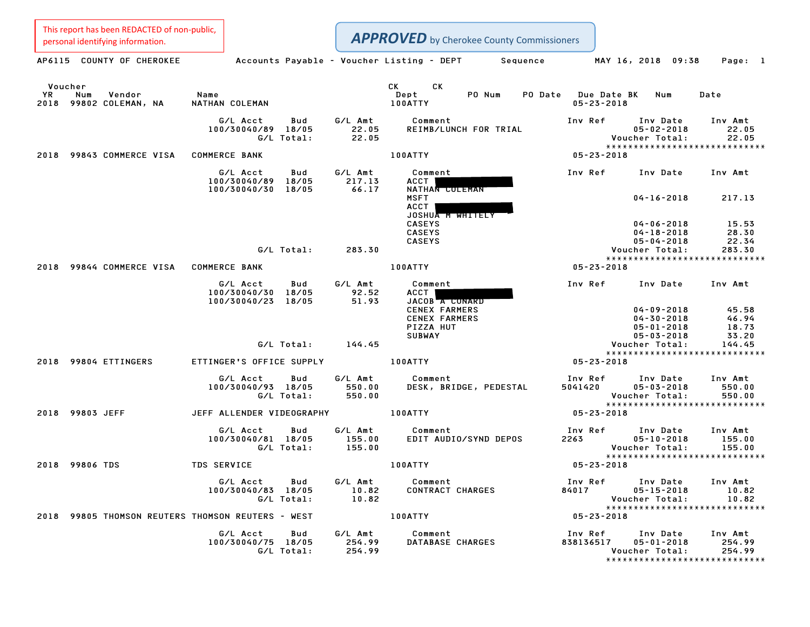| This report has been REDACTED of non-public,<br>personal identifying information. |                                                                             |                             | <b>APPROVED</b> by Cherokee County Commissioners                                               |                                        |                                                                                 |                                                              |
|-----------------------------------------------------------------------------------|-----------------------------------------------------------------------------|-----------------------------|------------------------------------------------------------------------------------------------|----------------------------------------|---------------------------------------------------------------------------------|--------------------------------------------------------------|
| AP6115 COUNTY OF CHEROKEE                                                         | Accounts Payable - Voucher Listing - DEPT                                   |                             | Sequence                                                                                       |                                        | MAY 16, 2018 09:38                                                              | Page: 1                                                      |
| Voucher<br>YR<br>Num<br>Vendor<br>2018 99802 COLEMAN, NA                          | Name<br>NATHAN COLEMAN                                                      |                             | CK<br>CK.<br>Dept<br>PO Num<br>PO Date<br>100ATTY                                              | <b>Due Date BK</b><br>$05 - 23 - 2018$ | Num                                                                             | Date                                                         |
| 2018 99843 COMMERCE VISA                                                          | G/L Acct<br>Bud<br>100/30040/89 18/05<br>G/L Total:<br><b>COMMERCE BANK</b> | G/L Amt<br>22.05<br>22.05   | Comment<br>REIMB/LUNCH FOR TRIAL<br>100ATTY                                                    | Inv Ref<br>$05 - 23 - 2018$            | Inv Date<br>$05 - 02 - 2018$<br>Voucher Total:<br>***************************** | Inv Amt<br>22.05<br>22.05                                    |
|                                                                                   | G/L Acct<br>Bud<br>100/30040/89 18/05                                       | G/L Amt<br>217.13           | Comment<br>ACCT                                                                                | Inv Ref                                | Inv Date                                                                        | Inv Amt                                                      |
|                                                                                   | 100/30040/30 18/05                                                          | 66.17                       | NATHAN COLEMAN<br><b>MSFT</b><br>ACCT<br>JOSHUA M WHITELY<br><b>CASEYS</b><br><b>CASEYS</b>    |                                        | $04 - 16 - 2018$<br>$04 - 06 - 2018$<br>$04 - 18 - 2018$                        | 217.13<br>15.53<br>28.30                                     |
|                                                                                   | G/L Total:                                                                  | 283.30                      | <b>CASEYS</b>                                                                                  |                                        | $05 - 04 - 2018$<br>Voucher Total:<br>*****************************             | 22.34<br>283.30                                              |
| 99844 COMMERCE VISA<br>2018                                                       | <b>COMMERCE BANK</b>                                                        |                             | 100ATTY                                                                                        | $05 - 23 - 2018$                       |                                                                                 |                                                              |
|                                                                                   | G/L Acct<br>Bud<br>100/30040/30 18/05<br>100/30040/23 18/05                 | G/L Amt<br>92.52<br>51.93   | Comment<br>ACCT<br>JACOB A CONARD<br><b>CENEX FARMERS</b><br><b>CENEX FARMERS</b><br>PIZZA HUT | Inv Ref                                | Inv Date<br>$04 - 09 - 2018$<br>$04 - 30 - 2018$<br>$05 - 01 - 2018$            | Inv Amt<br>45.58<br>46.94<br>18.73                           |
|                                                                                   | G/L Total:                                                                  | 144.45                      | <b>SUBWAY</b>                                                                                  |                                        | $05 - 03 - 2018$<br>Voucher Total:<br>*****************************             | 33.20<br>144.45                                              |
| 2018 99804 ETTINGERS                                                              | ETTINGER'S OFFICE SUPPLY                                                    |                             | 100ATTY                                                                                        | $05 - 23 - 2018$                       |                                                                                 |                                                              |
|                                                                                   | G/L Acct<br>Bud<br>100/30040/93 18/05<br>G/L Total:                         | G/L Amt<br>550.00<br>550.00 | Comment<br>DESK, BRIDGE, PEDESTAL                                                              | Inv Ref<br>5041420                     | Inv Date<br>$05 - 03 - 2018$<br>Voucher Total:<br>***************************** | Inv Amt<br>550.00<br>550.00                                  |
| 2018 99803 JEFF                                                                   | JEFF ALLENDER VIDEOGRAPHY                                                   |                             | 100ATTY                                                                                        | $05 - 23 - 2018$                       |                                                                                 |                                                              |
|                                                                                   | G/L Acct<br>Bud<br>100/30040/81 18/05<br>G/L Total:                         | G/L Amt<br>155.00<br>155.00 | Comment<br>EDIT AUDIO/SYND DEPOS                                                               | Inv Ref<br>2263                        | Inv Date<br>$05 - 10 - 2018$<br>Voucher Total:                                  | Inv Amt<br>155.00<br>155.00                                  |
| 2018 99806 TDS                                                                    | TDS SERVICE                                                                 |                             | 100ATTY                                                                                        | $05 - 23 - 2018$                       | *****************************                                                   |                                                              |
|                                                                                   | G/L Acct Bud G/L Amt<br>100/30040/83 18/05<br>G/L Total:                    | 10.82<br>10.82              | Comment<br>CONTRACT CHARGES                                                                    | Inv Ref<br>84017                       | Inv Date<br>$05 - 15 - 2018$<br>Voucher Total:<br>***************************** | Inv Amt<br>10.82<br>10.82                                    |
| 2018 99805 THOMSON REUTERS THOMSON REUTERS - WEST                                 |                                                                             |                             | 100ATTY                                                                                        | $05 - 23 - 2018$                       |                                                                                 |                                                              |
|                                                                                   | G/L Acct<br>Bud<br>100/30040/75 18/05<br>G/L Total:                         | G/L Amt<br>254.99<br>254.99 | Comment<br>DATABASE CHARGES                                                                    | Inv Ref<br>838136517                   | Inv Date<br>$05 - 01 - 2018$<br>Voucher Total:                                  | Inv Amt<br>254.99<br>254.99<br>***************************** |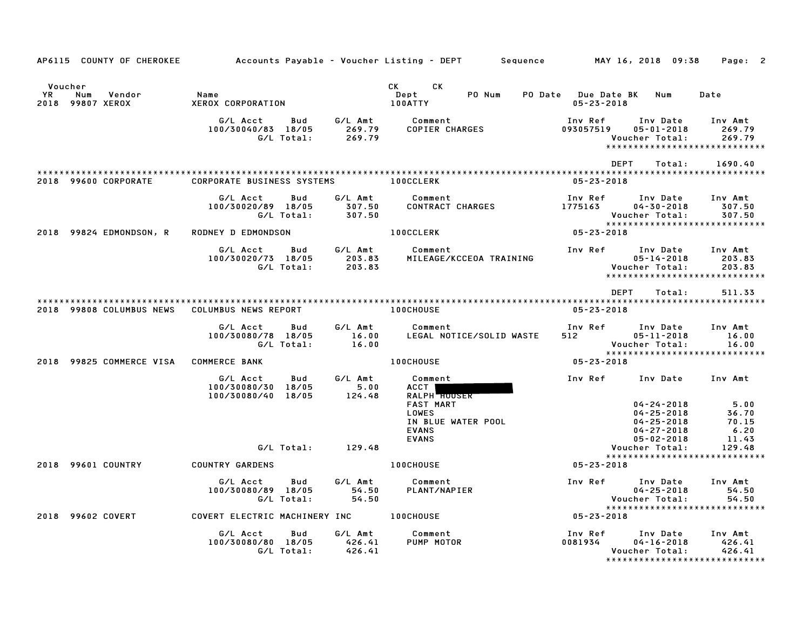| AP6115 COUNTY OF CHEROKEE                                 |                                                      |            |                             | Accounts Payable – Voucher Listing – DEPT       Sequence         MAY 16, 2018  09:38                                                                                                                                                                              |                                             |                                                                                            | Page: 2                                                      |
|-----------------------------------------------------------|------------------------------------------------------|------------|-----------------------------|-------------------------------------------------------------------------------------------------------------------------------------------------------------------------------------------------------------------------------------------------------------------|---------------------------------------------|--------------------------------------------------------------------------------------------|--------------------------------------------------------------|
| Voucher<br><b>YR</b><br>Num<br>Vendor<br>2018 99807 XEROX | Name<br>XEROX CORPORATION                            |            |                             | CK the control of the control of the control of the control of the control of the control of the control of the control of the control of the control of the control of the control of the control of the control of the contr<br>CK<br>Dept<br>PO Num<br>100ATTY | PO Date Due Date BK Num<br>$05 - 23 - 2018$ |                                                                                            | Date                                                         |
|                                                           | G/L Acct<br>100/30040/83 18/05<br>G/L Total:         | Bud        | 269.79<br>269.79            | G/L Amt Comment<br>COPIER CHARGES                                                                                                                                                                                                                                 | Inv Ref<br>093057519                        | Inv Date<br>$05 - 01 - 2018$<br>Voucher Total:                                             | Inv Amt<br>269.79<br>269.79<br>***************************** |
| 2018 99600 CORPORATE                                      | <b>CORPORATE BUSINESS SYSTEMS</b>                    |            |                             | 100CCLERK                                                                                                                                                                                                                                                         | <b>DEPT</b><br>05-23-2018                   | Total:                                                                                     | 1690.40                                                      |
|                                                           | G/L Acct<br>100/30020/89 18/05<br>G/L Total:         | Bud        | G/L Amt<br>307.50<br>307.50 | Comment<br><b>CONTRACT CHARGES</b>                                                                                                                                                                                                                                | Inv Ref<br>1775163                          | Inv Date<br>$04 - 30 - 2018$<br>Voucher Total:                                             | Inv Amt<br>307.50<br>307.50                                  |
| 2018 99824 EDMONDSON, R                                   | <b>RODNEY D EDMONDSON</b>                            |            |                             | <b>100CCLERK</b>                                                                                                                                                                                                                                                  | 05-23-2018                                  |                                                                                            | ******************************                               |
|                                                           | G/L Acct<br>100/30020/73 18/05<br>G/L Total:         | <b>Bud</b> | G/L Amt<br>203.83<br>203.83 | Comment<br>MILEAGE/KCCEOA TRAINING                                                                                                                                                                                                                                | Inv Ref                                     | Inv Date<br>$05 - 14 - 2018$<br>Voucher Total:                                             | Inv Amt<br>203.83<br>203.83<br>***************************** |
| 2018 99808 COLUMBUS NEWS                                  | COLUMBUS NEWS REPORT                                 |            |                             | <b>100CHOUSE</b>                                                                                                                                                                                                                                                  | <b>DEPT</b><br>$05 - 23 - 2018$             | Total:                                                                                     | 511.33                                                       |
|                                                           | G/L Acct<br>100/30080/78 18/05<br>G/L Total:         | Bud        | G/L Amt<br>16.00<br>16.00   | Comment<br>LEGAL NOTICE/SOLID WASTE                                                                                                                                                                                                                               | Inv Ref<br>512 200                          | Inv Date<br>$05 - 11 - 2018$<br>Voucher Total:                                             | Inv Amt<br>16.00<br>16.00                                    |
| 2018 99825 COMMERCE VISA COMMERCE BANK                    |                                                      |            |                             | <b>100CHOUSE</b>                                                                                                                                                                                                                                                  | 05-23-2018                                  |                                                                                            |                                                              |
|                                                           | G/L Acct<br>100/30080/30 18/05<br>100/30080/40 18/05 | Bud        | G/L Amt<br>5.00<br>124.48   | Comment<br>ACCT  <br>RALPH <b>HOUSER</b>                                                                                                                                                                                                                          | Inv Ref                                     | Inv Date Inv Amt                                                                           |                                                              |
|                                                           |                                                      |            |                             | <b>FAST MART</b><br>LOWES<br>IN BLUE WATER POOL<br><b>EVANS</b><br><b>EVANS</b>                                                                                                                                                                                   |                                             | $04 - 24 - 2018$<br>04-25-2018<br>$04 - 25 - 2018$<br>$04 - 27 - 2018$<br>$05 - 02 - 2018$ | 5.00<br>36.70<br>70.15<br>6.20<br>11.43                      |
|                                                           | G/L Total:                                           |            | 129.48                      |                                                                                                                                                                                                                                                                   |                                             | Voucher Total:                                                                             | 129.48<br>*****************************                      |
| 2018 99601 COUNTRY                                        | <b>COUNTRY GARDENS</b>                               |            |                             | 100CHOUSE                                                                                                                                                                                                                                                         | 05-23-2018                                  |                                                                                            |                                                              |
|                                                           | G/L Acct<br>100/30080/89 18/05<br>G/L Total:         | Bud        | G/L Amt<br>54.50<br>54.50   | Comment<br>PLANT/NAPIER                                                                                                                                                                                                                                           | Inv Ref                                     | Inv Date<br>$04 - 25 - 2018$<br>Voucher Total:                                             | Inv Amt<br>54.50<br>54.50<br>*****************************   |
| 2018 99602 COVERT                                         | COVERT ELECTRIC MACHINERY INC 100CHOUSE              |            |                             |                                                                                                                                                                                                                                                                   | 05-23-2018                                  |                                                                                            |                                                              |
|                                                           | G/L Acct<br>100/30080/80 18/05<br>G/L Total:         | Bud        | G/L Amt<br>426.41<br>426.41 | Comment<br>PUMP MOTOR                                                                                                                                                                                                                                             | Inv Ref<br>0081934                          | Inv Date<br>$04 - 16 - 2018$<br>Voucher Total:                                             | Inv Amt<br>426.41<br>426.41<br>***************************** |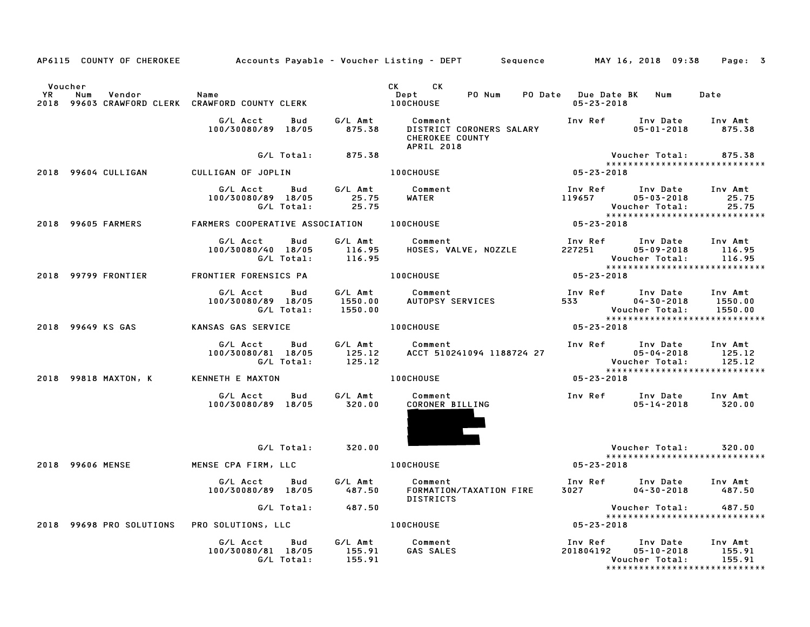|                        |                                                             |                                                  |                                           | AP6115 COUNTY OF CHEROKEE Accounts Payable - Voucher Listing - DEPT Sequence MAY 16, 2018 09:38               |                                                                                              |                                                          | Page: 3                       |
|------------------------|-------------------------------------------------------------|--------------------------------------------------|-------------------------------------------|---------------------------------------------------------------------------------------------------------------|----------------------------------------------------------------------------------------------|----------------------------------------------------------|-------------------------------|
| Voucher<br>YR.<br>2018 | Num<br>Vendor<br>99603 CRAWFORD CLERK CRAWFORD COUNTY CLERK | Name                                             |                                           | CK CK<br>PO Num<br>Dept<br><b>100CHOUSE</b>                                                                   | PO Date Due Date BK Num<br>$05 - 23 - 2018$                                                  |                                                          | Date                          |
|                        |                                                             | G/L Acct<br>100/30080/89 18/05                   | Bud<br>875.38                             | G/L Amt Comment<br>875.38 DISTRICT<br>DISTRICT CORONERS SALARY<br><b>CHEROKEE COUNTY</b><br><b>APRIL 2018</b> | Inv Ref                                                                                      | Inv Date Inv Amt<br>$05 - 01 - 2018$                     | 875.38                        |
|                        |                                                             | G/L Total:                                       | 875.38                                    |                                                                                                               |                                                                                              | Voucher Total:                                           | 875.38                        |
|                        | 2018 99604 CULLIGAN                                         | CULLIGAN OF JOPLIN                               |                                           | <b>100CHOUSE</b>                                                                                              | 05-23-2018                                                                                   |                                                          | ***************************** |
|                        |                                                             | G/L Acct Bud<br>100/30080/89 18/05<br>G/L Total: | G/L Amt<br>25.75<br>25.75                 | Comment<br>WATER                                                                                              | Inv Ref<br>119657 05-03-2018                                                                 | Inv Date Inv Amt<br>Voucher Total:                       | 25.75<br>25.75                |
|                        | 2018 99605 FARMERS                                          | FARMERS COOPERATIVE ASSOCIATION 100CHOUSE        |                                           |                                                                                                               | 05-23-2018                                                                                   |                                                          |                               |
|                        |                                                             | G/L Acct<br>100/30080/40 18/05<br>G/L Total:     | G/L Amt<br>Bud<br>116.95<br>116.95        | Comment<br>HOSES, VALVE, NOZZLE                                                                               | Inv Ref      Inv Date    Inv Amt<br>227251         05–09–2018       116.95<br>Voucher Total: |                                                          | 116.95                        |
|                        | 2018 99799 FRONTIER                                         | FRONTIER FORENSICS PA                            |                                           | <b>100CHOUSE</b>                                                                                              | $05 - 23 - 2018$                                                                             |                                                          |                               |
|                        |                                                             | G/L Acct<br>100/30080/89 18/05<br>G/L Total:     | Bud<br>1550.00<br>1550.00                 | G/L Amt Comment<br>AUTOPSY SERVICES                                                                           | Inv Ref Inv Date<br>533 65                                                                   | $04 - 30 - 2018$<br>Voucher Total:                       | Inv Amt<br>1550.00<br>1550.00 |
|                        | 2018 99649 KS GAS                                           | KANSAS GAS SERVICE                               |                                           | <b>100CHOUSE</b>                                                                                              | 05-23-2018                                                                                   |                                                          | ***************************** |
|                        |                                                             | G/L Acct<br>100/30080/81 18/05<br>G/L Total:     | <b>Bud</b><br>G/L Amt<br>125.12<br>125.12 | Comment<br>ACCT 510241094 1188724 27                                                                          |                                                                                              | Inv Ref Inv Date Inv Amt<br>05-04-2018<br>Voucher Total: | 125.12<br>125.12              |
|                        | 2018 99818 MAXTON, K                                        | KENNETH E MAXTON                                 |                                           | <b>100CHOUSE</b>                                                                                              | 05-23-2018                                                                                   |                                                          | ***************************** |
|                        |                                                             | G/L Acct<br>100/30080/89 18/05                   | G/L Amt<br>Bud<br>320.00                  | Comment<br>CORONER BILLING                                                                                    |                                                                                              | Inv Ref Inv Date<br>$05 - 14 - 2018$                     | Inv Amt<br>320.00             |
|                        |                                                             |                                                  | G/L Total: 320.00                         |                                                                                                               |                                                                                              | Voucher Total:                                           | 320.00                        |
|                        | 2018 99606 MENSE                                            | MENSE CPA FIRM, LLC                              |                                           | <b>100CHOUSE</b>                                                                                              | 05-23-2018                                                                                   |                                                          | ***************************** |
|                        |                                                             | G/L Acct<br>100/30080/89 18/05                   | Bud<br>G/L Amt<br>487.50                  | Comment<br>FORMATION/TAXATION FIRE<br><b>DISTRICTS</b>                                                        | Inv Ref Inv Date Inv Amt<br>3027 04-30-2018 487.50                                           |                                                          | 487.50                        |
|                        |                                                             |                                                  | G/L Total: 487.50                         |                                                                                                               |                                                                                              | Voucher Total: 487.50                                    |                               |
|                        | 2018 99698 PRO SOLUTIONS                                    | PRO SOLUTIONS, LLC                               |                                           | <b>100CHOUSE</b>                                                                                              | 05-23-2018                                                                                   |                                                          | ***************************** |
|                        |                                                             | G/L Acct<br>100/30080/81 18/05<br>G/L Total:     | G/L Amt<br><b>Bud</b><br>155.91<br>155.91 | Comment<br>GAS SALES                                                                                          | Inv Ref<br>201804192                                                                         | Inv Date<br>$05 - 10 - 2018$<br>Voucher Total:           | Inv Amt<br>155.91<br>155.91   |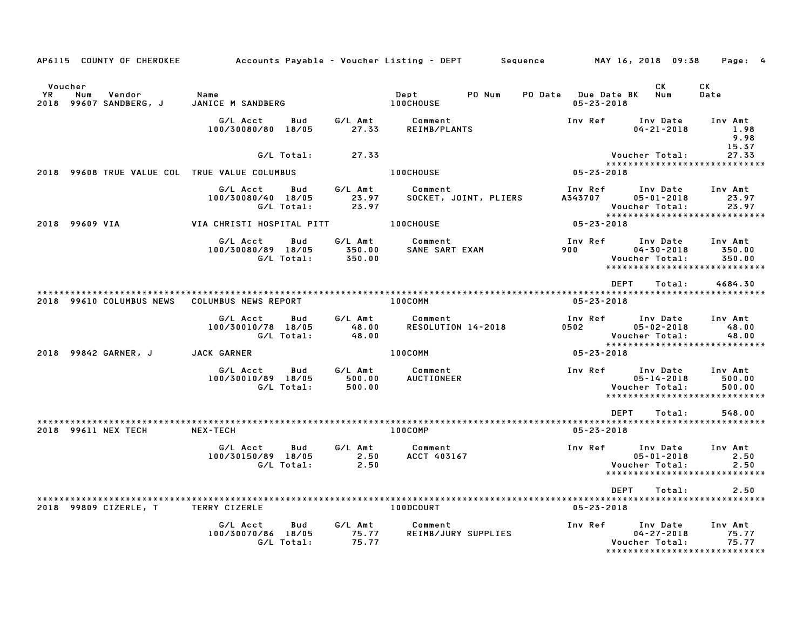| AP6115 COUNTY OF CHEROKEE                                       |                                                     |                             | Accounts Payable – Voucher Listing – DEPT         Sequence |                                                | MAY 16, 2018 09:38                             | Page: 4                                                       |
|-----------------------------------------------------------------|-----------------------------------------------------|-----------------------------|------------------------------------------------------------|------------------------------------------------|------------------------------------------------|---------------------------------------------------------------|
| Voucher<br><b>YR</b><br>Num<br>Vendor<br>2018 99607 SANDBERG, J | Name<br>JANICE M SANDBERG                           |                             | Dept<br>PO Num<br><b>100CHOUSE</b>                         | <b>PO Date</b> Due Date BK<br>$05 - 23 - 2018$ | <b>CK</b><br>Num                               | CK<br>Date                                                    |
|                                                                 | G/L Acct<br>Bud<br>100/30080/80 18/05               | G/L Amt<br>27.33            | Comment<br><b>REIMB/PLANTS</b>                             | Inv Ref                                        | Inv Date<br>$04 - 21 - 2018$                   | Inv Amt<br>1.98<br>9.98                                       |
|                                                                 | G/L Total:                                          | 27.33                       |                                                            |                                                | Voucher Total:                                 | 15.37<br>27.33                                                |
| 2018 99608 TRUE VALUE COL TRUE VALUE COLUMBUS                   |                                                     |                             | <b>100CHOUSE</b>                                           | $05 - 23 - 2018$                               |                                                | *****************************                                 |
|                                                                 | G/L Acct<br>Bud<br>100/30080/40 18/05<br>G/L Total: | G/L Amt<br>23.97<br>23.97   | Comment<br>SOCKET, JOINT, PLIERS                           | Inv Ref<br>A343707                             | Inv Date<br>$05 - 01 - 2018$<br>Voucher Total: | Inv Amt<br>23.97<br>23.97<br>*****************************    |
| 2018 99609 VIA                                                  | VIA CHRISTI HOSPITAL PITT                           |                             | 100CHOUSE                                                  | $05 - 23 - 2018$                               |                                                |                                                               |
|                                                                 | G/L Acct<br>Bud<br>100/30080/89 18/05<br>G/L Total: | G/L Amt<br>350.00<br>350.00 | Comment<br>SANE SART EXAM                                  | Inv Ref<br>900                                 | Inv Date<br>$04 - 30 - 2018$<br>Voucher Total: | Inv Amt<br>350.00<br>350.00<br>****************************** |
|                                                                 |                                                     |                             |                                                            | <b>DEPT</b>                                    | Total:                                         | 4684.30                                                       |
| 2018 99610 COLUMBUS NEWS                                        | COLUMBUS NEWS REPORT                                |                             | 100COMM                                                    | $05 - 23 - 2018$                               |                                                |                                                               |
|                                                                 | G/L Acct<br>Bud<br>100/30010/78 18/05<br>G/L Total: | G/L Amt<br>48.00<br>48.00   | Comment<br>RESOLUTION 14-2018                              | Inv Ref<br>0502                                | Inv Date<br>$05 - 02 - 2018$<br>Voucher Total: | Inv Amt<br>48.00<br>48.00<br>*****************************    |
| 2018 99842 GARNER, J                                            | <b>JACK GARNER</b>                                  |                             | 100COMM                                                    | 05-23-2018                                     |                                                |                                                               |
|                                                                 | G/L Acct<br>Bud<br>100/30010/89 18/05<br>G/L Total: | G/L Amt<br>500.00<br>500.00 | Comment<br>AUCTIONEER                                      | Inv Ref                                        | Inv Date<br>$05 - 14 - 2018$<br>Voucher Total: | Inv Amt<br>500.00<br>500.00<br>*****************************  |
|                                                                 |                                                     |                             |                                                            | <b>DEPT</b>                                    | Total:                                         | 548.00                                                        |
| 2018 99611 NEX TECH                                             | NEX-TECH                                            |                             | 100COMP                                                    | $05 - 23 - 2018$                               |                                                |                                                               |
|                                                                 | G/L Acct<br>Bud<br>100/30150/89 18/05<br>G/L Total: | G/L Amt<br>2.50<br>2.50     | Comment<br>ACCT 403167                                     | Inv Ref                                        | Inv Date<br>$05 - 01 - 2018$<br>Voucher Total: | Inv Amt<br>2.50<br>2.50<br>*****************************      |
|                                                                 |                                                     |                             |                                                            | <b>DEPT</b>                                    | Total:                                         | 2.50                                                          |
| 2018 99809 CIZERLE, T                                           | TERRY CIZERLE                                       |                             | 100DCOURT                                                  | $05 - 23 - 2018$                               |                                                |                                                               |
|                                                                 | G/L Acct<br>Bud<br>100/30070/86 18/05<br>G/L Total: | G/L Amt<br>75.77<br>75.77   | Comment<br>REIMB/JURY SUPPLIES                             | Inv Ref                                        | Inv Date<br>$04 - 27 - 2018$<br>Voucher Total: | Inv Amt<br>75.77<br>75.77<br>*****************************    |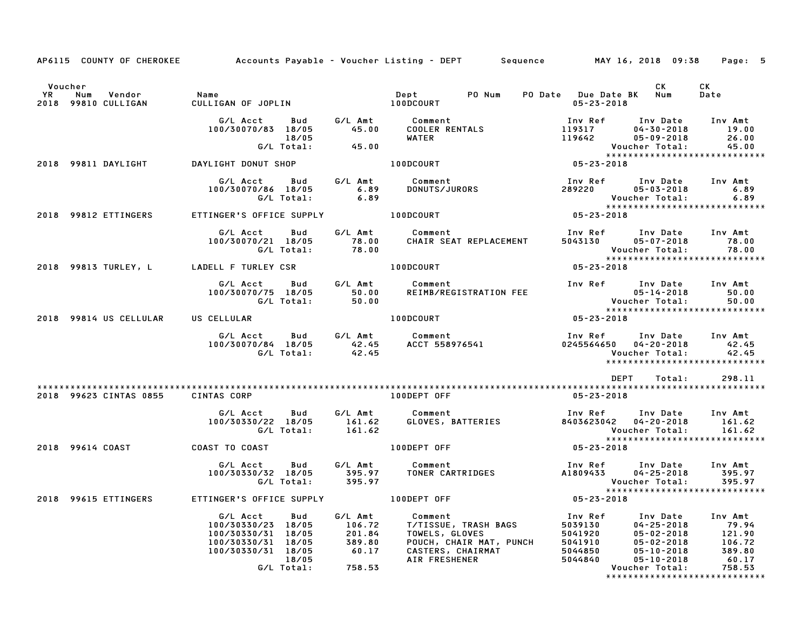|                                                           |                                                                                                                                                            | AP6115 COUNTY OF CHEROKEE Accounts Payable – Voucher Listing – DEPT Sequence MAY 16, 2018 09:38                                                                                                                                                                           |                                                                                  |                                                | Page: 5                       |
|-----------------------------------------------------------|------------------------------------------------------------------------------------------------------------------------------------------------------------|---------------------------------------------------------------------------------------------------------------------------------------------------------------------------------------------------------------------------------------------------------------------------|----------------------------------------------------------------------------------|------------------------------------------------|-------------------------------|
| Voucher<br><b>YR</b><br>Num Vendor<br>2018 99810 CULLIGAN | Name                                                                                                                                                       |                                                                                                                                                                                                                                                                           |                                                                                  |                                                | CK<br>Date                    |
|                                                           | G/L Acct<br>100/30070/83 18/05<br>18/05<br>G/L Total: 45.00                                                                                                |                                                                                                                                                                                                                                                                           |                                                                                  | $04 - 30 - 2018$ 19.00<br>Voucher Total: 45.00 | 26.00                         |
| 2018 99811 DAYLIGHT DAYLIGHT DONUT SHOP                   |                                                                                                                                                            |                                                                                                                                                                                                                                                                           |                                                                                  |                                                | ***************************** |
|                                                           |                                                                                                                                                            |                                                                                                                                                                                                                                                                           | Voucher Total: 6.89<br>XXXXXXXXXXXXXXXXXXXXXXXXXXXXXX<br>05-23-2018              |                                                |                               |
| 2018 99812 ETTINGERS                                      | ETTINGER'S OFFICE SUPPLY                                                                                                                                   | 100DCOURT                                                                                                                                                                                                                                                                 |                                                                                  |                                                |                               |
|                                                           |                                                                                                                                                            |                                                                                                                                                                                                                                                                           | 1nv Ref 1nv Date 1nv Amt<br>19943130 19507–2018 78.00<br>1997–1998 Voucher Total | Voucher Total:                                 | 78.00                         |
| 2018 99813 TURLEY, L LADELL F TURLEY CSR 100DCOURT        |                                                                                                                                                            | $05 - 23 - 2018$                                                                                                                                                                                                                                                          |                                                                                  |                                                |                               |
|                                                           | G/L Acct  Bud  G/L Amt  Comment<br>100/30070/75  18/05  50.00  REIMB/REGI<br>G/L Total:  50.00                                                             |                                                                                                                                                                                                                                                                           |                                                                                  |                                                |                               |
| 2018 99814 US CELLULAR US CELLULAR                        |                                                                                                                                                            | <b>100DCOURT</b>                                                                                                                                                                                                                                                          | $05 - 23 - 2018$                                                                 |                                                |                               |
|                                                           |                                                                                                                                                            | G/L Acct Bud G/L Amt Comment Inv Ref Inv Date Inv Amt Ing Amt Ing State Side Comment<br>100/30070/84 18/05 42.45 ACCT 558976541 0245564650 04-20-2018 42.45<br>G/L Total: 42.45 42.45 Voucher Total: 42.45                                                                |                                                                                  |                                                |                               |
|                                                           |                                                                                                                                                            |                                                                                                                                                                                                                                                                           |                                                                                  | <b>DEPT</b> Total:                             | 298.11                        |
| 2018 99623 CINTAS 0855 CINTAS CORP                        |                                                                                                                                                            | 100DEPT OFF                                                                                                                                                                                                                                                               | 05-23-2018                                                                       |                                                |                               |
|                                                           | G/L Acct Bud G/L Amt Comment<br>100/30330/22 18/05 161.62 GLOVES, BA<br>G/L Total: 161.62                                                                  | Comment<br>GLOVES, BATTERIES<br>GLOVES, BATTERIES<br>8403623042<br>21.62                                                                                                                                                                                                  |                                                                                  |                                                |                               |
| 2018 99614 COAST COAST TO COAST                           |                                                                                                                                                            | 100DEPT OFF                                                                                                                                                                                                                                                               |                                                                                  |                                                |                               |
|                                                           |                                                                                                                                                            | G/L Acct Bud G/L Amt Comment Inv Ref Inv Date Inv Amt<br>100/30330/32 18/05 395.97 TONER CARTRIDGES A1809433 04–25–2018 395.97<br>G/L Total: 395.97 TONER CARTRIDGES A1809433 Voucher Total: 395.97<br>********************************                                   |                                                                                  |                                                |                               |
| 2018 99615 ETTINGERS ETTINGER'S OFFICE SUPPLY 100DEPT OFF |                                                                                                                                                            | $05 - 23 - 2018$                                                                                                                                                                                                                                                          |                                                                                  |                                                |                               |
|                                                           | G/L Acct Bud<br>100/30330/23 18/05 100.72<br>100/30330/31 18/05 201.84<br>100/30330/31 18/05 389.80<br>100/30330/31 18/05 60.17<br>18/05 6/L Total: 758.53 | Comment<br>T/TISSUE, TRASH BAGS<br>TOWELS, GLOVES<br>POUCH, CHAIR MAT, PUNCH<br>CASTERS, CHAIRMAT<br>AIR FRESHENER<br>AIR FRESHENER<br>POUCH, CHAIRMAT<br>CASTERS, CHAIRMAT<br>AIR FRESHENER<br>AIR FRESHENER<br>POUCH AT AIR FRESHENER<br>POUCH, CHAI<br>G/L Amt Comment |                                                                                  |                                                |                               |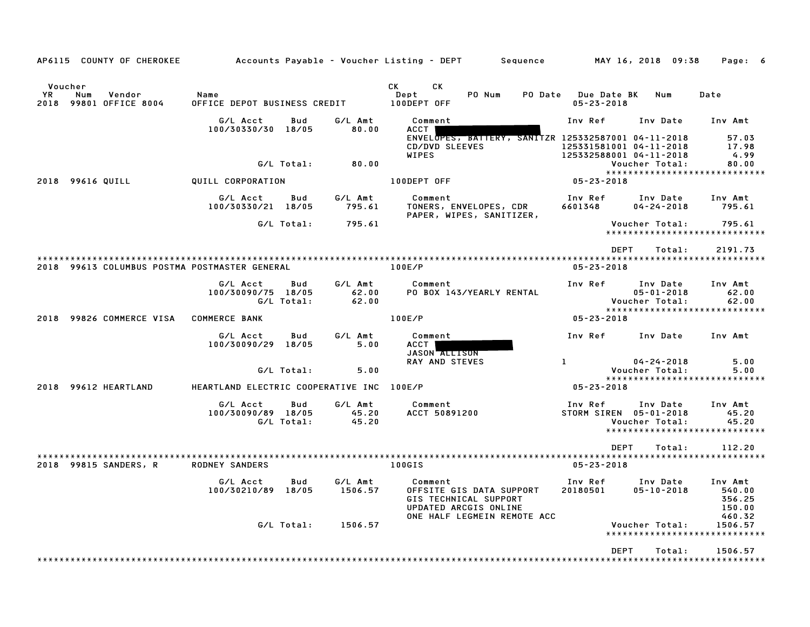|                              |                  | AP6115 COUNTY OF CHEROKEE   |                                           |                   |                           | Accounts Payable – Voucher Listing – DEPT<br>Sequence                                                                |                                                    | MAY 16, 2018 09:38                             | Page: 6                                                    |
|------------------------------|------------------|-----------------------------|-------------------------------------------|-------------------|---------------------------|----------------------------------------------------------------------------------------------------------------------|----------------------------------------------------|------------------------------------------------|------------------------------------------------------------|
| Voucher<br><b>YR</b><br>2018 | Num              | Vendor<br>99801 OFFICE 8004 | Name<br>OFFICE DEPOT BUSINESS CREDIT      |                   |                           | CK<br><b>CK</b><br>Dept<br>PO Num<br>PO Date<br>100DEPT OFF                                                          | <b>Due Date BK</b><br>$05 - 23 - 2018$             | Num                                            | Date                                                       |
|                              |                  |                             | G/L Acct<br>100/30330/30                  | Bud<br>18/05      | G/L Amt<br>80.00          | Comment<br>ACCT  <br>ENVELOPES, BATTERY, SANITZR 125332587001 04-11-2018                                             | Inv Ref                                            | Inv Date                                       | Inv Amt<br>57.03                                           |
|                              |                  |                             |                                           | G/L Total:        | 80.00                     | CD/DVD SLEEVES<br><b>WIPES</b>                                                                                       | 125331581001 04-11-2018<br>125332588001 04-11-2018 | Voucher Total:                                 | 17.98<br>4.99<br>80.00<br>*****************************    |
|                              | 2018 99616 QUILL |                             | QUILL CORPORATION                         |                   |                           | 100DEPT OFF                                                                                                          | $05 - 23 - 2018$                                   |                                                |                                                            |
|                              |                  |                             | G/L Acct<br>100/30330/21 18/05            | Bud               | G/L Amt<br>795.61         | Comment<br>TONERS, ENVELOPES, CDR<br>PAPER, WIPES, SANITIZER,                                                        | Inv Ref<br>6601348                                 | Inv Date<br>$04 - 24 - 2018$                   | Inv Amt<br>795.61                                          |
|                              |                  |                             |                                           | G/L Total:        | 795.61                    |                                                                                                                      |                                                    | Voucher Total:<br>*******************          | 795.61<br>* * * * * * * * * *                              |
| 2018                         |                  |                             | 99613 COLUMBUS POSTMA POSTMASTER GENERAL  |                   |                           | 100E/P                                                                                                               | <b>DEPT</b><br>$05 - 23 - 2018$                    | Total:                                         | 2191.73                                                    |
|                              |                  |                             | G/L Acct<br>100/30090/75 18/05            | Bud<br>G/L Total: | G/L Amt<br>62.00<br>62.00 | Comment<br>PO BOX 143/YEARLY RENTAL                                                                                  | Inv Ref                                            | Inv Date<br>$05 - 01 - 2018$<br>Voucher Total: | Inv Amt<br>62.00<br>62.00                                  |
|                              |                  | 2018 99826 COMMERCE VISA    | <b>COMMERCE BANK</b>                      |                   |                           | 100E/P                                                                                                               | $05 - 23 - 2018$                                   |                                                | *****************************                              |
|                              |                  |                             | G/L Acct<br>100/30090/29                  | Bud<br>18/05      | G/L Amt<br>5.00           | Comment<br>ACCT  <br>JASON ALLISON                                                                                   | Inv Ref                                            | Inv Date                                       | Inv Amt                                                    |
|                              |                  |                             |                                           | G/L Total:        | 5.00                      | <b>RAY AND STEVES</b>                                                                                                | $\mathbf{1}$                                       | $04 - 24 - 2018$<br>Voucher Total:             | 5.00<br>5.00<br>******************************             |
|                              |                  | 2018 99612 HEARTLAND        | HEARTLAND ELECTRIC COOPERATIVE INC 100E/P |                   |                           |                                                                                                                      | $05 - 23 - 2018$                                   |                                                |                                                            |
|                              |                  |                             | G/L Acct<br>100/30090/89 18/05            | Bud<br>G/L Total: | G/L Amt<br>45.20<br>45.20 | Comment<br>ACCT 50891200                                                                                             | Inv Ref<br>STORM SIREN 05-01-2018                  | Inv Date<br>Voucher Total:                     | Inv Amt<br>45.20<br>45.20<br>***************************** |
|                              |                  |                             |                                           |                   |                           |                                                                                                                      | <b>DEPT</b>                                        | Total:                                         | 112.20                                                     |
|                              |                  | 2018 99815 SANDERS, R       | <b>RODNEY SANDERS</b>                     |                   |                           | 100GIS                                                                                                               | $05 - 23 - 2018$                                   |                                                |                                                            |
|                              |                  |                             | G/L Acct<br>100/30210/89 18/05            | Bud               | G/L Amt<br>1506.57        | Comment<br>OFFSITE GIS DATA SUPPORT<br>GIS TECHNICAL SUPPORT<br>UPDATED ARCGIS ONLINE<br>ONE HALF LEGMEIN REMOTE ACC | Inv Ref<br>20180501                                | Inv Date<br>$05 - 10 - 2018$                   | Inv Amt<br>540.00<br>356.25<br>150.00<br>460.32            |
|                              |                  |                             |                                           | G/L Total:        | 1506.57                   |                                                                                                                      |                                                    | Voucher Total:                                 | 1506.57<br>*****************************                   |
|                              |                  |                             |                                           |                   |                           |                                                                                                                      | <b>DEPT</b>                                        | Total:                                         | 1506.57                                                    |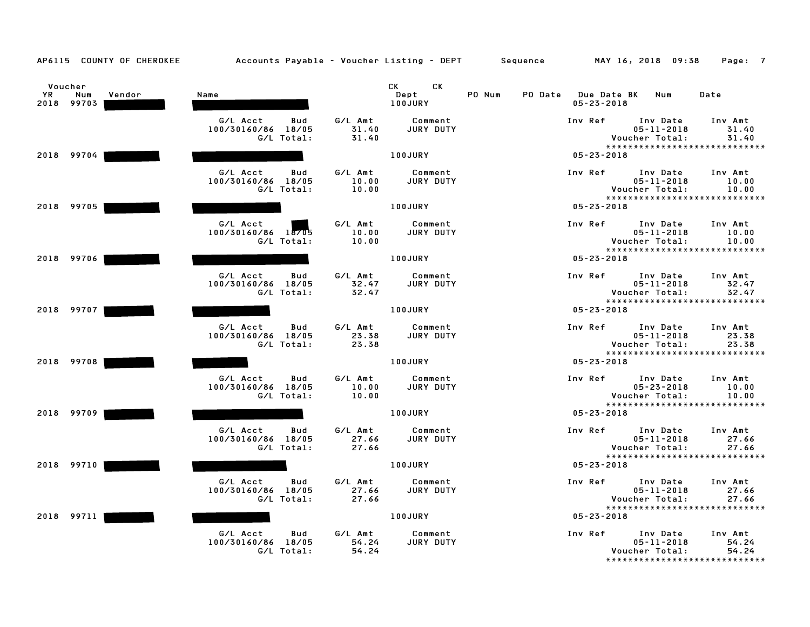| AP6115 COUNTY OF CHEROKEE                           | Accounts Payable – Voucher Listing – DEPT       Sequence |                           |                                                                                                                                                                                                                                                         |        |                                         | MAY 16, 2018 09:38                                                                | Page: 7                   |
|-----------------------------------------------------|----------------------------------------------------------|---------------------------|---------------------------------------------------------------------------------------------------------------------------------------------------------------------------------------------------------------------------------------------------------|--------|-----------------------------------------|-----------------------------------------------------------------------------------|---------------------------|
| Voucher<br><b>YR</b><br>Num<br>Vendor<br>2018 99703 | Name                                                     |                           | CK<br>CK the control of the control of the control of the control of the control of the control of the control of the control of the control of the control of the control of the control of the control of the control of the contr<br>Dept<br>100JURY | PO Num | PO Date Due Date BK<br>$05 - 23 - 2018$ | Num                                                                               | Date                      |
|                                                     | G/L Acct<br>Bud<br>100/30160/86 18/05<br>G/L Total:      | G/L Amt<br>31.40<br>31.40 | Comment<br>JURY DUTY                                                                                                                                                                                                                                    |        | Inv Ref                                 | Inv Date<br>$05 - 11 - 2018$<br>Voucher Total:<br>*****************************   | Inv Amt<br>31.40<br>31.40 |
| 2018 99704                                          |                                                          |                           | 100JURY                                                                                                                                                                                                                                                 |        | $05 - 23 - 2018$                        |                                                                                   |                           |
|                                                     | G/L Acct<br>Bud<br>100/30160/86 18/05<br>G/L Total:      | G/L Amt<br>10.00<br>10.00 | Comment<br>JURY DUTY                                                                                                                                                                                                                                    |        | Inv Ref                                 | Inv Date<br>$05 - 11 - 2018$<br>Voucher Total:<br>*****************************   | Inv Amt<br>10.00<br>10.00 |
| 2018 99705                                          |                                                          |                           | 100JURY                                                                                                                                                                                                                                                 |        | $05 - 23 - 2018$                        |                                                                                   |                           |
|                                                     | G/L Acct<br>100/30160/86 18705<br>G/L Total:             | G/L Amt<br>10.00<br>10.00 | Comment<br>JURY DUTY                                                                                                                                                                                                                                    |        | Inv Ref                                 | Inv Date<br>$05 - 11 - 2018$<br>Voucher Total:<br>*****************************   | Inv Amt<br>10.00<br>10.00 |
| 2018 99706                                          |                                                          |                           | 100JURY                                                                                                                                                                                                                                                 |        | $05 - 23 - 2018$                        |                                                                                   |                           |
|                                                     | G/L Acct<br>Bud<br>100/30160/86 18/05<br>G/L Total:      | G/L Amt<br>32.47<br>32.47 | Comment<br>JURY DUTY                                                                                                                                                                                                                                    |        | Inv Ref                                 | Inv Date<br>$05 - 11 - 2018$<br>Voucher Total:<br>*****************************   | Inv Amt<br>32.47<br>32.47 |
| 2018 99707                                          |                                                          |                           | 100JURY                                                                                                                                                                                                                                                 |        | $05 - 23 - 2018$                        |                                                                                   |                           |
|                                                     | G/L Acct<br>Bud<br>100/30160/86 18/05<br>G/L Total:      | G/L Amt<br>23.38<br>23.38 | Comment<br>JURY DUTY                                                                                                                                                                                                                                    |        | Inv Ref                                 | Inv Date<br>$05 - 11 - 2018$<br>Voucher Total:<br>*****************************   | Inv Amt<br>23.38<br>23.38 |
| 2018 99708                                          |                                                          |                           | 100JURY                                                                                                                                                                                                                                                 |        | $05 - 23 - 2018$                        |                                                                                   |                           |
|                                                     | G/L Acct<br>Bud<br>100/30160/86 18/05<br>G/L Total:      | G/L Amt<br>10.00<br>10.00 | Comment<br>JURY DUTY                                                                                                                                                                                                                                    |        | Inv Ref                                 | Inv Date<br>$05 - 23 - 2018$<br>Voucher Total:<br>*****************************   | Inv Amt<br>10.00<br>10.00 |
| 2018 99709                                          |                                                          |                           | 100JURY                                                                                                                                                                                                                                                 |        | $05 - 23 - 2018$                        |                                                                                   |                           |
|                                                     | G/L Acct<br>Bud<br>100/30160/86 18/05<br>G/L Total:      | G/L Amt<br>27.66<br>27.66 | Comment<br>JURY DUTY                                                                                                                                                                                                                                    |        | Inv Ref                                 | Inv Date<br>$05 - 11 - 2018$<br>Voucher Total:                                    | Inv Amt<br>27.66<br>27.66 |
| 2018 99710                                          |                                                          |                           | 100JURY                                                                                                                                                                                                                                                 |        | $05 - 23 - 2018$                        | *****************************                                                     |                           |
|                                                     | G/L Acct<br>Bud<br>100/30160/86 18/05<br>G/L Total:      | G/L Amt<br>27.66<br>27.66 | Comment<br>JURY DUTY                                                                                                                                                                                                                                    |        | Inv Ref                                 | Inv Date<br>$05 - 11 - 2018$<br>Voucher Total:<br>*****************************   | Inv Amt<br>27.66<br>27.66 |
| 2018 99711                                          |                                                          |                           | 100JURY                                                                                                                                                                                                                                                 |        | $05 - 23 - 2018$                        |                                                                                   |                           |
|                                                     | G/L Acct<br>Bud<br>100/30160/86 18/05<br>G/L Total:      | G/L Amt<br>54.24<br>54.24 | Comment<br>JURY DUTY                                                                                                                                                                                                                                    |        | Inv Ref                                 | Inv Date<br>$05 - 11 - 2018$<br>Voucher Total:<br>******************************* | Inv Amt<br>54.24<br>54.24 |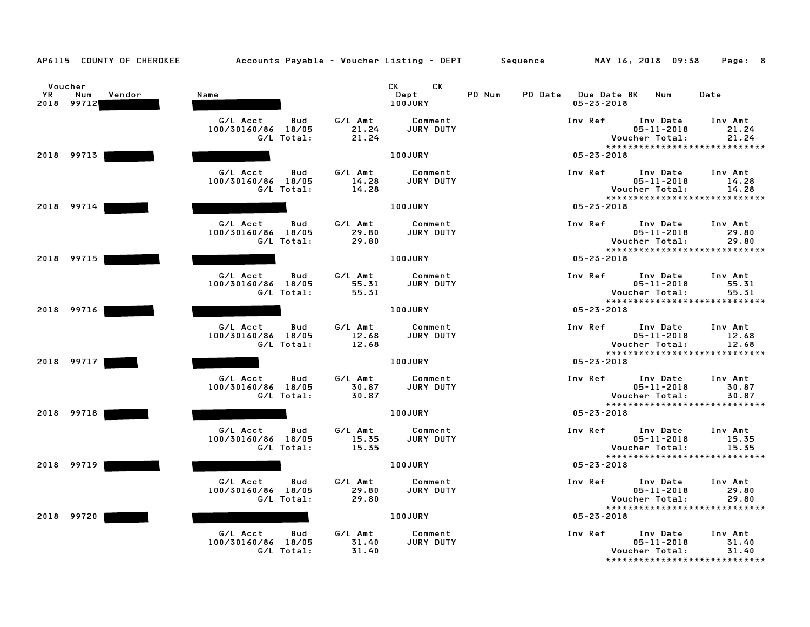| AP6115 COUNTY OF CHEROKEE                           | Accounts Payable - Voucher Listing - DEPT Sequence MAY 16, 2018 09:38 |                           |                                                                                                                                                                                                                                                         |        |                                             |                                                | Page: 8                                                    |
|-----------------------------------------------------|-----------------------------------------------------------------------|---------------------------|---------------------------------------------------------------------------------------------------------------------------------------------------------------------------------------------------------------------------------------------------------|--------|---------------------------------------------|------------------------------------------------|------------------------------------------------------------|
| Voucher<br><b>YR</b><br>Num<br>Vendor<br>2018 99712 | Name                                                                  |                           | CK<br>CK the control of the control of the control of the control of the control of the control of the control of the control of the control of the control of the control of the control of the control of the control of the contr<br>Dept<br>100JURY | PO Num | PO Date Due Date BK Num<br>$05 - 23 - 2018$ |                                                | Date                                                       |
|                                                     | G/L Acct<br>Bud<br>100/30160/86 18/05<br>G/L Total:                   | G/L Amt<br>21.24<br>21.24 | Comment<br>JURY DUTY                                                                                                                                                                                                                                    |        | Inv Ref                                     | Inv Date<br>$05 - 11 - 2018$<br>Voucher Total: | Inv Amt<br>21.24<br>21.24<br>***************************** |
| 2018 99713                                          |                                                                       |                           | 100JURY                                                                                                                                                                                                                                                 |        | $05 - 23 - 2018$                            |                                                |                                                            |
|                                                     | G/L Acct<br>Bud<br>100/30160/86 18/05<br>G/L Total:                   | G/L Amt<br>14.28<br>14.28 | Comment<br>JURY DUTY                                                                                                                                                                                                                                    |        | Inv Ref                                     | Inv Date<br>$05 - 11 - 2018$<br>Voucher Total: | Inv Amt<br>14.28<br>14.28<br>***************************** |
| 2018 99714                                          |                                                                       |                           | 100JURY                                                                                                                                                                                                                                                 |        | $05 - 23 - 2018$                            |                                                |                                                            |
|                                                     | G/L Acct<br>Bud<br>100/30160/86 18/05<br>G/L Total:                   | G/L Amt<br>29.80<br>29.80 | Comment<br>JURY DUTY                                                                                                                                                                                                                                    |        | Inv Ref                                     | Inv Date<br>$05 - 11 - 2018$<br>Voucher Total: | Inv Amt<br>29.80<br>29.80<br>***************************** |
| 2018 99715                                          |                                                                       |                           | <b>100JURY</b>                                                                                                                                                                                                                                          |        | $05 - 23 - 2018$                            |                                                |                                                            |
|                                                     | G/L Acct<br>Bud<br>100/30160/86 18/05<br>G/L Total:                   | G/L Amt<br>55.31<br>55.31 | Comment<br>JURY DUTY                                                                                                                                                                                                                                    |        | Inv Ref                                     | Inv Date<br>$05 - 11 - 2018$<br>Voucher Total: | Inv Amt<br>55.31<br>55.31<br>***************************** |
| 2018 99716                                          |                                                                       |                           | <b>100JURY</b>                                                                                                                                                                                                                                          |        | $05 - 23 - 2018$                            |                                                |                                                            |
|                                                     | G/L Acct<br>Bud<br>100/30160/86 18/05<br>G/L Total:                   | G/L Amt<br>12.68<br>12.68 | Comment<br>JURY DUTY                                                                                                                                                                                                                                    |        | Inv Ref                                     | Inv Date<br>$05 - 11 - 2018$<br>Voucher Total: | Inv Amt<br>12.68<br>12.68<br>***************************** |
| 2018 99717                                          |                                                                       |                           | <b>100JURY</b>                                                                                                                                                                                                                                          |        | $05 - 23 - 2018$                            |                                                |                                                            |
|                                                     | G/L Acct<br>Bud<br>100/30160/86 18/05<br>G/L Total:                   | G/L Amt<br>30.87<br>30.87 | Comment<br>JURY DUTY                                                                                                                                                                                                                                    |        | Inv Ref Inv Date                            | $05 - 11 - 2018$<br>Voucher Total:             | Inv Amt<br>30.87<br>30.87<br>***************************** |
| 2018 99718                                          |                                                                       |                           | <b>100JURY</b>                                                                                                                                                                                                                                          |        | $05 - 23 - 2018$                            |                                                |                                                            |
|                                                     | G/L Acct<br>Bud<br>100/30160/86 18/05<br>G/L Total:                   | G/L Amt<br>15.35<br>15.35 | Comment<br><b>JURY DUTY</b>                                                                                                                                                                                                                             |        | Inv Ref                                     | Inv Date<br>$05 - 11 - 2018$<br>Voucher Total: | Inv Amt<br>15.35<br>15.35                                  |
| 2018 99719                                          |                                                                       |                           | <b>100JURY</b>                                                                                                                                                                                                                                          |        | $05 - 23 - 2018$                            |                                                | *****************************                              |
|                                                     | G/L Acct<br>Bud<br>100/30160/86 18/05<br>G/L Total:                   | G/L Amt<br>29.80<br>29.80 | Comment<br>JURY DUTY                                                                                                                                                                                                                                    |        | Inv Ref                                     | Inv Date<br>$05 - 11 - 2018$<br>Voucher Total: | Inv Amt<br>29.80<br>29.80                                  |
| 2018 99720                                          |                                                                       |                           | 100JURY                                                                                                                                                                                                                                                 |        | $05 - 23 - 2018$                            |                                                | *****************************                              |
|                                                     | G/L Acct<br>Bud<br>100/30160/86 18/05<br>G/L Total:                   | G/L Amt<br>31.40<br>31.40 | Comment<br>JURY DUTY                                                                                                                                                                                                                                    |        | Inv Ref                                     | Inv Date<br>$05 - 11 - 2018$<br>Voucher Total: | Inv Amt<br>31.40<br>31.40<br>***************************** |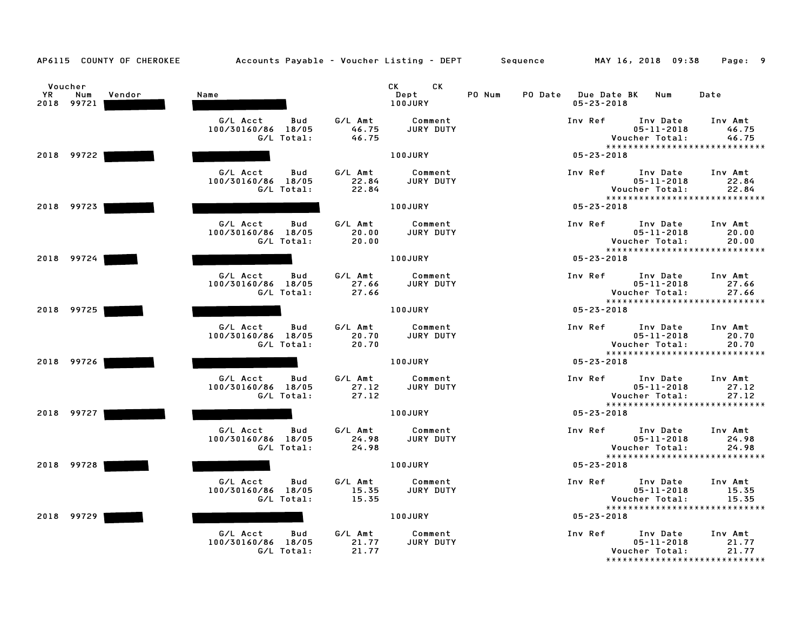| AP6115 COUNTY OF CHEROKEE                           | Accounts Payable – Voucher Listing – DEPT         Sequence           MAY 16, 2018  09:38 |                           |                               |        |         |                                                                                  | Page: 9                   |
|-----------------------------------------------------|------------------------------------------------------------------------------------------|---------------------------|-------------------------------|--------|---------|----------------------------------------------------------------------------------|---------------------------|
| Voucher<br><b>YR</b><br>Num<br>Vendor<br>2018 99721 | Name                                                                                     |                           | CK.<br>CK.<br>Dept<br>100JURY | PO Num |         | PO Date Due Date BK Num<br>$05 - 23 - 2018$                                      | Date                      |
|                                                     | G/L Acct<br>Bud<br>100/30160/86 18/05<br>G/L Total:                                      | G/L Amt<br>46.75<br>46.75 | Comment<br>JURY DUTY          |        | Inv Ref | Inv Date<br>$05 - 11 - 2018$<br>Voucher Total:<br>*****************************  | Inv Amt<br>46.75<br>46.75 |
| 2018 99722                                          |                                                                                          |                           | 100JURY                       |        |         | $05 - 23 - 2018$                                                                 |                           |
|                                                     | G/L Acct<br>Bud<br>100/30160/86 18/05<br>G/L Total:                                      | G/L Amt<br>22.84<br>22.84 | Comment<br>JURY DUTY          |        | Inv Ref | Inv Date<br>$05 - 11 - 2018$<br>Voucher Total:<br>*****************************  | Inv Amt<br>22.84<br>22.84 |
| 2018 99723                                          |                                                                                          |                           | 100JURY                       |        |         | $05 - 23 - 2018$                                                                 |                           |
|                                                     | G/L Acct<br>Bud<br>100/30160/86 18/05<br>G/L Total:                                      | G/L Amt<br>20.00<br>20.00 | Comment<br>JURY DUTY          |        | Inv Ref | Inv Date<br>$05 - 11 - 2018$<br>Voucher Total:<br>*****************************  | Inv Amt<br>20.00<br>20.00 |
| 2018 99724                                          |                                                                                          |                           | <b>100JURY</b>                |        |         | $05 - 23 - 2018$                                                                 |                           |
|                                                     | G/L Acct<br>Bud<br>100/30160/86 18/05<br>G/L Total:                                      | G/L Amt<br>27.66<br>27.66 | Comment<br>JURY DUTY          |        | Inv Ref | Inv Date<br>$05 - 11 - 2018$<br>Voucher Total:<br>****************************** | Inv Amt<br>27.66<br>27.66 |
| 2018 99725                                          |                                                                                          |                           | <b>100JURY</b>                |        |         | $05 - 23 - 2018$                                                                 |                           |
|                                                     | G/L Acct<br>Bud<br>100/30160/86 18/05<br>G/L Total:                                      | G/L Amt<br>20.70<br>20.70 | Comment<br>JURY DUTY          |        | Inv Ref | Inv Date<br>$05 - 11 - 2018$<br>Voucher Total:<br>*****************************  | Inv Amt<br>20.70<br>20.70 |
| 2018 99726                                          |                                                                                          |                           | 100JURY                       |        |         | $05 - 23 - 2018$                                                                 |                           |
|                                                     | G/L Acct<br>Bud<br>100/30160/86 18/05<br>G/L Total:                                      | G/L Amt<br>27.12<br>27.12 | Comment<br>JURY DUTY          |        | Inv Ref | Inv Date<br>$05 - 11 - 2018$<br>Voucher Total:<br>*****************************  | Inv Amt<br>27.12<br>27.12 |
| 2018 99727                                          |                                                                                          |                           | 100JURY                       |        |         | $05 - 23 - 2018$                                                                 |                           |
|                                                     | G/L Acct<br>Bud<br>100/30160/86 18/05<br>G/L Total:                                      | G/L Amt<br>24.98<br>24.98 | Comment<br>JURY DUTY          |        | Inv Ref | Inv Date<br>$05 - 11 - 2018$<br>Voucher Total:                                   | Inv Amt<br>24.98<br>24.98 |
| 2018 99728                                          |                                                                                          |                           | 100JURY                       |        |         | *****************************<br>$05 - 23 - 2018$                                |                           |
|                                                     | G/L Acct<br>Bud<br>100/30160/86 18/05<br>G/L Total:                                      | G/L Amt<br>15.35<br>15.35 | Comment<br>JURY DUTY          |        | Inv Ref | Inv Date<br>$05 - 11 - 2018$<br>Voucher Total:                                   | Inv Amt<br>15.35<br>15.35 |
| 2018 99729                                          |                                                                                          |                           | 100JURY                       |        |         | *****************************<br>$05 - 23 - 2018$                                |                           |
|                                                     | G/L Acct<br>Bud<br>100/30160/86 18/05<br>G/L Total:                                      | G/L Amt<br>21.77<br>21.77 | Comment<br>JURY DUTY          |        | Inv Ref | Inv Date<br>$05 - 11 - 2018$<br>Voucher Total:                                   | Inv Amt<br>21.77<br>21.77 |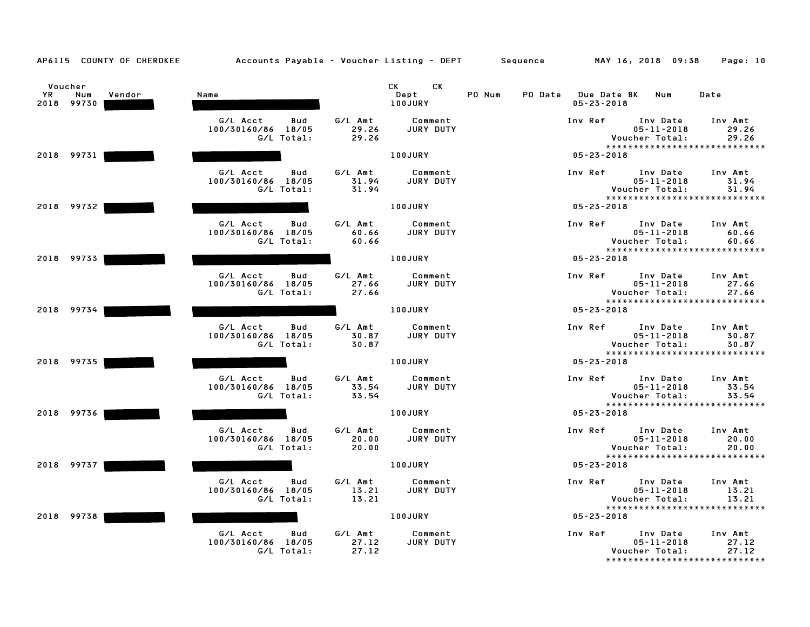| AP6115 COUNTY OF CHEROKEE                    | Accounts Payable - Voucher Listing - DEPT Sequence  |                           |                             |        |                         | MAY 16, 2018 09:38 |                                                | Page: 10                                                    |
|----------------------------------------------|-----------------------------------------------------|---------------------------|-----------------------------|--------|-------------------------|--------------------|------------------------------------------------|-------------------------------------------------------------|
| Voucher<br>YR<br>Num<br>Vendor<br>2018 99730 | Name                                                |                           | CK<br>CK<br>Dept<br>100JURY | PO Num | PO Date Due Date BK Num | $05 - 23 - 2018$   |                                                | Date                                                        |
|                                              | G/L Acct<br>Bud<br>100/30160/86 18/05<br>G/L Total: | G/L Amt<br>29.26<br>29.26 | Comment<br>JURY DUTY        |        | Inv Ref                 |                    | Inv Date<br>$05 - 11 - 2018$<br>Voucher Total: | Inv Amt<br>29.26<br>29.26<br>*****************************  |
| 2018 99731                                   |                                                     |                           | 100JURY                     |        |                         | $05 - 23 - 2018$   |                                                |                                                             |
|                                              | G/L Acct<br>Bud<br>100/30160/86 18/05<br>G/L Total: | G/L Amt<br>31.94<br>31.94 | Comment<br>JURY DUTY        |        | Inv Ref                 | Voucher Total:     | Inv Date<br>$05 - 11 - 2018$                   | Inv Amt<br>31.94<br>31.94                                   |
| 2018 99732                                   |                                                     |                           | 100JURY                     |        |                         | $05 - 23 - 2018$   |                                                | *****************************                               |
|                                              | G/L Acct<br>Bud<br>100/30160/86 18/05<br>G/L Total: | G/L Amt<br>60.66<br>60.66 | Comment<br>JURY DUTY        |        | Inv Ref                 |                    | Inv Date<br>$05 - 11 - 2018$<br>Voucher Total: | Inv Amt<br>60.66<br>60.66<br>*****************************  |
| 2018 99733                                   |                                                     |                           | <b>100JURY</b>              |        |                         | $05 - 23 - 2018$   |                                                |                                                             |
|                                              | G/L Acct<br>Bud<br>100/30160/86 18/05<br>G/L Total: | G/L Amt<br>27.66<br>27.66 | Comment<br><b>JURY DUTY</b> |        | Inv Ref                 |                    | Inv Date<br>$05 - 11 - 2018$<br>Voucher Total: | Inv Amt<br>27.66<br>27.66<br>*****************************  |
| 2018 99734                                   |                                                     |                           | 100JURY                     |        |                         | $05 - 23 - 2018$   |                                                |                                                             |
|                                              | G/L Acct<br>Bud<br>100/30160/86 18/05<br>G/L Total: | G/L Amt<br>30.87<br>30.87 | Comment<br>JURY DUTY        |        | Inv Ref                 |                    | Inv Date<br>$05 - 11 - 2018$<br>Voucher Total: | Inv Amt<br>30.87<br>30.87                                   |
| 2018 99735                                   |                                                     |                           | <b>100JURY</b>              |        |                         | $05 - 23 - 2018$   |                                                | *****************************                               |
|                                              | G/L Acct<br>Bud<br>100/30160/86 18/05<br>G/L Total: | G/L Amt<br>33.54<br>33.54 | Comment<br><b>JURY DUTY</b> |        | Inv Ref                 |                    | Inv Date<br>$05 - 11 - 2018$<br>Voucher Total: | Inv Amt<br>33.54<br>33.54<br>****************************** |
| 2018 99736                                   |                                                     |                           | 100JURY                     |        |                         | $05 - 23 - 2018$   |                                                |                                                             |
|                                              | G/L Acct<br>Bud<br>100/30160/86 18/05<br>G/L Total: | G/L Amt<br>20.00<br>20.00 | Comment<br>JURY DUTY        |        | Inv Ref                 | Voucher Total:     | Inv Date<br>$05 - 11 - 2018$                   | Inv Amt<br>20.00<br>20.00                                   |
| 2018 99737                                   |                                                     |                           | <b>100JURY</b>              |        |                         | $05 - 23 - 2018$   |                                                | *****************************                               |
|                                              | G/L Acct<br>Bud<br>100/30160/86 18/05<br>G/L Total: | G/L Amt<br>13.21<br>13.21 | Comment<br>JURY DUTY        |        | Inv Ref                 |                    | Inv Date<br>$05 - 11 - 2018$<br>Voucher Total: | Inv Amt<br>13.21<br>13.21                                   |
| 2018 99738                                   |                                                     |                           | 100JURY                     |        |                         | $05 - 23 - 2018$   |                                                | *****************************                               |
|                                              | G/L Acct<br>Bud<br>100/30160/86 18/05<br>G/L Total: | G/L Amt<br>27.12<br>27.12 | Comment<br>JURY DUTY        |        | Inv Ref                 |                    | Inv Date<br>$05 - 11 - 2018$<br>Voucher Total: | Inv Amt<br>27.12<br>27.12<br>*****************************  |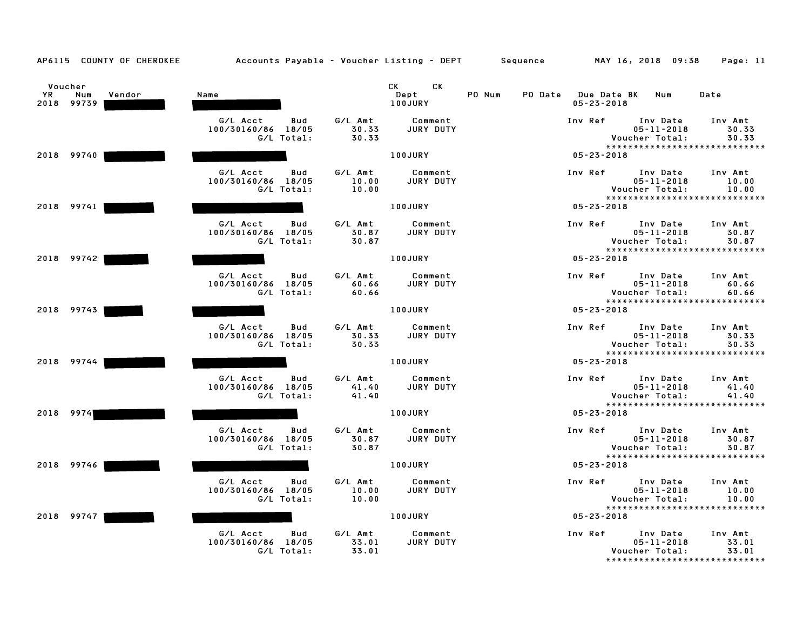| AP6115 COUNTY OF CHEROKEE                    | Accounts Payable – Voucher Listing – DEPT       Sequence |                           |                              |        |                                             | MAY 16, 2018 09:38                                                                | Page: 11                  |
|----------------------------------------------|----------------------------------------------------------|---------------------------|------------------------------|--------|---------------------------------------------|-----------------------------------------------------------------------------------|---------------------------|
| Voucher<br>YR<br>Num<br>Vendor<br>2018 99739 | Name                                                     |                           | CK<br>CK.<br>Dept<br>100JURY | PO Num | PO Date Due Date BK Num<br>$05 - 23 - 2018$ |                                                                                   | Date                      |
|                                              | G/L Acct<br>Bud<br>100/30160/86 18/05<br>G/L Total:      | G/L Amt<br>30.33<br>30.33 | Comment<br>JURY DUTY         |        | Inv Ref                                     | Inv Date<br>$05 - 11 - 2018$<br>Voucher Total:<br>*****************************   | Inv Amt<br>30.33<br>30.33 |
| 2018 99740                                   |                                                          |                           | 100JURY                      |        | $05 - 23 - 2018$                            |                                                                                   |                           |
|                                              | G/L Acct<br>Bud<br>100/30160/86 18/05<br>G/L Total:      | G/L Amt<br>10.00<br>10.00 | Comment<br>JURY DUTY         |        | Inv Ref                                     | Inv Date<br>$05 - 11 - 2018$<br>Voucher Total:<br>*****************************   | Inv Amt<br>10.00<br>10.00 |
| 2018 99741                                   |                                                          |                           | 100JURY                      |        | $05 - 23 - 2018$                            |                                                                                   |                           |
|                                              | G/L Acct<br>Bud<br>100/30160/86 18/05<br>G/L Total:      | G/L Amt<br>30.87<br>30.87 | Comment<br>JURY DUTY         |        | Inv Ref                                     | Inv Date<br>$05 - 11 - 2018$<br>Voucher Total:<br>*****************************   | Inv Amt<br>30.87<br>30.87 |
| 2018 99742                                   |                                                          |                           | 100JURY                      |        | $05 - 23 - 2018$                            |                                                                                   |                           |
|                                              | G/L Acct<br>Bud<br>100/30160/86 18/05<br>G/L Total:      | G/L Amt<br>60.66<br>60.66 | Comment<br>JURY DUTY         |        | Inv Ref                                     | Inv Date<br>$05 - 11 - 2018$<br>Voucher Total:<br>*****************************   | Inv Amt<br>60.66<br>60.66 |
| 2018 99743                                   |                                                          |                           | <b>100JURY</b>               |        | $05 - 23 - 2018$                            |                                                                                   |                           |
|                                              | G/L Acct<br>Bud<br>100/30160/86 18/05<br>G/L Total:      | G/L Amt<br>30.33<br>30.33 | Comment<br>JURY DUTY         |        | Inv Ref                                     | Inv Date<br>$05 - 11 - 2018$<br>Voucher Total:<br>*****************************   | Inv Amt<br>30.33<br>30.33 |
| 2018 99744                                   |                                                          |                           | 100JURY                      |        | $05 - 23 - 2018$                            |                                                                                   |                           |
|                                              | G/L Acct<br>Bud<br>100/30160/86 18/05<br>G/L Total:      | G/L Amt<br>41.40<br>41.40 | Comment<br>JURY DUTY         |        | Inv Ref                                     | Inv Date<br>$05 - 11 - 2018$<br>Voucher Total:<br>*****************************   | Inv Amt<br>41.40<br>41.40 |
| 2018 9974                                    |                                                          |                           | 100JURY                      |        | $05 - 23 - 2018$                            |                                                                                   |                           |
|                                              | G/L Acct<br>Bud<br>100/30160/86 18/05<br>G/L Total:      | G/L Amt<br>30.87<br>30.87 | Comment<br>JURY DUTY         |        | Inv Ref                                     | Inv Date<br>$05 - 11 - 2018$<br>Voucher Total:                                    | Inv Amt<br>30.87<br>30.87 |
| 2018 99746                                   |                                                          |                           | 100JURY                      |        | $05 - 23 - 2018$                            | *****************************                                                     |                           |
|                                              | G/L Acct<br>Bud<br>100/30160/86 18/05<br>G/L Total:      | G/L Amt<br>10.00<br>10.00 | Comment<br>JURY DUTY         |        | Inv Ref                                     | Inv Date<br>$05 - 11 - 2018$<br>Voucher Total:                                    | Inv Amt<br>10.00<br>10.00 |
| 2018<br>99747                                |                                                          |                           | 100JURY                      |        | $05 - 23 - 2018$                            | *****************************                                                     |                           |
|                                              | G/L Acct<br>Bud<br>100/30160/86 18/05<br>G/L Total:      | G/L Amt<br>33.01<br>33.01 | Comment<br>JURY DUTY         |        | Inv Ref                                     | Inv Date<br>$05 - 11 - 2018$<br>Voucher Total:<br>******************************* | Inv Amt<br>33.01<br>33.01 |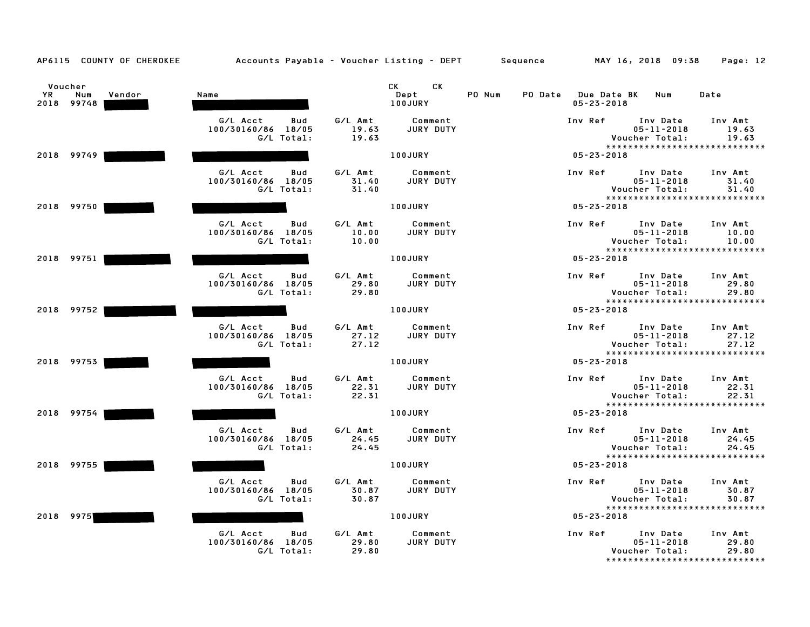| AP6115 COUNTY OF CHEROKEE                    | Accounts Payable - Voucher Listing - DEPT Sequence  |                           |                             |        |                                         | MAY 16, 2018 09:38                                                               | Page: 12                  |
|----------------------------------------------|-----------------------------------------------------|---------------------------|-----------------------------|--------|-----------------------------------------|----------------------------------------------------------------------------------|---------------------------|
| Voucher<br>YR<br>Num<br>Vendor<br>2018 99748 | Name                                                |                           | CK<br>CK<br>Dept<br>100JURY | PO Num | PO Date Due Date BK<br>$05 - 23 - 2018$ | Num                                                                              | Date                      |
|                                              | G/L Acct<br>Bud<br>100/30160/86 18/05<br>G/L Total: | G/L Amt<br>19.63<br>19.63 | Comment<br>JURY DUTY        |        | Inv Ref                                 | Inv Date<br>$05 - 11 - 2018$<br>Voucher Total:<br>*****************************  | Inv Amt<br>19.63<br>19.63 |
| 2018 99749                                   |                                                     |                           | 100JURY                     |        | $05 - 23 - 2018$                        |                                                                                  |                           |
|                                              | G/L Acct<br>Bud<br>100/30160/86 18/05<br>G/L Total: | G/L Amt<br>31.40<br>31.40 | Comment<br>JURY DUTY        |        | Inv Ref                                 | Inv Date<br>$05 - 11 - 2018$<br>Voucher Total:<br>*****************************  | Inv Amt<br>31.40<br>31.40 |
| 2018 99750                                   |                                                     |                           | 100JURY                     |        | $05 - 23 - 2018$                        |                                                                                  |                           |
|                                              | G/L Acct<br>Bud<br>100/30160/86 18/05<br>G/L Total: | G/L Amt<br>10.00<br>10.00 | Comment<br>JURY DUTY        |        | Inv Ref                                 | Inv Date<br>$05 - 11 - 2018$<br>Voucher Total:<br>*****************************  | Inv Amt<br>10.00<br>10.00 |
| 2018 99751                                   |                                                     |                           | 100JURY                     |        | $05 - 23 - 2018$                        |                                                                                  |                           |
|                                              | G/L Acct<br>Bud<br>100/30160/86 18/05<br>G/L Total: | G/L Amt<br>29.80<br>29.80 | Comment<br>JURY DUTY        |        | Inv Ref                                 | Inv Date<br>$05 - 11 - 2018$<br>Voucher Total:<br>*****************************  | Inv Amt<br>29.80<br>29.80 |
| 2018 99752                                   |                                                     |                           | 100JURY                     |        | $05 - 23 - 2018$                        |                                                                                  |                           |
|                                              | G/L Acct<br>Bud<br>100/30160/86 18/05<br>G/L Total: | G/L Amt<br>27.12<br>27.12 | Comment<br>JURY DUTY        |        | Inv Ref                                 | Inv Date<br>$05 - 11 - 2018$<br>Voucher Total:                                   | Inv Amt<br>27.12<br>27.12 |
| 2018 99753                                   |                                                     |                           | <b>100JURY</b>              |        | $05 - 23 - 2018$                        | *****************************                                                    |                           |
|                                              | G/L Acct<br>Bud<br>100/30160/86 18/05<br>G/L Total: | G/L Amt<br>22.31<br>22.31 | Comment<br>JURY DUTY        |        | Inv Ref                                 | Inv Date<br>$05 - 11 - 2018$<br>Voucher Total:<br>****************************** | Inv Amt<br>22.31<br>22.31 |
| 2018 99754                                   |                                                     |                           | 100JURY                     |        | $05 - 23 - 2018$                        |                                                                                  |                           |
|                                              | G/L Acct<br>Bud<br>100/30160/86 18/05<br>G/L Total: | G/L Amt<br>24.45<br>24.45 | Comment<br>JURY DUTY        |        | Inv Ref                                 | Inv Date<br>$05 - 11 - 2018$<br>Voucher Total:                                   | Inv Amt<br>24.45<br>24.45 |
| 2018 99755                                   |                                                     |                           | 100JURY                     |        | $05 - 23 - 2018$                        | *****************************                                                    |                           |
|                                              | G/L Acct<br>Bud<br>100/30160/86 18/05<br>G/L Total: | G/L Amt<br>30.87<br>30.87 | Comment<br>JURY DUTY        |        | Inv Ref                                 | Inv Date<br>$05 - 11 - 2018$<br>Voucher Total:                                   | Inv Amt<br>30.87<br>30.87 |
| 2018<br>99751                                |                                                     |                           | 100JURY                     |        | $05 - 23 - 2018$                        | *****************************                                                    |                           |
|                                              | G/L Acct<br>Bud<br>100/30160/86 18/05<br>G/L Total: | G/L Amt<br>29.80<br>29.80 | Comment<br>JURY DUTY        |        | Inv Ref                                 | Inv Date<br>$05 - 11 - 2018$<br>Voucher Total:<br>*****************************  | Inv Amt<br>29.80<br>29.80 |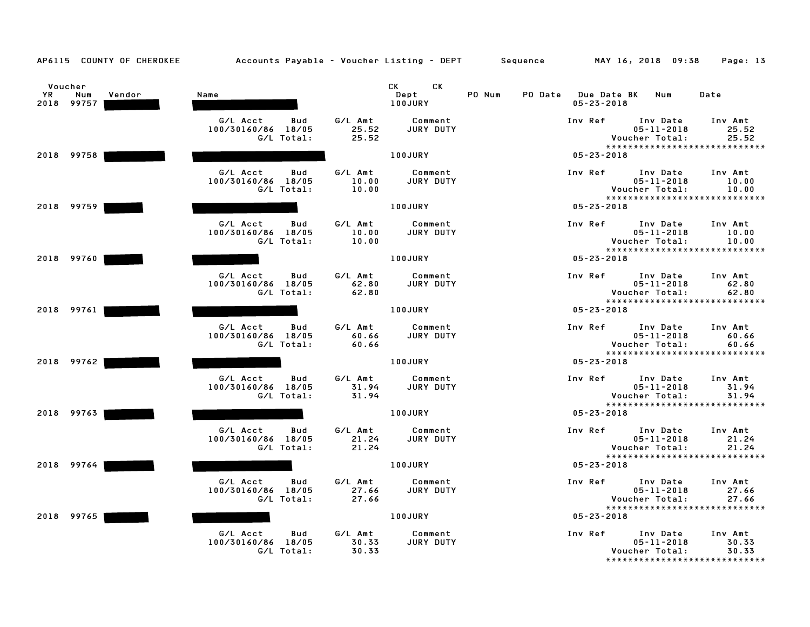| AP6115 COUNTY OF CHEROKEE       | Accounts Payable - Voucher Listing - DEPT Sequence MAY 16, 2018 09:38 |                           |                               |        |                         |                                                | Page: 13                                                   |
|---------------------------------|-----------------------------------------------------------------------|---------------------------|-------------------------------|--------|-------------------------|------------------------------------------------|------------------------------------------------------------|
| Voucher<br>YR.<br>Num<br>Vendor | Name                                                                  |                           | CK <sub>2</sub><br>CK<br>Dept | PO Num | PO Date Due Date BK Num |                                                | Date                                                       |
| 2018 99757                      |                                                                       |                           | 100JURY                       |        | $05 - 23 - 2018$        |                                                |                                                            |
|                                 | G/L Acct<br>Bud<br>100/30160/86 18/05<br>G/L Total:                   | G/L Amt<br>25.52<br>25.52 | Comment<br>JURY DUTY          |        | Inv Ref                 | Inv Date<br>$05 - 11 - 2018$<br>Voucher Total: | Inv Amt<br>25.52<br>25.52<br>***************************** |
| 2018 99758                      |                                                                       |                           | <b>100JURY</b>                |        | $05 - 23 - 2018$        |                                                |                                                            |
|                                 | G/L Acct<br>Bud<br>100/30160/86 18/05<br>G/L Total:                   | G/L Amt<br>10.00<br>10.00 | Comment<br>JURY DUTY          |        | Inv Ref                 | Inv Date<br>$05 - 11 - 2018$<br>Voucher Total: | Inv Amt<br>10.00<br>10.00<br>***************************** |
| 2018 99759                      |                                                                       |                           | 100JURY                       |        | $05 - 23 - 2018$        |                                                |                                                            |
|                                 | G/L Acct<br>Bud<br>100/30160/86 18/05<br>G/L Total:                   | G/L Amt<br>10.00<br>10.00 | Comment<br>JURY DUTY          |        | Inv Ref                 | Inv Date<br>$05 - 11 - 2018$<br>Voucher Total: | Inv Amt<br>10.00<br>10.00<br>***************************** |
| 2018 99760                      |                                                                       |                           | <b>100JURY</b>                |        | $05 - 23 - 2018$        |                                                |                                                            |
|                                 | G/L Acct<br>Bud<br>100/30160/86 18/05<br>G/L Total:                   | G/L Amt<br>62.80<br>62.80 | Comment<br>JURY DUTY          |        | Inv Ref                 | Inv Date<br>$05 - 11 - 2018$<br>Voucher Total: | Inv Amt<br>62.80<br>62.80<br>***************************** |
| 2018 99761                      |                                                                       |                           | 100JURY                       |        | $05 - 23 - 2018$        |                                                |                                                            |
|                                 | G/L Acct<br>Bud<br>100/30160/86 18/05<br>G/L Total:                   | G/L Amt<br>60.66<br>60.66 | Comment<br>JURY DUTY          |        | Inv Ref                 | Inv Date<br>$05 - 11 - 2018$<br>Voucher Total: | Inv Amt<br>60.66<br>60.66<br>***************************** |
| 2018 99762                      |                                                                       |                           | 100JURY                       |        | $05 - 23 - 2018$        |                                                |                                                            |
|                                 | G/L Acct<br>Bud<br>100/30160/86 18/05<br>G/L Total:                   | G/L Amt<br>31.94<br>31.94 | Comment<br>JURY DUTY          |        | Inv Ref Inv Date        | $05 - 11 - 2018$<br>Voucher Total:             | Inv Amt<br>31.94<br>31.94<br>***************************** |
| 2018 99763                      |                                                                       |                           | 100JURY                       |        | $05 - 23 - 2018$        |                                                |                                                            |
|                                 | G/L Acct<br>Bud<br>100/30160/86 18/05<br>G/L Total:                   | G/L Amt<br>21.24<br>21.24 | Comment<br>JURY DUTY          |        | Inv Ref                 | Inv Date<br>$05 - 11 - 2018$<br>Voucher Total: | Inv Amt<br>21.24<br>21.24                                  |
| 2018 99764                      |                                                                       |                           | 100JURY                       |        | $05 - 23 - 2018$        |                                                | *****************************                              |
|                                 | G/L Acct<br>Bud<br>100/30160/86 18/05<br>G/L Total:                   | G/L Amt<br>27.66<br>27.66 | Comment<br>JURY DUTY          |        | Inv Ref                 | Inv Date<br>$05 - 11 - 2018$<br>Voucher Total: | Inv Amt<br>27.66<br>27.66                                  |
| 2018 99765                      |                                                                       |                           | 100JURY                       |        | $05 - 23 - 2018$        |                                                | *****************************                              |
|                                 | G/L Acct<br>Bud<br>100/30160/86 18/05<br>G/L Total:                   | G/L Amt<br>30.33<br>30.33 | Comment<br>JURY DUTY          |        | Inv Ref                 | Inv Date<br>$05 - 11 - 2018$<br>Voucher Total: | Inv Amt<br>30.33<br>30.33<br>***************************** |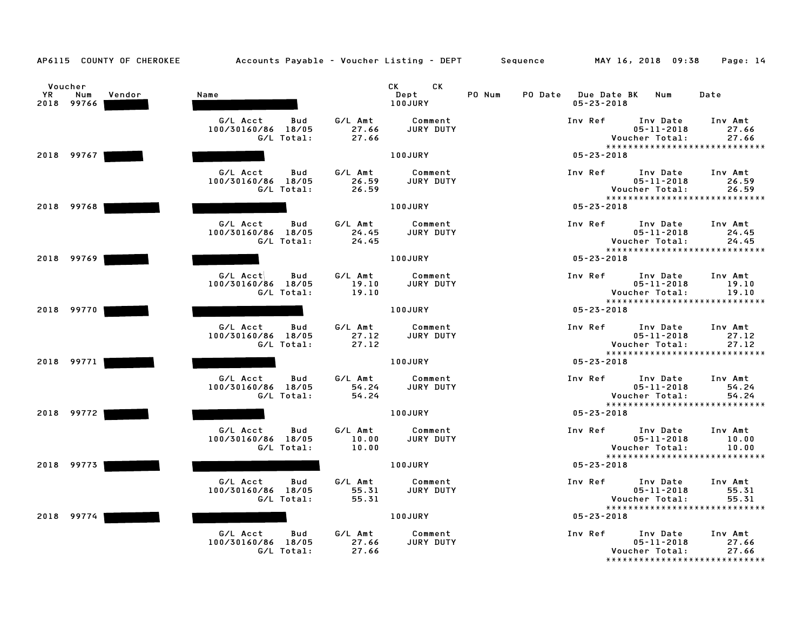| AP6115 COUNTY OF CHEROKEE                    | Accounts Payable – Voucher Listing – DEPT Sequence MAY 16, 2018 09:38 |                           |                                                                                                                                                                                                                                                         |        |                                         |                                                | Page: 14                                                   |
|----------------------------------------------|-----------------------------------------------------------------------|---------------------------|---------------------------------------------------------------------------------------------------------------------------------------------------------------------------------------------------------------------------------------------------------|--------|-----------------------------------------|------------------------------------------------|------------------------------------------------------------|
| Voucher<br>YR<br>Num<br>Vendor<br>2018 99766 | Name                                                                  |                           | CK the control of the control of the control of the control of the control of the control of the control of the control of the control of the control of the control of the control of the control of the control of the contr<br>CK<br>Dept<br>100JURY | PO Num | PO Date Due Date BK<br>$05 - 23 - 2018$ | Num                                            | Date                                                       |
|                                              | G/L Acct<br>Bud<br>100/30160/86 18/05<br>G/L Total:                   | G/L Amt<br>27.66<br>27.66 | Comment<br>JURY DUTY                                                                                                                                                                                                                                    |        | Inv Ref                                 | Inv Date<br>$05 - 11 - 2018$<br>Voucher Total: | Inv Amt<br>27.66<br>27.66<br>***************************** |
| 2018 99767                                   |                                                                       |                           | 100JURY                                                                                                                                                                                                                                                 |        | $05 - 23 - 2018$                        |                                                |                                                            |
|                                              | G/L Acct<br>Bud<br>100/30160/86 18/05<br>G/L Total:                   | G/L Amt<br>26.59<br>26.59 | Comment<br>JURY DUTY                                                                                                                                                                                                                                    |        | Inv Ref                                 | Inv Date<br>$05 - 11 - 2018$<br>Voucher Total: | Inv Amt<br>26.59<br>26.59<br>***************************** |
| 2018 99768                                   |                                                                       |                           | 100JURY                                                                                                                                                                                                                                                 |        | $05 - 23 - 2018$                        |                                                |                                                            |
|                                              | G/L Acct<br>Bud<br>100/30160/86 18/05<br>G/L Total:                   | G/L Amt<br>24.45<br>24.45 | Comment<br>JURY DUTY                                                                                                                                                                                                                                    |        | Inv Ref                                 | Inv Date<br>$05 - 11 - 2018$<br>Voucher Total: | Inv Amt<br>24.45<br>24.45<br>***************************** |
| 2018 99769                                   |                                                                       |                           | <b>100JURY</b>                                                                                                                                                                                                                                          |        | $05 - 23 - 2018$                        |                                                |                                                            |
|                                              | G/L Acct<br>Bud<br>100/30160/86 18/05<br>G/L Total:                   | G/L Amt<br>19.10<br>19.10 | Comment<br>JURY DUTY                                                                                                                                                                                                                                    |        | Inv Ref                                 | Inv Date<br>$05 - 11 - 2018$<br>Voucher Total: | Inv Amt<br>19.10<br>19.10<br>***************************** |
| 2018 99770                                   |                                                                       |                           | 100JURY                                                                                                                                                                                                                                                 |        | $05 - 23 - 2018$                        |                                                |                                                            |
|                                              | G/L Acct<br>Bud<br>100/30160/86 18/05<br>G/L Total:                   | G/L Amt<br>27.12<br>27.12 | Comment<br>JURY DUTY                                                                                                                                                                                                                                    |        | Inv Ref                                 | Inv Date<br>$05 - 11 - 2018$<br>Voucher Total: | Inv Amt<br>27.12<br>27.12<br>***************************** |
| 2018 99771                                   |                                                                       |                           | 100JURY                                                                                                                                                                                                                                                 |        | $05 - 23 - 2018$                        |                                                |                                                            |
|                                              | G/L Acct<br>Bud<br>100/30160/86 18/05<br>G/L Total:                   | G/L Amt<br>54.24<br>54.24 | Comment<br>JURY DUTY                                                                                                                                                                                                                                    |        | Inv Ref                                 | Inv Date<br>$05 - 11 - 2018$<br>Voucher Total: | Inv Amt<br>54.24<br>54.24<br>***************************** |
| 2018 99772                                   |                                                                       |                           | 100JURY                                                                                                                                                                                                                                                 |        | $05 - 23 - 2018$                        |                                                |                                                            |
|                                              | G/L Acct<br>Bud<br>100/30160/86 18/05<br>G/L Total:                   | G/L Amt<br>10.00<br>10.00 | Comment<br>JURY DUTY                                                                                                                                                                                                                                    |        | Inv Ref                                 | Inv Date<br>$05 - 11 - 2018$<br>Voucher Total: | Inv Amt<br>10.00<br>10.00                                  |
| 2018 99773                                   |                                                                       |                           | 100JURY                                                                                                                                                                                                                                                 |        | $05 - 23 - 2018$                        |                                                | ******************************                             |
|                                              | G/L Acct<br>Bud<br>100/30160/86 18/05<br>G/L Total:                   | G/L Amt<br>55.31<br>55.31 | Comment<br>JURY DUTY                                                                                                                                                                                                                                    |        | Inv Ref                                 | Inv Date<br>$05 - 11 - 2018$<br>Voucher Total: | Inv Amt<br>55.31<br>55.31<br>***************************** |
| 2018 99774                                   |                                                                       |                           | 100JURY                                                                                                                                                                                                                                                 |        | $05 - 23 - 2018$                        |                                                |                                                            |
|                                              | G/L Acct<br>Bud<br>100/30160/86 18/05<br>G/L Total:                   | G/L Amt<br>27.66<br>27.66 | Comment<br>JURY DUTY                                                                                                                                                                                                                                    |        | Inv Ref                                 | Inv Date<br>$05 - 11 - 2018$<br>Voucher Total: | Inv Amt<br>27.66<br>27.66<br>***************************** |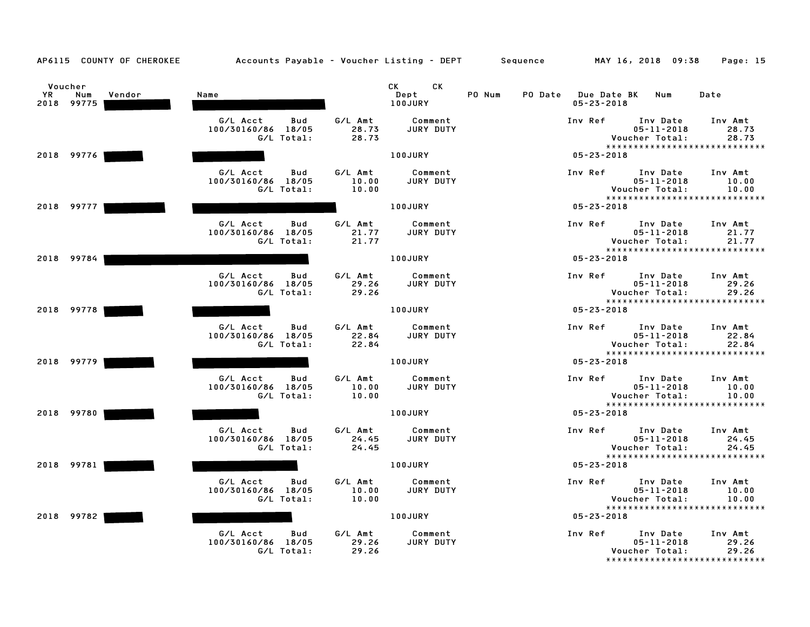| AP6115 COUNTY OF CHEROKEE                           | Accounts Payable – Voucher Listing – DEPT Sequence MAY 16, 2018 09:38 |                           |                                                                                                                                                                                                                                                         |        |                                             |                                                                                         | Page: 15                  |
|-----------------------------------------------------|-----------------------------------------------------------------------|---------------------------|---------------------------------------------------------------------------------------------------------------------------------------------------------------------------------------------------------------------------------------------------------|--------|---------------------------------------------|-----------------------------------------------------------------------------------------|---------------------------|
| Voucher<br><b>YR</b><br>Num<br>Vendor<br>2018 99775 | Name                                                                  |                           | CK<br>CK the control of the control of the control of the control of the control of the control of the control of the control of the control of the control of the control of the control of the control of the control of the contr<br>Dept<br>100JURY | PO Num | PO Date Due Date BK Num<br>$05 - 23 - 2018$ |                                                                                         | Date                      |
|                                                     | G/L Acct<br>Bud<br>100/30160/86 18/05<br>G/L Total:                   | G/L Amt<br>28.73<br>28.73 | Comment<br>JURY DUTY                                                                                                                                                                                                                                    |        | Inv Ref                                     | Inv Date<br>$05 - 11 - 2018$<br>Voucher Total:<br>*****************************         | Inv Amt<br>28.73<br>28.73 |
| 2018 99776                                          |                                                                       |                           | 100JURY                                                                                                                                                                                                                                                 |        | $05 - 23 - 2018$                            |                                                                                         |                           |
|                                                     | G/L Acct<br>Bud<br>100/30160/86 18/05<br>G/L Total:                   | G/L Amt<br>10.00<br>10.00 | Comment<br>JURY DUTY                                                                                                                                                                                                                                    |        | Inv Ref                                     | Inv Date<br>$05 - 11 - 2018$<br>Voucher Total:<br>*****************************         | Inv Amt<br>10.00<br>10.00 |
| 2018 99777                                          |                                                                       |                           | <b>100JURY</b>                                                                                                                                                                                                                                          |        | $05 - 23 - 2018$                            |                                                                                         |                           |
|                                                     | G/L Acct<br>Bud<br>100/30160/86 18/05<br>G/L Total:                   | G/L Amt<br>21.77<br>21.77 | Comment<br>JURY DUTY                                                                                                                                                                                                                                    |        | Inv Ref                                     | Inv Date<br>$05 - 11 - 2018$<br>Voucher Total:<br>*****************************         | Inv Amt<br>21.77<br>21.77 |
| 2018 99784                                          |                                                                       |                           | <b>100JURY</b>                                                                                                                                                                                                                                          |        | $05 - 23 - 2018$                            |                                                                                         |                           |
|                                                     | G/L Acct<br>Bud<br>100/30160/86 18/05<br>G/L Total:                   | G/L Amt<br>29.26<br>29.26 | Comment<br>JURY DUTY                                                                                                                                                                                                                                    |        | Inv Ref                                     | Inv Date<br>$05 - 11 - 2018$<br>Voucher Total:<br>*****************************         | Inv Amt<br>29.26<br>29.26 |
| 2018 99778                                          |                                                                       |                           | <b>100JURY</b>                                                                                                                                                                                                                                          |        | $05 - 23 - 2018$                            |                                                                                         |                           |
|                                                     | G/L Acct<br>Bud<br>100/30160/86 18/05<br>G/L Total:                   | G/L Amt<br>22.84<br>22.84 | Comment<br>JURY DUTY                                                                                                                                                                                                                                    |        | Inv Ref                                     | Inv Date<br>$05 - 11 - 2018$<br>Voucher Total:<br>*****************************         | Inv Amt<br>22.84<br>22.84 |
| 2018 99779                                          |                                                                       |                           | <b>100JURY</b>                                                                                                                                                                                                                                          |        | $05 - 23 - 2018$                            |                                                                                         |                           |
|                                                     | G/L Acct<br>Bud<br>100/30160/86 18/05<br>G/L Total:                   | G/L Amt<br>10.00<br>10.00 | Comment<br>JURY DUTY                                                                                                                                                                                                                                    |        |                                             | Inv Ref Inv Date<br>$05 - 11 - 2018$<br>Voucher Total:<br>***************************** | Inv Amt<br>10.00<br>10.00 |
| 2018 99780                                          |                                                                       |                           | <b>100JURY</b>                                                                                                                                                                                                                                          |        | $05 - 23 - 2018$                            |                                                                                         |                           |
|                                                     | G/L Acct<br>Bud<br>100/30160/86 18/05<br>G/L Total:                   | G/L Amt<br>24.45<br>24.45 | Comment<br>JURY DUTY                                                                                                                                                                                                                                    |        | Inv Ref                                     | Inv Date<br>$05 - 11 - 2018$<br>Voucher Total:                                          | Inv Amt<br>24.45<br>24.45 |
| 2018 99781                                          |                                                                       |                           | <b>100JURY</b>                                                                                                                                                                                                                                          |        | $05 - 23 - 2018$                            | *****************************                                                           |                           |
|                                                     | G/L Acct<br>Bud<br>100/30160/86 18/05<br>G/L Total:                   | G/L Amt<br>10.00<br>10.00 | Comment<br>JURY DUTY                                                                                                                                                                                                                                    |        | Inv Ref                                     | Inv Date<br>$05 - 11 - 2018$<br>Voucher Total:<br>*****************************         | Inv Amt<br>10.00<br>10.00 |
| 2018 99782                                          |                                                                       |                           | 100JURY                                                                                                                                                                                                                                                 |        | $05 - 23 - 2018$                            |                                                                                         |                           |
|                                                     | G/L Acct<br>Bud<br>100/30160/86 18/05<br>G/L Total:                   | G/L Amt<br>29.26<br>29.26 | Comment<br>JURY DUTY                                                                                                                                                                                                                                    |        | Inv Ref                                     | Inv Date<br>$05 - 11 - 2018$<br>Voucher Total:                                          | Inv Amt<br>29.26<br>29.26 |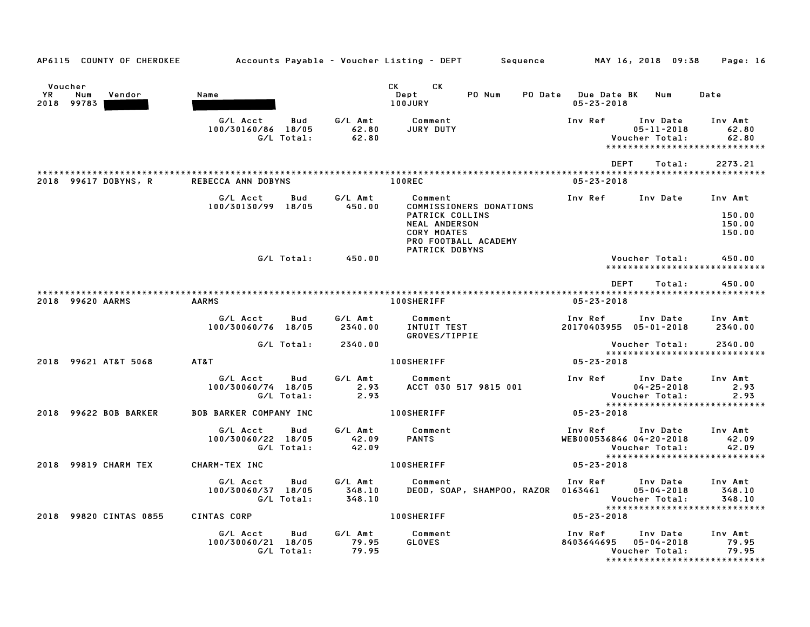| AP6115 COUNTY OF CHEROKEE                    |                                                     |                             | Accounts Payable – Voucher Listing – DEPT         Sequence                                                                                    | MAY 16, 2018 09:38<br>Page: 16                                                                                                          |
|----------------------------------------------|-----------------------------------------------------|-----------------------------|-----------------------------------------------------------------------------------------------------------------------------------------------|-----------------------------------------------------------------------------------------------------------------------------------------|
| Voucher<br>YR<br>Num<br>Vendor<br>2018 99783 | Name                                                |                             | CK <sub>2</sub><br><b>CK</b><br>Dept<br>PO Num<br>100JURY                                                                                     | PO Date Due Date BK<br>Num<br>Date<br>$05 - 23 - 2018$                                                                                  |
|                                              | G/L Acct<br>Bud<br>100/30160/86 18/05<br>G/L Total: | G/L Amt<br>62.80<br>62.80   | Comment<br>JURY DUTY                                                                                                                          | Inv Ref<br>Inv Date<br>Inv Amt<br>$05 - 11 - 2018$<br>62.80<br>Voucher Total:<br>62.80<br>*****************************                 |
| 2018 99617 DOBYNS, R                         | REBECCA ANN DOBYNS                                  |                             | <b>100REC</b>                                                                                                                                 | <b>DEPT</b><br>Total:<br>2273.21<br>$05 - 23 - 2018$                                                                                    |
|                                              | G/L Acct<br>Bud<br>100/30130/99 18/05               | G/L Amt<br>450.00           | Comment<br>COMMISSIONERS DONATIONS<br>PATRICK COLLINS<br><b>NEAL ANDERSON</b><br><b>CORY MOATES</b><br>PRO FOOTBALL ACADEMY<br>PATRICK DOBYNS | Inv Ref<br>Inv Date<br>Inv Amt<br>150.00<br>150.00<br>150.00                                                                            |
|                                              | G/L Total:                                          | 450.00                      |                                                                                                                                               | 450.00<br>Voucher Total:<br>*****************************                                                                               |
| 2018 99620 AARMS                             | <b>AARMS</b>                                        |                             | 100SHERIFF                                                                                                                                    | <b>DEPT</b><br>Total:<br>450.00<br>$05 - 23 - 2018$                                                                                     |
|                                              | G/L Acct<br>Bud<br>100/30060/76 18/05               | G/L Amt<br>2340.00          | Comment<br>INTUIT TEST<br>GROVES/TIPPIE                                                                                                       | Inv Date<br>Inv Ref<br>Inv Amt<br>20170403955 05-01-2018<br>2340.00                                                                     |
| 2018 99621 AT&T 5068                         | G/L Total:<br>AT&T                                  | 2340.00                     | <b>100SHERIFF</b>                                                                                                                             | Voucher Total:<br>2340.00<br>*****************************<br>$05 - 23 - 2018$                                                          |
|                                              | G/L Acct<br>Bud<br>100/30060/74 18/05<br>G/L Total: | G/L Amt<br>2.93<br>2.93     | Comment<br>ACCT 030 517 9815 001                                                                                                              | Inv Amt<br>Inv Ref<br>Inv Date<br>$04 - 25 - 2018$<br>2.93<br>Voucher Total:<br>2.93<br>*****************************                   |
| 2018 99622 BOB BARKER                        | <b>BOB BARKER COMPANY INC</b>                       |                             | <b>100SHERIFF</b>                                                                                                                             | $05 - 23 - 2018$                                                                                                                        |
|                                              | G/L Acct<br>Bud<br>100/30060/22 18/05<br>G/L Total: | G/L Amt<br>42.09<br>42.09   | Comment<br><b>PANTS</b>                                                                                                                       | Inv Ref<br>Inv Date<br>Inv Amt<br>WEB000536846 04-20-2018<br>42.09<br>42.09<br>Voucher Total:                                           |
| 2018 99819 CHARM TEX                         | CHARM-TEX INC                                       |                             | <b>100SHERIFF</b>                                                                                                                             | *****************************<br>$05 - 23 - 2018$                                                                                       |
|                                              | G/L Acct<br>Bud<br>100/30060/37 18/05<br>G/L Total: | G/L Amt<br>348.10<br>348.10 | Comment<br>DEOD, SOAP, SHAMPOO, RAZOR 0163461                                                                                                 | Inv Ref<br>Inv Date<br>Inv Amt<br>$05 - 04 - 2018$<br>348.10<br>Voucher Total:<br>348.10<br>******************************              |
| 2018 99820 CINTAS 0855                       | CINTAS CORP                                         |                             | <b>100SHERIFF</b>                                                                                                                             | $05 - 23 - 2018$                                                                                                                        |
|                                              | G/L Acct<br>Bud<br>100/30060/21 18/05<br>G/L Total: | G/L Amt<br>79.95<br>79.95   | Comment<br><b>GLOVES</b>                                                                                                                      | Inv Ref<br>Inv Date<br>Inv Amt<br>8403644695<br>$05 - 04 - 2018$<br>79.95<br>Voucher Total:<br>79.95<br>******************************* |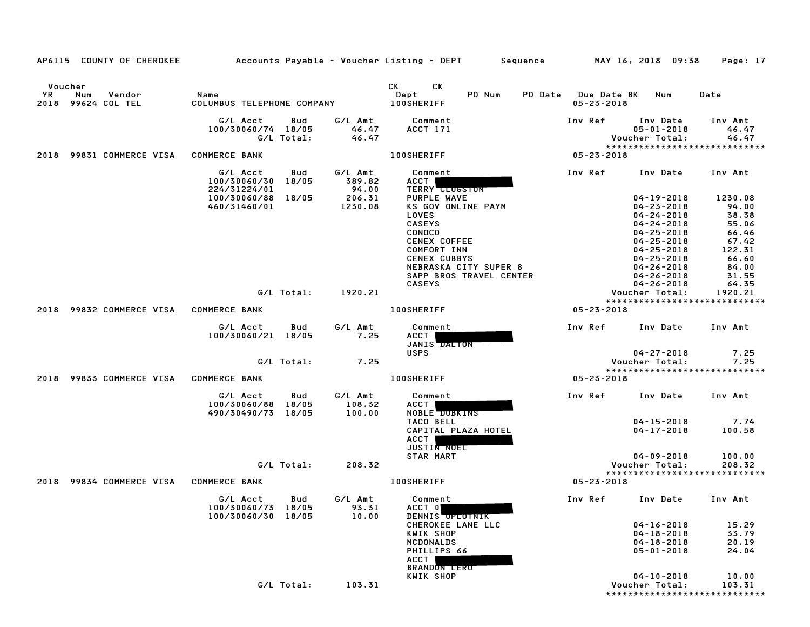| AP6115 COUNTY OF CHEROKEE                 |                                                      |                                                | Accounts Payable – Voucher Listing – DEPT       Sequence         MAY 16, 2018  09:38                                                                                                   |                                                                                                                                                                                    | Page: 17                                                                                  |
|-------------------------------------------|------------------------------------------------------|------------------------------------------------|----------------------------------------------------------------------------------------------------------------------------------------------------------------------------------------|------------------------------------------------------------------------------------------------------------------------------------------------------------------------------------|-------------------------------------------------------------------------------------------|
| Voucher                                   |                                                      |                                                | CK CK                                                                                                                                                                                  |                                                                                                                                                                                    |                                                                                           |
| YR<br>Num<br>Vendor<br>2018 99624 COL TEL | Name<br>COLUMBUS TELEPHONE COMPANY                   |                                                | Dept<br>PO Num<br><b>100SHERIFF</b>                                                                                                                                                    | PO Date Due Date BK<br>Num<br>$05 - 23 - 2018$                                                                                                                                     | Date                                                                                      |
|                                           | G/L Acct<br>100/30060/74 18/05                       | G/L Amt<br>Bud<br>46.47<br>G/L Total:<br>46.47 | Comment<br>ACCT 171                                                                                                                                                                    | Inv Ref<br>Inv Date<br>$05 - 01 - 2018$<br>Voucher Total:                                                                                                                          | Inv Amt<br>46.47<br>46.47                                                                 |
| 2018 99831 COMMERCE VISA                  | <b>COMMERCE BANK</b>                                 |                                                | <b>100SHERIFF</b>                                                                                                                                                                      | *****************************<br>05-23-2018                                                                                                                                        |                                                                                           |
|                                           | G/L Acct<br>100/30060/30 18/05<br>224/31224/01       | G/L Amt<br>Bud<br>389.82<br>94.00              | Comment<br><b>ACCT</b><br><b>TERRY CLUGSTON</b>                                                                                                                                        | Inv Ref<br>Inv Date                                                                                                                                                                | Inv Amt                                                                                   |
|                                           | 100/30060/88 18/05<br>460/31460/01                   | 206.31<br>1230.08                              | PURPLE WAVE<br>KS GOV ONLINE PAYM<br>LOVES<br><b>CASEYS</b><br><b>CONOCO</b><br>CENEX COFFEE<br>COMFORT INN<br><b>CENEX CUBBYS</b><br>NEBRASKA CITY SUPER 8<br>SAPP BROS TRAVEL CENTER | $04 - 19 - 2018$<br>$04 - 23 - 2018$<br>$04 - 24 - 2018$<br>$04 - 24 - 2018$<br>$04 - 25 - 2018$<br>$04 - 25 - 2018$<br>$04 - 25 - 2018$<br>04-25-2018<br>04-26-2018<br>04-26-2018 | 1230.08<br>94.00<br>38.38<br>55.06<br>66.46<br>67.42<br>122.31<br>66.60<br>84.00<br>31.55 |
|                                           |                                                      | G/L Total:<br>1920.21                          | <b>CASEYS</b>                                                                                                                                                                          | $04 - 26 - 2018$<br>Voucher Total:                                                                                                                                                 | 64.35<br>1920.21                                                                          |
| 2018 99832 COMMERCE VISA COMMERCE BANK    |                                                      |                                                | <b>100SHERIFF</b>                                                                                                                                                                      | *****************************<br>$05 - 23 - 2018$                                                                                                                                  |                                                                                           |
|                                           | G/L Acct<br>100/30060/21 18/05                       | Bud<br>G/L Amt<br>7.25                         | Comment<br>ACCT  <br>JANIS DALTON                                                                                                                                                      | Inv Ref                                                                                                                                                                            | Inv Date Inv Amt                                                                          |
|                                           |                                                      | G/L Total:<br>7.25                             | <b>USPS</b>                                                                                                                                                                            | $04 - 27 - 2018$<br>Voucher Total:                                                                                                                                                 | 7.25<br>7.25                                                                              |
| 2018 99833 COMMERCE VISA                  | <b>COMMERCE BANK</b>                                 |                                                | <b>100SHERIFF</b>                                                                                                                                                                      | *****************************<br>05-23-2018                                                                                                                                        |                                                                                           |
|                                           | G/L Acct<br>100/30060/88 18/05<br>490/30490/73 18/05 | G/L Amt<br>Bud<br>108.32<br>100.00             | Comment<br>ACCT<br>NOBLE <b>TOBKINS</b>                                                                                                                                                | Inv Ref<br>Inv Date                                                                                                                                                                | Inv Amt                                                                                   |
|                                           |                                                      |                                                | TACO BELL<br>CAPITAL PLAZA HOTEL<br><b>ACCT</b><br><b>JUSTIN NOEL</b>                                                                                                                  | $04 - 15 - 2018$<br>$04 - 17 - 2018$                                                                                                                                               | 7.74<br>100.58                                                                            |
|                                           |                                                      | G/L Total:<br>208.32                           | STAR MART                                                                                                                                                                              | $04 - 09 - 2018$<br>Voucher Total:                                                                                                                                                 | 100.00<br>208.32                                                                          |
| 2018 99834 COMMERCE VISA                  | <b>COMMERCE BANK</b>                                 |                                                | <b>100SHERIFF</b>                                                                                                                                                                      | ******************************<br>05-23-2018                                                                                                                                       |                                                                                           |
|                                           | 100/30060/73 18/05<br>100/30060/30 18/05             | G/L Acct Bud G/L Amt Comment<br>93.31<br>10.00 | ACCT 0<br>DENNIS OPLOINIK                                                                                                                                                              | Inv Ref      Inv Date                                                                                                                                                              | Inv Amt                                                                                   |
|                                           |                                                      |                                                | CHEROKEE LANE LLC<br>KWIK SHOP<br>MCDONALDS<br>PHILLIPS 66<br><b>ACCT</b><br><b>BRANDON LERO</b>                                                                                       | $04 - 16 - 2018$<br>$04 - 18 - 2018$<br>$04 - 18 - 2018$<br>$05 - 01 - 2018$                                                                                                       | 15.29<br>33.79<br>20.19<br>24.04                                                          |
|                                           |                                                      | G/L Total:<br>103.31                           | KWIK SHOP                                                                                                                                                                              | $04 - 10 - 2018$<br>Voucher Total:                                                                                                                                                 | 10.00<br>103.31                                                                           |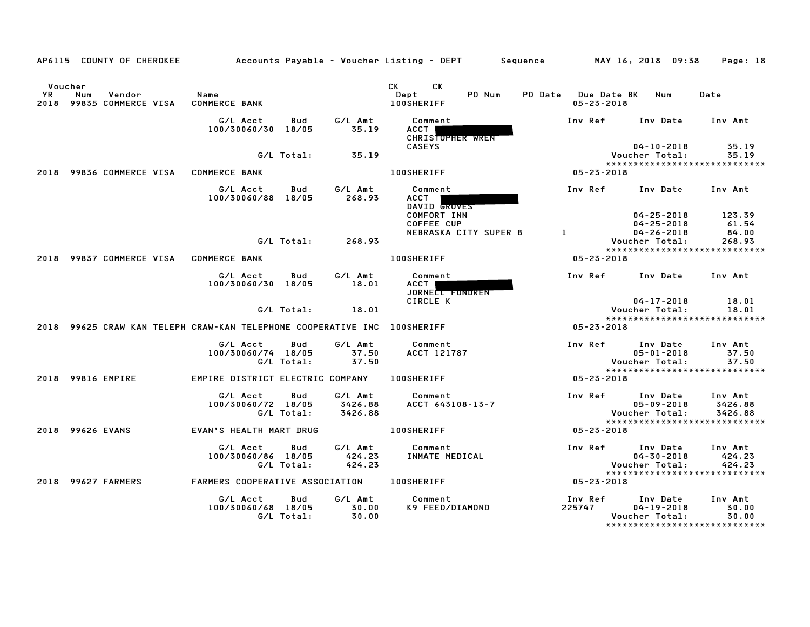|                        | AP6115 COUNTY OF CHEROKEE                                     |                                  |                   |                               | Accounts Payable – Voucher Listing – DEPT         Sequence |                |                                 | MAY 16, 2018 09:38                                                                      | Page: 18                      |
|------------------------|---------------------------------------------------------------|----------------------------------|-------------------|-------------------------------|------------------------------------------------------------|----------------|---------------------------------|-----------------------------------------------------------------------------------------|-------------------------------|
| Voucher<br>YR.<br>2018 | Num<br>Vendor<br>99835 COMMERCE VISA                          | Name<br><b>COMMERCE BANK</b>     |                   |                               | СK<br>CK<br>PO Num<br>Dept<br><b>100SHERIFF</b>            | <b>PO Date</b> | Due Date BK<br>$05 - 23 - 2018$ | Num                                                                                     | Date                          |
|                        |                                                               | G/L Acct<br>100/30060/30         | Bud<br>18/05      | G/L Amt<br>35.19              | Comment<br><b>ACCT</b><br>CHRISTOPHER WREN                 |                | Inv Ref                         | Inv Date                                                                                | Inv Amt                       |
|                        |                                                               |                                  | G/L Total:        | 35.19                         | <b>CASEYS</b>                                              |                |                                 | $04 - 10 - 2018$<br>Voucher Total:                                                      | 35.19<br>35.19                |
| 2018                   | 99836 COMMERCE VISA                                           | <b>COMMERCE BANK</b>             |                   |                               | <b>100SHERIFF</b>                                          |                | $05 - 23 - 2018$                | *****************************                                                           |                               |
|                        |                                                               | G/L Acct<br>100/30060/88 18/05   | Bud               | G/L Amt<br>268.93             | Comment<br>ACCT<br>DAVID GROVES<br>COMFORT INN             |                | Inv Ref                         | Inv Date<br>$04 - 25 - 2018$                                                            | Inv Amt<br>123.39             |
|                        |                                                               |                                  | G/L Total:        | 268.93                        | COFFEE CUP<br>NEBRASKA CITY SUPER 8                        | $\bf{1}$       |                                 | $04 - 25 - 2018$<br>$04 - 26 - 2018$<br>Voucher Total:<br>***************************** | 61.54<br>84.00<br>268.93      |
| 2018                   | 99837 COMMERCE VISA                                           | <b>COMMERCE BANK</b>             |                   |                               | <b>100SHERIFF</b>                                          |                | $05 - 23 - 2018$                |                                                                                         |                               |
|                        |                                                               | G/L Acct<br>100/30060/30 18/05   | Bud               | G/L Amt<br>18.01              | Comment<br>ACCT<br>JORNELL FONDREN                         |                | Inv Ref                         | Inv Date                                                                                | Inv Amt                       |
|                        |                                                               |                                  | G/L Total:        | 18.01                         | CIRCLE K                                                   |                |                                 | $04 - 17 - 2018$<br>Voucher Total:<br>*****************************                     | 18.01<br>18.01                |
|                        | 2018 99625 CRAW KAN TELEPH CRAW-KAN TELEPHONE COOPERATIVE INC |                                  |                   |                               | <b>100SHERIFF</b>                                          |                | $05 - 23 - 2018$                |                                                                                         |                               |
|                        |                                                               | G/L Acct<br>100/30060/74 18/05   | Bud<br>G/L Total: | G/L Amt<br>37.50<br>37.50     | Comment<br>ACCT 121787                                     |                | Inv Ref                         | Inv Date<br>$05 - 01 - 2018$<br>Voucher Total:<br>*****************************         | Inv Amt<br>37.50<br>37.50     |
|                        | 2018 99816 EMPIRE                                             | EMPIRE DISTRICT ELECTRIC COMPANY |                   |                               | <b>100SHERIFF</b>                                          |                | $05 - 23 - 2018$                |                                                                                         |                               |
|                        |                                                               | G/L Acct<br>100/30060/72 18/05   | Bud<br>G/L Total: | G/L Amt<br>3426.88<br>3426.88 | Comment<br>ACCT 643108-13-7                                |                | Inv Ref                         | Inv Date<br>$05 - 09 - 2018$<br>Voucher Total:<br>******************************        | Inv Amt<br>3426.88<br>3426.88 |
|                        | 2018 99626 EVANS                                              | EVAN'S HEALTH MART DRUG          |                   |                               | 100SHERIFF                                                 |                | $05 - 23 - 2018$                |                                                                                         |                               |
|                        |                                                               | G/L Acct<br>100/30060/86 18/05   | Bud<br>G/L Total: | G/L Amt<br>424.23<br>424.23   | Comment<br>INMATE MEDICAL                                  |                | Inv Ref                         | Inv Date<br>$04 - 30 - 2018$<br>Voucher Total:<br>*****************************         | Inv Amt<br>424.23<br>424.23   |
|                        | 2018 99627 FARMERS                                            | FARMERS COOPERATIVE ASSOCIATION  |                   |                               | <b>100SHERIFF</b>                                          |                | 05-23-2018                      |                                                                                         |                               |
|                        |                                                               | G/L Acct<br>100/30060/68 18/05   | Bud<br>G/L Total: | G/L Amt<br>30.00<br>30.00     | Comment<br>K9 FEED/DIAMOND                                 |                | Inv Ref<br>225747               | Inv Date<br>$04 - 19 - 2018$<br>Voucher Total:<br>*****************************         | Inv Amt<br>30.00<br>30.00     |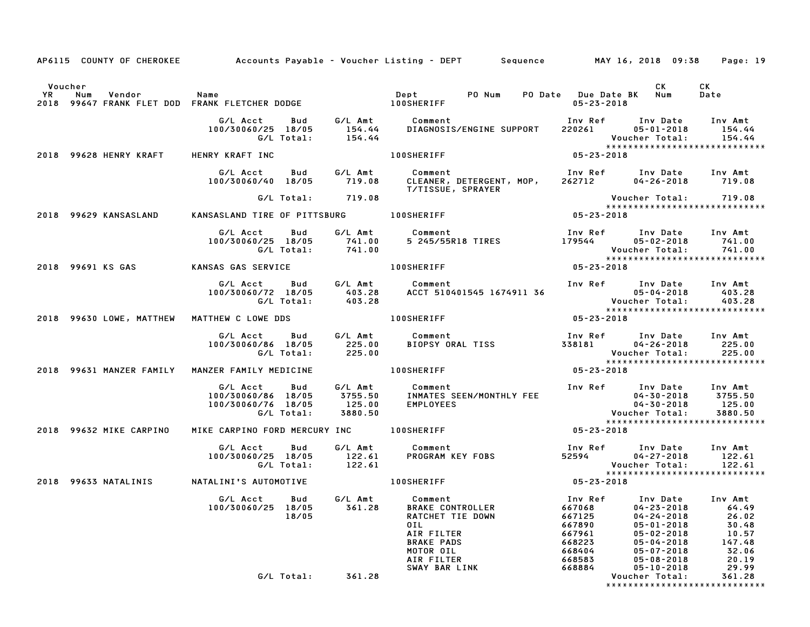|         |                          |                                                          |                   |                              | AP6115 COUNTY OF CHEROKEE Accounts Payable - Voucher Listing - DEPT Sequence MAY 16, 2018 09:38 Page: 19                                                          |                                                                    |                                                                                                                                                                               |                                                              |
|---------|--------------------------|----------------------------------------------------------|-------------------|------------------------------|-------------------------------------------------------------------------------------------------------------------------------------------------------------------|--------------------------------------------------------------------|-------------------------------------------------------------------------------------------------------------------------------------------------------------------------------|--------------------------------------------------------------|
| Voucher |                          |                                                          |                   |                              |                                                                                                                                                                   | 05-23-2018                                                         | CK<br>PO Date Due Date BK Num                                                                                                                                                 | CK<br>Date                                                   |
|         |                          | 100/30060/25 18/05                                       | G/L Total:        | 154.44                       | G/L Acct Bud G/L Amt Comment<br>100/30060/25 18/05 154.44 DIAGNOSIS/ENGINE SUPPORT                                                                                |                                                                    | Inv Ref Inv Date Inv Amt<br>220261 05-01-2018<br>Voucher Total:<br>*****************************                                                                              | 154.44<br>154.44                                             |
|         | 2018 99628 HENRY KRAFT   | HENRY KRAFT INC                                          |                   |                              | <b>100SHERIFF</b>                                                                                                                                                 | $05 - 23 - 2018$                                                   |                                                                                                                                                                               |                                                              |
|         |                          | G/L Acct<br>100/30060/40 18/05                           | Bud               | 719.08                       | G/L Amt Comment<br>CLEANER, DETERGENT, MOP,<br>T/TISSUE, SPRAYER                                                                                                  |                                                                    | Inv Ref      Inv Date    Inv Amt<br>262712          04-26-2018        719.08                                                                                                  |                                                              |
|         |                          |                                                          |                   | G/L Total: 719.08            |                                                                                                                                                                   |                                                                    | *****************************                                                                                                                                                 |                                                              |
|         | 2018 99629 KANSASLAND    |                                                          |                   |                              |                                                                                                                                                                   |                                                                    |                                                                                                                                                                               |                                                              |
|         |                          | G/L Acct<br>100/30060/25 18/05                           | Bud<br>G/L Total: | 741.00                       | G/L Amt            Comment<br>741.00        5 245/55R<br>5 245/55R18 TIRES                                                                                        |                                                                    | Inv Ref       Inv Date     Inv Amt<br>179544         05–02–2018       741.00<br>Voucher Total:         741.00<br>*****************************                                |                                                              |
|         | 2018 99691 KS GAS        | KANSAS GAS SERVICE                                       |                   |                              | <b>100SHERIFF</b>                                                                                                                                                 | 05-23-2018                                                         |                                                                                                                                                                               |                                                              |
|         |                          | G/L Acct<br>100/30060/72 18/05<br>G/L Total:             |                   |                              | Bud G/L Amt Comment                                                                                                                                               |                                                                    |                                                                                                                                                                               |                                                              |
|         | 2018 99630 LOWE, MATTHEW | MATTHEW C LOWE DDS                                       |                   |                              | <b>100SHERIFF</b>                                                                                                                                                 | $05 - 23 - 2018$                                                   |                                                                                                                                                                               |                                                              |
|         |                          | 100/30060/86 18/05                                       | G/L Total:        | 225.00<br>225.00             | G/L Acct Bud G/L Amt Comment<br>BIOPSY ORAL TISS                                                                                                                  |                                                                    | Inv Ref Inv Date Inv Amt<br>338181 04-26-2018<br>Voucher Total:<br>*****************************                                                                              | 225.00<br>225.00                                             |
|         | 2018 99631 MANZER FAMILY | MANZER FAMILY MEDICINE                                   |                   |                              | 100SHERIFF                                                                                                                                                        | 05-23-2018                                                         |                                                                                                                                                                               |                                                              |
|         |                          | G/L Acct Bud<br>100/30060/86 18/05<br>100/30060/76 18/05 | G/L Total:        | 125.00<br>3880.50<br>3880.50 | G/L Amt Comment<br>3755.50 INMATES SEEN/MONTHLY FEE<br><b>EMPLOYEES</b>                                                                                           |                                                                    | Inv Ref Inv Date Inv Amt<br>04-30-2018 3755.50<br>04-30-2018 125.00<br>04-30-2018 - 04-30<br>25.00 Voucher Total: 5880.50                                                     |                                                              |
|         | 2018 99632 MIKE CARPINO  |                                                          |                   |                              | MIKE CARPINO FORD MERCURY INC 100SHERIFF                                                                                                                          | $05 - 23 - 2018$                                                   | *****************************                                                                                                                                                 |                                                              |
|         |                          | G/L Acct<br>100/30060/25 18/05                           | <b>Bud</b>        | G/L Total: 122.61            | G/L Amt         Comment<br>122.61        PROGRAM  KEY  FOBS                                                                                                       |                                                                    | Inv Ref      Inv Date    Inv Amt<br>52594             04-27-2018         122.61<br>Voucher Total:<br>******************************                                           | 122.61                                                       |
|         | 2018 99633 NATALINIS     |                                                          |                   |                              |                                                                                                                                                                   | 05-23-2018                                                         |                                                                                                                                                                               |                                                              |
|         |                          | 100/30060/25 18/05                                       | 18/05             | 361.28                       | G/L Acct      Bud      G/L Amt        Comment<br><b>BRAKE CONTROLLER</b><br>RATCHET TIE DOWN<br>OIL<br>AIR FILTER<br><b>BRAKE PADS</b><br>MOTOR OIL<br>AIR FILTER | 667068<br>667125<br>667890<br>667961<br>668223<br>668404<br>668583 | Inv Ref      Inv Date     Inv Amt<br>$04 - 23 - 2018$<br>$04 - 24 - 2018$<br>$05 - 01 - 2018$<br>$05 - 02 - 2018$<br>$05 - 04 - 2018$<br>$05 - 07 - 2018$<br>$05 - 08 - 2018$ | 64.49<br>26.02<br>30.48<br>10.57<br>147.48<br>32.06<br>20.19 |
|         |                          |                                                          | G/L Total:        | 361.28                       | SWAY BAR LINK                                                                                                                                                     | 668884                                                             | $05 - 10 - 2018$<br>Voucher Total:<br>*****************************                                                                                                           | 29.99<br>361.28                                              |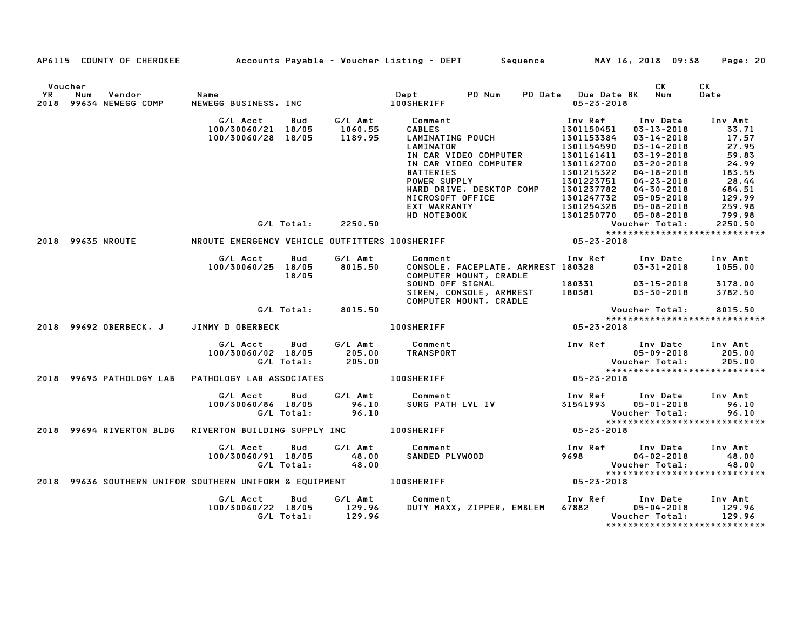|               | AP6115 COUNTY OF CHEROKEE               |                                                                    |                           | Accounts Payable – Voucher Listing – DEPT       Sequence         MAY 16, 2018  09:38                                                                                                                                                                              |                                                                                                                                                                   |                                                                                                                                                                                                                                      | Page: 20                                                                                                        |
|---------------|-----------------------------------------|--------------------------------------------------------------------|---------------------------|-------------------------------------------------------------------------------------------------------------------------------------------------------------------------------------------------------------------------------------------------------------------|-------------------------------------------------------------------------------------------------------------------------------------------------------------------|--------------------------------------------------------------------------------------------------------------------------------------------------------------------------------------------------------------------------------------|-----------------------------------------------------------------------------------------------------------------|
| Voucher<br>YR | Num<br>Vendor<br>2018 99634 NEWEGG COMP | Name                                                               |                           |                                                                                                                                                                                                                                                                   | PO Date Due Date BK<br>$05 - 23 - 2018$                                                                                                                           | CK<br>Num                                                                                                                                                                                                                            | CK<br>Date                                                                                                      |
|               |                                         | G/L Acct<br>Bud<br>100/30060/21 18/05<br>100/30060/28 18/05        | 1060.55<br>1189.95        | G/L Amt Comment<br><b>CABLES</b><br><b>LAMINATING POUCH<br/>LAMINATOR<br/>IN CAR VIDEO COMPUTER<br/>IN CAR VIDEO COMPUTER<br/>BATTERIES<br/>POWER SUPPLY<br/>HARD DRIVE, DESKTOP COMP<br/>MICROSOET OFFIET</b><br>MICROSOFT OFFICE<br>EXT WARRANTY<br>HD NOTEBOOK | Inv Ref<br>1301150451<br>1301153384<br>1301154590<br>1301161611<br>1301162700<br>1301215322<br>1301223751<br>1301237782<br>1301247732<br>1301254328<br>1301250770 | Inv Date<br>$03 - 13 - 2018$<br>$03 - 14 - 2018$<br>$03 - 14 - 2018$<br>$03 - 19 - 2018$<br>$03 - 20 - 2018$<br>$04 - 18 - 2018$<br>$04 - 23 - 2018$<br>$04 - 30 - 2018$<br>$05 - 05 - 2018$<br>$05 - 08 - 2018$<br>$05 - 08 - 2018$ | Inv Amt<br>33.71<br>17.57<br>27.95<br>59.83<br>24.99<br>183.55<br>28.44<br>684.51<br>129.99<br>259.98<br>799.98 |
|               |                                         | G/L Total:                                                         | 2250.50                   |                                                                                                                                                                                                                                                                   |                                                                                                                                                                   | Voucher Total:                                                                                                                                                                                                                       | 2250.50<br>*****************************                                                                        |
|               | 2018 99635 NROUTE                       |                                                                    |                           | *****<br>05-23-2018 NROUTE EMERGENCY VEHICLE OUTFITTERS 100SHERIFF                                                                                                                                                                                                |                                                                                                                                                                   |                                                                                                                                                                                                                                      |                                                                                                                 |
|               |                                         | G/L Acct<br>Bud<br>100/30060/25 18/05<br>18/05                     | G/L Amt<br>8015.50        | Inv Ref Inv Date<br>Comment<br>CONSOLE, FACEPLATE, ARMREST 180328<br>COMPUTER MOUNT, CRADLE<br>SOUND OFF SIGNAL<br>SIREN, CONSOLE, ARMREST 180381 03-30-2018                                                                                                      |                                                                                                                                                                   | $03 - 31 - 2018$                                                                                                                                                                                                                     | Inv Amt<br>1055.00<br>3178.00                                                                                   |
|               |                                         |                                                                    |                           | COMPUTER MOUNT, CRADLE                                                                                                                                                                                                                                            |                                                                                                                                                                   |                                                                                                                                                                                                                                      | 3782.50                                                                                                         |
|               |                                         | G/L Total:                                                         | 8015.50                   |                                                                                                                                                                                                                                                                   |                                                                                                                                                                   | Voucher Total:                                                                                                                                                                                                                       | 8015.50                                                                                                         |
|               | 2018 99692 OBERBECK, J JIMMY D OBERBECK |                                                                    |                           | <b>100SHERIFF</b>                                                                                                                                                                                                                                                 | $05 - 23 - 2018$                                                                                                                                                  |                                                                                                                                                                                                                                      |                                                                                                                 |
|               |                                         | G/L Acct<br><b>Bud</b><br>100/30060/02 18/05<br>G/L Total:         | 205.00<br>205.00          | G/L Amt Comment<br>TRANSPORT                                                                                                                                                                                                                                      | Inv Ref Inv Date Inv Amt                                                                                                                                          | $05 - 09 - 2018$ 205.00                                                                                                                                                                                                              | 205.00                                                                                                          |
|               | 2018 99693 PATHOLOGY LAB                | PATHOLOGY LAB ASSOCIATES                                           |                           | <b>100SHERIFF</b>                                                                                                                                                                                                                                                 |                                                                                                                                                                   |                                                                                                                                                                                                                                      |                                                                                                                 |
|               |                                         | G/L Acct<br>Bud<br>100/30060/86 18/05<br>G/L Total:                | 96.10<br>96.10            | G/L Amt Comment<br>Comment<br>SURG PATH LVL IV                                                                                                                                                                                                                    | Inv Ref Inv Date<br>31541993                                                                                                                                      | $05 - 01 - 2018$<br>Voucher Total:<br>Youcher Total:                                                                                                                                                                                 | Inv Amt<br>96.10<br>96.10                                                                                       |
|               | 2018 99694 RIVERTON BLDG                | RIVERTON BUILDING SUPPLY INC 100SHERIFF                            |                           |                                                                                                                                                                                                                                                                   | $05 - 23 - 2018$                                                                                                                                                  |                                                                                                                                                                                                                                      | *****************************                                                                                   |
|               |                                         | G/L Acct<br>Bud<br>100/30060/91 18/05<br>G/L Total:                | G/L Amt<br>48.00<br>48.00 | Comment<br>SANDED PLYWOOD                                                                                                                                                                                                                                         | Inv Ref Inv Date<br>$9698$<br>Volle                                                                                                                               | $04 - 02 - 2018$<br>Voucher Total:                                                                                                                                                                                                   | Inv Amt<br>48.00<br>48.00<br>*****************************                                                      |
|               |                                         | 2018 99636 SOUTHERN UNIFOR SOUTHERN UNIFORM & EQUIPMENT 100SHERIFF |                           |                                                                                                                                                                                                                                                                   | $05 - 23 - 2018$                                                                                                                                                  |                                                                                                                                                                                                                                      |                                                                                                                 |
|               |                                         | G/L Acct<br>Bud<br>100/30060/22 18/05<br>G/L Total:                | 129.96<br>129.96          | G/L Amt Comment<br>DUTY MAXX, ZIPPER, EMBLEM                                                                                                                                                                                                                      | Inv Ref<br>67882                                                                                                                                                  | Inv Date<br>$05 - 04 - 2018$<br>Voucher Total:                                                                                                                                                                                       | Inv Amt<br>129.96<br>129.96<br>*****************************                                                    |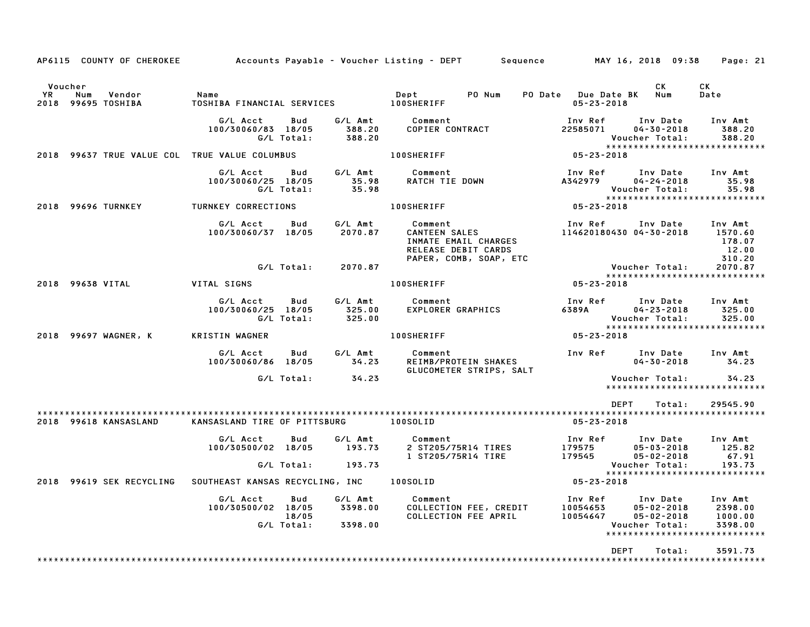| AP6115 COUNTY OF CHEROKEE                            |                                                              |                               | Accounts Payable – Voucher Listing – DEPT         Sequence                                               |                                         | MAY 16, 2018 09:38                                                 | Page: 21                                                                  |
|------------------------------------------------------|--------------------------------------------------------------|-------------------------------|----------------------------------------------------------------------------------------------------------|-----------------------------------------|--------------------------------------------------------------------|---------------------------------------------------------------------------|
| Voucher<br>YR<br>Num<br>Vendor<br>2018 99695 TOSHIBA | Name<br>TOSHIBA FINANCIAL SERVICES                           |                               | Dept<br>PO Num<br><b>100SHERIFF</b>                                                                      | PO Date Due Date BK<br>$05 - 23 - 2018$ | CK.<br>Num                                                         | CK<br>Date                                                                |
|                                                      | G/L Acct<br>Bud<br>100/30060/83 18/05<br>G/L Total:          | G/L Amt<br>388.20<br>388.20   | Comment<br>COPIER CONTRACT                                                                               | Inv Ref<br>22585071                     | Inv Date<br>$04 - 30 - 2018$<br>Voucher Total:                     | Inv Amt<br>388.20<br>388.20<br>*****************************              |
| 2018 99637 TRUE VALUE COL TRUE VALUE COLUMBUS        |                                                              |                               | <b>100SHERIFF</b>                                                                                        | 05-23-2018                              |                                                                    |                                                                           |
|                                                      | G/L Acct<br>Bud<br>100/30060/25 18/05<br>G/L Total:          | G/L Amt<br>35.98<br>35.98     | Comment<br><b>RATCH TIE DOWN</b>                                                                         | Inv Ref<br>A342979                      | Inv Date<br>$04 - 24 - 2018$<br>Voucher Total:                     | Inv Amt<br>35.98<br>35.98<br>*****************************                |
| 2018 99696 TURNKEY                                   | TURNKEY CORRECTIONS                                          |                               | <b>100SHERIFF</b>                                                                                        | 05-23-2018                              |                                                                    |                                                                           |
|                                                      | G/L Acct<br>Bud<br>100/30060/37 18/05                        | G/L Amt<br>2070.87            | Comment<br><b>CANTEEN SALES</b><br>INMATE EMAIL CHARGES<br>RELEASE DEBIT CARDS<br>PAPER, COMB, SOAP, ETC | Inv Ref<br>114620180430 04-30-2018      | Inv Date                                                           | Inv Amt<br>1570.60<br>178.07<br>12.00<br>310.20                           |
|                                                      | G/L Total:                                                   | 2070.87                       |                                                                                                          |                                         | Voucher Total:                                                     | 2070.87                                                                   |
| 2018 99638 VITAL                                     | VITAL SIGNS                                                  |                               | <b>100SHERIFF</b>                                                                                        | 05-23-2018                              |                                                                    | *****************************                                             |
|                                                      | G/L Acct<br>Bud<br>100/30060/25 18/05<br>G/L Total:          | G/L Amt<br>325.00<br>325.00   | Comment<br>EXPLORER GRAPHICS                                                                             | Inv Ref<br>6389A                        | Inv Date<br>$04 - 23 - 2018$<br>Voucher Total:                     | Inv Amt<br>325.00<br>325.00<br>*****************************              |
| 2018 99697 WAGNER, K                                 | KRISTIN WAGNER                                               |                               | <b>100SHERIFF</b>                                                                                        | 05-23-2018                              |                                                                    |                                                                           |
|                                                      | G/L Acct<br>Bud<br>100/30060/86 18/05                        | G/L Amt<br>34.23              | Comment<br>REIMB/PROTEIN SHAKES<br>GLUCOMETER STRIPS, SALT                                               | Inv Ref                                 | Inv Date<br>$04 - 30 - 2018$                                       | Inv Amt<br>34.23                                                          |
|                                                      | G/L Total:                                                   | 34.23                         |                                                                                                          |                                         | Voucher Total:                                                     | 34.23<br>*****************************                                    |
| 2018 99618 KANSASLAND                                | KANSASLAND TIRE OF PITTSBURG                                 |                               | 100SOLID                                                                                                 | <b>DEPT</b><br>$05 - 23 - 2018$         | Total:                                                             | 29545.90                                                                  |
|                                                      | G/L Acct<br>Bud                                              | G/L Amt                       | Comment                                                                                                  | Inv Ref                                 | Inv Date                                                           | Inv Amt                                                                   |
|                                                      | 100/30500/02 18/05                                           | 193.73                        | 2 ST205/75R14 TIRES<br>1 ST205/75R14 TIRE                                                                | 179575<br>179545                        | $05 - 03 - 2018$<br>$05 - 02 - 2018$                               | 125.82<br>67.91                                                           |
|                                                      | G/L Total:                                                   | 193.73                        |                                                                                                          |                                         | Voucher Total:                                                     | 193.73<br>*****************************                                   |
| 2018 99619 SEK RECYCLING                             | SOUTHEAST KANSAS RECYCLING, INC                              |                               | 100SOLID                                                                                                 | 05-23-2018                              |                                                                    |                                                                           |
|                                                      | G/L Acct<br>Bud<br>100/30500/02 18/05<br>18/05<br>G/L Total: | G/L Amt<br>3398.00<br>3398.00 | Comment<br>COLLECTION FEE, CREDIT<br>COLLECTION FEE APRIL                                                | Inv Ref<br>10054653<br>10054647         | Inv Date<br>$05 - 02 - 2018$<br>$05 - 02 - 2018$<br>Voucher Total: | Inv Amt<br>2398.00<br>1000.00<br>3398.00<br>***************************** |
|                                                      |                                                              |                               |                                                                                                          | <b>DEPT</b>                             | Total:                                                             | 3591.73<br>***********                                                    |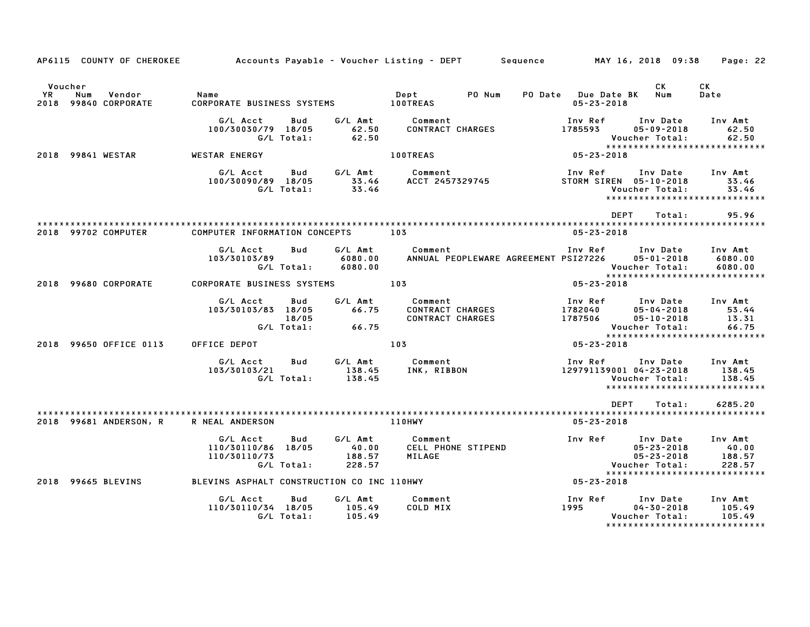|               | AP6115 COUNTY OF CHEROKEE             |                                                |                            |                                      | Accounts Payable – Voucher Listing – DEPT         Sequence    |                                         | MAY 16, 2018 09:38                                                 | Page: 22                                                              |
|---------------|---------------------------------------|------------------------------------------------|----------------------------|--------------------------------------|---------------------------------------------------------------|-----------------------------------------|--------------------------------------------------------------------|-----------------------------------------------------------------------|
|               |                                       |                                                |                            |                                      |                                                               |                                         |                                                                    |                                                                       |
| Voucher<br>YR | Num<br>Vendor<br>2018 99840 CORPORATE | Name<br>CORPORATE BUSINESS SYSTEMS             |                            |                                      | PO Num<br>Dept<br><b>100TREAS</b>                             | PO Date Due Date BK<br>$05 - 23 - 2018$ | CK<br>Num                                                          | CK<br>Date                                                            |
|               |                                       | G/L Acct<br>100/30030/79 18/05                 | Bud<br>G/L Total:          | G/L Amt<br>62.50<br>62.50            | Comment<br><b>CONTRACT CHARGES</b>                            | Inv Ref<br>1785593                      | Inv Date<br>$05 - 09 - 2018$<br>Voucher Total:                     | Inv Amt<br>62.50<br>62.50<br>*****************************            |
|               | 2018 99841 WESTAR                     | <b>WESTAR ENERGY</b>                           |                            |                                      | <b>100TREAS</b>                                               | 05-23-2018                              |                                                                    |                                                                       |
|               |                                       | G/L Acct<br>100/30090/89 18/05                 | Bud<br>G/L Total:          | G/L Amt<br>33.46<br>33.46            | Comment<br>ACCT 2457329745                                    | Inv Ref<br>STORM SIREN 05-10-2018       | Inv Date<br>Voucher Total:                                         | Inv Amt<br>33.46<br>33.46<br>******************************           |
|               |                                       |                                                |                            |                                      |                                                               | DEPT                                    | Total:                                                             | 95.96                                                                 |
|               | 2018 99702 COMPUTER                   | COMPUTER INFORMATION CONCEPTS                  |                            |                                      | 103                                                           | $05 - 23 - 2018$                        |                                                                    |                                                                       |
|               |                                       | G/L Acct<br>103/30103/89                       | Bud<br>G/L Total:          | G/L Amt<br>6080.00<br>6080.00        | Comment<br>ANNUAL PEOPLEWARE AGREEMENT PSI27226               | Inv Ref                                 | Inv Date<br>$05 - 01 - 2018$<br>Voucher Total:                     | Inv Amt<br>6080.00<br>6080.00<br>*****************************        |
|               | 2018 99680 CORPORATE                  | <b>CORPORATE BUSINESS SYSTEMS</b>              |                            |                                      | 103                                                           | $05 - 23 - 2018$                        |                                                                    |                                                                       |
|               |                                       | G/L Acct<br>103/30103/83 18/05                 | Bud<br>18/05<br>G/L Total: | G/L Amt<br>66.75<br>66.75            | Comment<br><b>CONTRACT CHARGES</b><br><b>CONTRACT CHARGES</b> | Inv Ref<br>1782040<br>1787506           | Inv Date<br>$05 - 04 - 2018$<br>$05 - 10 - 2018$<br>Voucher Total: | Inv Amt<br>53.44<br>13.31<br>66.75                                    |
|               | 2018 99650 OFFICE 0113                | OFFICE DEPOT                                   |                            |                                      | 103                                                           | 05-23-2018                              |                                                                    | ******************************                                        |
|               |                                       | G/L Acct<br>103/30103/21                       | Bud<br>G/L Total:          | G/L Amt<br>138.45<br>138.45          | Comment<br>INK, RIBBON                                        | Inv Ref<br>129791139001 04-23-2018      | Inv Date<br>Voucher Total:                                         | Inv Amt<br>138.45<br>138.45<br>*****************************          |
|               |                                       |                                                |                            |                                      |                                                               | <b>DEPT</b>                             | Total:                                                             | 6285.20                                                               |
|               | 2018 99681 ANDERSON, R                | R NEAL ANDERSON                                |                            |                                      | 110HWY                                                        | $05 - 23 - 2018$                        |                                                                    |                                                                       |
|               |                                       | G/L Acct<br>110/30110/86 18/05<br>110/30110/73 | Bud<br>G/L Total:          | G/L Amt<br>40.00<br>188.57<br>228.57 | Comment<br>CELL PHONE STIPEND<br>MILAGE                       | Inv Ref                                 | Inv Date<br>$05 - 23 - 2018$<br>$05 - 23 - 2018$<br>Voucher Total: | Inv Amt<br>40.00<br>188.57<br>228.57<br>***************************** |
|               | 2018 99665 BLEVINS                    | BLEVINS ASPHALT CONSTRUCTION CO INC 110HWY     |                            |                                      |                                                               | 05-23-2018                              |                                                                    |                                                                       |
|               |                                       | G/L Acct<br>110/30110/34 18/05                 | Bud<br>G/L Total:          | G/L Amt<br>105.49<br>105.49          | Comment<br>COLD MIX                                           | Inv Ref<br>1995                         | Inv Date<br>$04 - 30 - 2018$<br>Voucher Total:                     | Inv Amt<br>105.49<br>105.49<br>******************************         |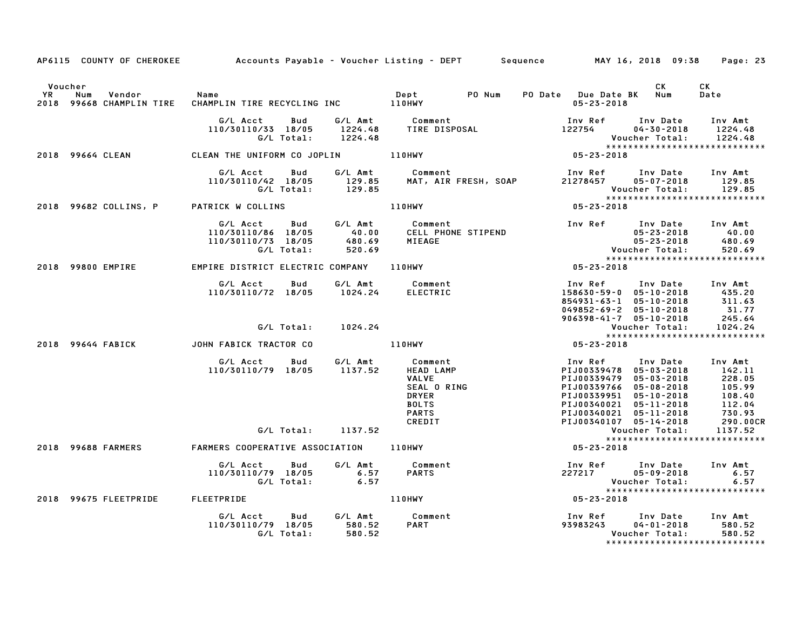|         |                    |                                                                                           |                     | AP6115 COUNTY OF CHEROKEE Accounts Payable – Voucher Listing – DEPT Sequence MAY 16, 2018 09:38<br>Page: 23                                                                                                                                                                                  |  |
|---------|--------------------|-------------------------------------------------------------------------------------------|---------------------|----------------------------------------------------------------------------------------------------------------------------------------------------------------------------------------------------------------------------------------------------------------------------------------------|--|
| Voucher |                    |                                                                                           |                     | CK<br>CK<br>YR Num Vendor – Name – Dept – PO-Num PO-Date Due-Date BK Num<br>2018 99668 CHAMPLIN TIRE CHAMPLIN TIRE RECYCLING INC – 110HWY – – 110HWY – – 05–23–2018<br>Date                                                                                                                  |  |
|         |                    |                                                                                           |                     | 1224.48                                                                                                                                                                                                                                                                                      |  |
|         |                    | 2018 99664 CLEAN CLEAN THE UNIFORM CO JOPLIN 110HWY                                       |                     |                                                                                                                                                                                                                                                                                              |  |
|         |                    |                                                                                           | Bud G/L Amt Comment | G/L Acct Bud G/L Amt Comment Inv Ref Inv Date Inv Amt<br>110/30110/42 18/05 129.85 MAT, AIR FRESH, SOAP 21278457 05-07-2018 129.85<br>G/L Total: 129.85 MAT, AIR FRESH, SOAP 21278457 05-07-2018 129.85<br>TRICK W COLLINS 110HWY 110HW<br>129.85<br>129.85<br>***************************** |  |
|         |                    | 2018 99682 COLLINS, P PATRICK W COLLINS                                                   |                     |                                                                                                                                                                                                                                                                                              |  |
|         |                    |                                                                                           |                     | 40.00 G/L Acct Bud G/L Amt Comment Inv Ref Inv Date Inv Amt<br>110/30110/86 18/05 40.00 CELL PHONE STIPEND 05-23-2018 40.00<br>C/L Total: 520.69 MIEAGE 99800 EMPIRE EMPIRE DISTRICT ELECTRIC COMPANY 110HWY<br>2018 99800 EMPIRE EMPIR<br>*****************************                     |  |
|         |                    |                                                                                           |                     |                                                                                                                                                                                                                                                                                              |  |
|         |                    |                                                                                           |                     | 6/L Acct Bud 6/L Amt Comment Inv Ref Inv Date Inv Amt<br>110/30110/72 18/05 1024.24 ELECTRIC 158630-59-0 05-10-2018 435.20<br>62.1 110/30110/72 18/05 1024.24<br>62.1 1024.24 906398-41-7 05-10-2018 245.64<br>62.1 1024.24 Voucher Total:                                                   |  |
|         |                    |                                                                                           |                     |                                                                                                                                                                                                                                                                                              |  |
|         |                    |                                                                                           |                     | *****************************                                                                                                                                                                                                                                                                |  |
|         |                    |                                                                                           |                     | 6/L Acct Bud 6/L Amt Comment Inv Ref Inv Date Inv Amt<br>110/30110/79 18/05 1137.52 HEAD LAMP PIJ00339478 05-03-2018 142.11<br>VALVE PIJ00339478 05-03-2018 228.05<br>SEAL ORING PIJ00339479 05-10-2018 105.99<br>DRYER PIJ00339479 05                                                       |  |
|         |                    |                                                                                           |                     |                                                                                                                                                                                                                                                                                              |  |
|         | 2018 99688 FARMERS |                                                                                           |                     |                                                                                                                                                                                                                                                                                              |  |
|         |                    |                                                                                           |                     | 6/L Acct Bud G/L Amt Comment Inv Ref Inv Date Inv Amt<br>110/30110/79 18/05 6.57 PARTS 227217 05-09-2018 6.57<br>6.57 Voucher Total: 6.57<br>2018 99675 FLEETPRIDE FLEETPRIDE FLEETPRIDE 110HWY 110HWY 05-23-2018<br>6.57<br>6.57                                                            |  |
|         |                    |                                                                                           |                     |                                                                                                                                                                                                                                                                                              |  |
|         |                    | G/L Acct  Bud  G/L Amt  Comment<br>110/30110/79 18/05  580.52  PART<br>G/L Total:  580.52 |                     | 580.52<br>Voucher Total:<br>580.52                                                                                                                                                                                                                                                           |  |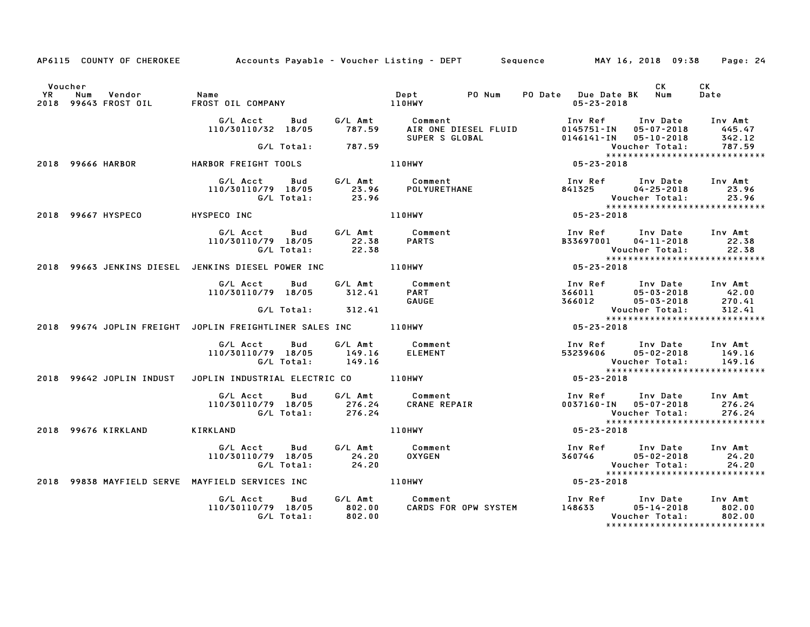|         |                                | AP6115 COUNTY OF CHEROKEE Accounts Payable - Voucher Listing - DEPT Sequence MAY 16, 2018 09:38 |                  |                                                                                                                                                                                                                                    |                                                                             |                                                                                            | Page: 24                                              |
|---------|--------------------------------|-------------------------------------------------------------------------------------------------|------------------|------------------------------------------------------------------------------------------------------------------------------------------------------------------------------------------------------------------------------------|-----------------------------------------------------------------------------|--------------------------------------------------------------------------------------------|-------------------------------------------------------|
| Voucher |                                |                                                                                                 |                  |                                                                                                                                                                                                                                    | PO Date Due Date BK Num<br>05-23-2018                                       | CK                                                                                         | CK<br>Date                                            |
|         |                                | G/L Acct<br>Bud<br>110/30110/32 18/05                                                           |                  | comment – Inv Ref – Inv Date – Inv Amt – Inv Sample – Inv Amt – Inv Amt – Inv Amt – Inv Amt – Inv Amt – Inv A<br>SUPER S GLOBAL – Unit – Inv 05-07-2018 – 445.47<br>787.59 – Investigate – Investigate – Investigate – Investigate |                                                                             |                                                                                            |                                                       |
|         |                                | G/L Total: 787.59                                                                               |                  |                                                                                                                                                                                                                                    |                                                                             |                                                                                            | Voucher Total: 787.59<br>**************************** |
|         |                                | 2018 99666 HARBOR           HARBOR FREIGHT TOOLS                                                |                  | 110HWY                                                                                                                                                                                                                             | $05 - 23 - 2018$                                                            |                                                                                            |                                                       |
|         |                                |                                                                                                 |                  | G/L Acct  Bud  G/L Amt  Comment<br>110/30110/79 18/05  23.96  POLYURETHANE<br>G/L Total:  23.96                                                                                                                                    |                                                                             | Inv Ref      Inv Date    Inv Amt<br>841325         04–25–2018         23.96                | Voucher Total: 23.96<br>****************************  |
|         | 2018 99667 HYSPECO HYSPECO INC |                                                                                                 |                  | 110HWY                                                                                                                                                                                                                             | $05 - 23 - 2018$                                                            |                                                                                            |                                                       |
|         |                                | G/L Acct Bud<br>110/30110/79 18/05 22.38<br>G/L Total: 22.38                                    |                  | G/L Amt Comment<br><b>PARTS</b>                                                                                                                                                                                                    |                                                                             | Inv Ref Inv Date Inv Amt<br>B33697001 04-11-2018 22.38<br>Voucher Total:<br>Youcher Total: | 22.38                                                 |
|         |                                | 2018 99663 JENKINS DIESEL JENKINS DIESEL POWER INC ______________________________               |                  |                                                                                                                                                                                                                                    | $05 - 23 - 2018$                                                            |                                                                                            | *****************************                         |
|         |                                | G/L Acct<br>Bud<br>110/30110/79 18/05 312.41                                                    |                  | G/L Amt Comment<br>PART<br><b>GAUGE</b>                                                                                                                                                                                            | $\begin{array}{r} 366011 \\ 366012 \end{array}$ Vouc<br>*****<br>05-23-2018 | 2 05-03-2018 270.41<br>Voucher Total: 312.41                                               |                                                       |
|         |                                | G/L Total: 312.41                                                                               |                  |                                                                                                                                                                                                                                    |                                                                             |                                                                                            |                                                       |
|         |                                | 2018 99674 JOPLIN FREIGHT JOPLIN FREIGHTLINER SALES INC 110HWY                                  |                  |                                                                                                                                                                                                                                    |                                                                             |                                                                                            |                                                       |
|         |                                | G/L Acct Bud<br>110/30110/79 18/05 149.16<br>G/L Total: 149.16                                  |                  | G/L Amt Comment<br><b>ELEMENT</b>                                                                                                                                                                                                  |                                                                             | Inv Ref Inv Date Inv Amt<br>$53239606$ $05-02-2018$ 149.16                                 | Voucher Total: 149.16<br>**************************** |
|         | 2018 99642 JOPLIN INDUST       | JOPLIN INDUSTRIAL ELECTRIC CO 110HWY                                                            |                  |                                                                                                                                                                                                                                    | $05 - 23 - 2018$                                                            |                                                                                            |                                                       |
|         |                                |                                                                                                 |                  |                                                                                                                                                                                                                                    |                                                                             | Inv Ref      Inv Date     Inv Amt<br>0037160-IN 05-07-2018 276.24<br>Voucher Total: 276.24 |                                                       |
|         | 2018 99676 KIRKLAND            | KIRKLAND                                                                                        |                  | <b>110HWY</b>                                                                                                                                                                                                                      | $05 - 23 - 2018$                                                            |                                                                                            |                                                       |
|         |                                | G/L Acct Bud<br>110/30110/79 18/05<br>G/L Total:                                                | 24.20<br>24.20   | G/L Amt Comment<br>24.20 OXYGEN                                                                                                                                                                                                    |                                                                             | Inv Ref       Inv Date      Inv Amt<br>360746           05-02-2018            24.20        | Voucher Total: 24.20<br>***************************   |
|         |                                | 2018 99838 MAYFIELD SERVE MAYFIELD SERVICES INC 410HWY                                          |                  |                                                                                                                                                                                                                                    | $05 - 23 - 2018$                                                            |                                                                                            |                                                       |
|         |                                | G/L Acct<br>Bud<br>110/30110/79 18/05<br>G/L Total:                                             | 802.00<br>802.00 | G/L Amt Comment<br>Comment                                 Inv Ref      Inv Date    Inv Amt<br>CARDS FOR OPW SYSTEM            148633         05-14-2018       802.00                                                              |                                                                             | Voucher Total:                                                                             | 802.00<br>802.00<br>******************************    |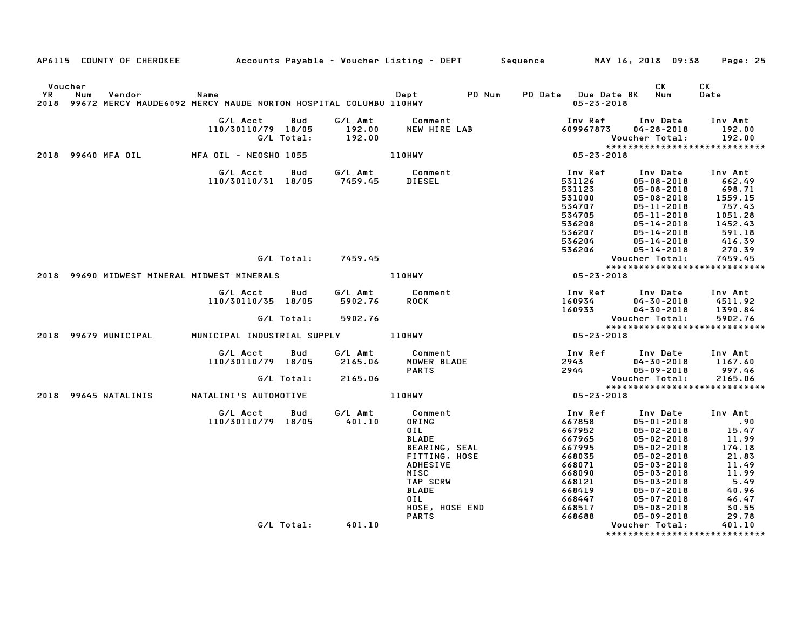|               |                                                                                        |                                                                      |                   |                               | AP6115 COUNTY OF CHEROKEE Accounts Payable - Voucher Listing - DEPT Sequence MAY 16, 2018 09:38                                                                                     |                                                                                                                                                     |                                                                                                                                                                                                                                                                      | Page: 25                                                                                                                    |
|---------------|----------------------------------------------------------------------------------------|----------------------------------------------------------------------|-------------------|-------------------------------|-------------------------------------------------------------------------------------------------------------------------------------------------------------------------------------|-----------------------------------------------------------------------------------------------------------------------------------------------------|----------------------------------------------------------------------------------------------------------------------------------------------------------------------------------------------------------------------------------------------------------------------|-----------------------------------------------------------------------------------------------------------------------------|
| Voucher<br>YR | Num<br>Vendor<br>2018 99672 MERCY MAUDE6092 MERCY MAUDE NORTON HOSPITAL COLUMBU 110HWY | Name                                                                 |                   |                               | PO Num<br>Dept                                                                                                                                                                      | PO Date Due Date BK Num<br>$05 - 23 - 2018$                                                                                                         | CK                                                                                                                                                                                                                                                                   | CK<br>Date                                                                                                                  |
|               |                                                                                        | G/L Acct<br>110/30110/79 18/05                                       | Bud<br>G/L Total: | G/L Amt<br>192.00<br>192.00   | Comment<br>NEW HIRE LAB                                                                                                                                                             | Inv Ref<br>609967873                                                                                                                                | Inv Date<br>$04 - 28 - 2018$<br>Voucher Total:                                                                                                                                                                                                                       | Inv Amt<br>192.00<br>192.00                                                                                                 |
|               | 2018 99640 MFA OIL                                                                     | MFA OIL - NEOSHO 1055                                                |                   |                               | <b>110HWY</b>                                                                                                                                                                       | $05 - 23 - 2018$                                                                                                                                    | *****************************                                                                                                                                                                                                                                        |                                                                                                                             |
|               |                                                                                        | G/L Acct<br>110/30110/31 18/05                                       | <b>Bud</b>        | 7459.45<br>G/L Total: 7459.45 | G/L Amt Comment<br>DIESEL                                                                                                                                                           | Inv Ref<br>531126<br>531123<br>531000<br>534707<br>534705<br>536208<br>536207<br>536204<br>536206                                                   | Inv Date<br>$05 - 08 - 2018$<br>$05 - 08 - 2018$<br>$05 - 08 - 2018$<br>$05 - 11 - 2018$<br>05-11-2018<br>05-14-2018<br>$05 - 14 - 2018$<br>05-14-2018<br>$05 - 14 - 2018$<br>Voucher Total:                                                                         | Inv Amt<br>662.49<br>698.71<br>1559.15<br>757.43<br>1051.28<br>1452.43<br>591.18<br>416.39<br>270.39<br>7459.45             |
|               | 2018 99690 MIDWEST MINERAL MIDWEST MINERALS                                            |                                                                      |                   |                               | <b>110HWY</b>                                                                                                                                                                       | $05 - 23 - 2018$                                                                                                                                    | *****************************                                                                                                                                                                                                                                        |                                                                                                                             |
|               | 2018 99679 MUNICIPAL                                                                   | G/L Acct<br>110/30110/35 18/05<br>MUNICIPAL INDUSTRIAL SUPPLY 110HWY | Bud<br>G/L Total: | G/L Amt<br>5902.76<br>5902.76 | Comment<br>ROCK                                                                                                                                                                     | Inv Ref<br>$05 - 23 - 2018$                                                                                                                         | Inv Date<br>111v<br>160934 - U4-Ju-2018<br>- 2012 - Total:<br>Voucher Total:<br>*****************************                                                                                                                                                        | Inv Amt<br>4511.92<br>1390.84<br>5902.76                                                                                    |
|               |                                                                                        | G/L Acct<br>110/30110/79 18/05                                       | Bud<br>G/L Total: | G/L Amt<br>2165.06<br>2165.06 | Comment<br>MOWER BLADE<br><b>PARTS</b>                                                                                                                                              | Inv Ref<br>2943<br>2944                                                                                                                             | Inv Date<br>$04 - 30 - 2018$<br>05-09-2018<br>Voucher Total:<br>*****************************                                                                                                                                                                        | Inv Amt<br>1167.60<br>997.46<br>2165.06                                                                                     |
|               | 2018 99645 NATALINIS                                                                   | NATALINI'S AUTOMOTIVE<br>G/L Acct<br>110/30110/79 18/05              | Bud<br>G/L Total: | G/L Amt<br>401.10<br>401.10   | <b>110HWY</b><br>Comment<br>ORING<br>OIL<br>BLADE<br>BEARING, SEAL<br>FITTING, HOSE<br><b>ADHESIVE</b><br>MISC<br>TAP SCRW<br><b>BLADE</b><br>0IL<br>HOSE, HOSE END<br><b>PARTS</b> | $05 - 23 - 2018$<br>Inv Ref<br>667858<br>667952<br>667965<br>667995<br>668035<br>668071<br>668090<br>668121<br>668419<br>668447<br>668517<br>668688 | Inv Date<br>$05 - 01 - 2018$<br>$05 - 02 - 2018$<br>$05 - 02 - 2018$<br>$05 - 02 - 2018$<br>$05 - 02 - 2018$<br>$05 - 03 - 2018$<br>$05 - 03 - 2018$<br>$05 - 03 - 2018$<br>05-07-2018<br>$05 - 07 - 2018$<br>$05 - 08 - 2018$<br>$05 - 09 - 2018$<br>Voucher Total: | Inv Amt<br>.90<br>15.47<br>11.99<br>174.18<br>21.83<br>11.49<br>11.99<br>5.49<br>40.96<br>46.47<br>30.55<br>29.78<br>401.10 |
|               |                                                                                        |                                                                      |                   |                               |                                                                                                                                                                                     |                                                                                                                                                     | *****************************                                                                                                                                                                                                                                        |                                                                                                                             |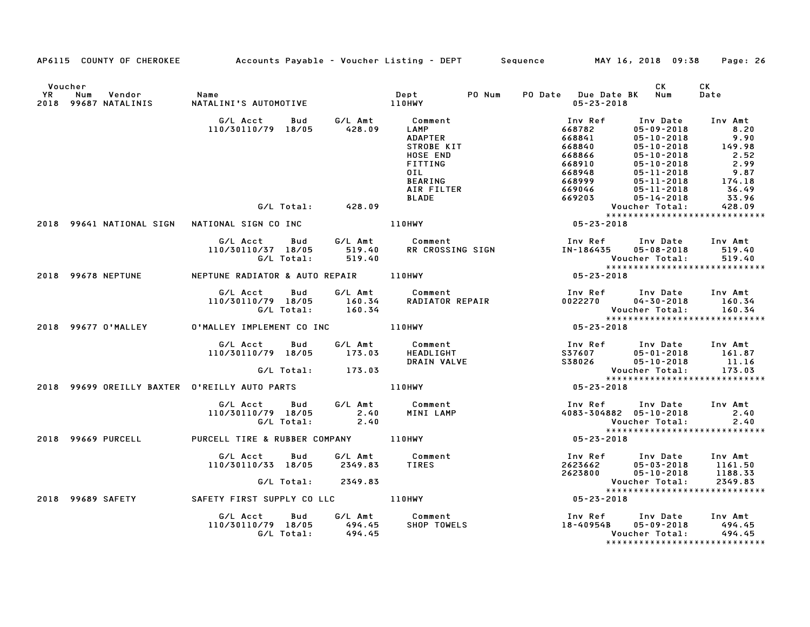|               |                                       | AP6115 COUNTY OF CHEROKEE Accounts Payable - Voucher Listing - DEPT Sequence MAY 16, 2018 09:38 Page: 26 |                  |                                                                                                                                                              |                                                                                                                                                                                                                        |                                                                                          |                                                                                       |
|---------------|---------------------------------------|----------------------------------------------------------------------------------------------------------|------------------|--------------------------------------------------------------------------------------------------------------------------------------------------------------|------------------------------------------------------------------------------------------------------------------------------------------------------------------------------------------------------------------------|------------------------------------------------------------------------------------------|---------------------------------------------------------------------------------------|
| Voucher<br>YR | Num<br>Vendor<br>2018 99687 NATALINIS | Name                                                                                                     |                  | PO Num                                                                                                                                                       | PO Date Due Date BK Num<br>05-23-2018                                                                                                                                                                                  | CK                                                                                       | СK<br>Date                                                                            |
|               |                                       | G/L Acct<br>110/30110/79 18/05                                                                           |                  | Bud G/LAmt Comment<br>18/05 428.09 LAMP<br><b>ADAPTER</b><br><b>STROBE KIT</b><br>HOSE END<br>FITTING<br>OIL<br><b>BEARING</b><br>AIR FILTER<br><b>BLADE</b> | Inv Ref<br>668782<br>668841<br>668840<br>$\begin{array}{cccc} 668840 & 05-10-2018 \ 668866 & 05-10-2018 \ 668910 & 05-10-2018 \ 668948 & 05-11-2018 \ 668999 & 05-11-2018 \ 669046 & 05-11-2018 \end{array}$<br>669203 | Inv Date<br>$05 - 09 - 2018$<br>$05 - 10 - 2018$<br>$05 - 10 - 2018$<br>$05 - 14 - 2018$ | Inv Amt<br>8.20<br>9.90<br>149.98<br>2.52<br>2.99<br>9.87<br>174.18<br>36.49<br>33.96 |
|               |                                       | G/L Total: 428.09                                                                                        |                  |                                                                                                                                                              |                                                                                                                                                                                                                        | Voucher Total:                                                                           | 428.09                                                                                |
|               |                                       | 2018 99641 NATIONAL SIGN  NATIONAL SIGN CO INC                                                           |                  | 110HWY                                                                                                                                                       | Vouc<br>* * * *<br>18 01 2 = 25 = 95                                                                                                                                                                                   |                                                                                          | *****************************                                                         |
|               |                                       | G/L Acct Bud G/L Amt Comment<br>110/30110/37 18/05<br>G/L Total:                                         | 519.40<br>519.40 |                                                                                                                                                              | Comment<br>RR CROSSING SIGN TH-186435 05-08-2018<br>Mayaban Tataly<br>Inv Ref      Inv Date     Inv Amt                                                                                                                |                                                                                          | 519.40<br>519.40                                                                      |
|               |                                       | 2018 99678 NEPTUNE MEPTUNE RADIATOR & AUTO REPAIR 110HWY                                                 |                  |                                                                                                                                                              | Voucher Total:<br>****************<br>05-23-2018                                                                                                                                                                       |                                                                                          | *****************************                                                         |
|               |                                       | G/L Acct Bud<br>110/30110/79 18/05 160.34<br>G/L Total: 160.34                                           |                  |                                                                                                                                                              | Inv Ref      Inv Date    Inv Amt<br>0022270        04–30–2018       160.34                                                                                                                                             |                                                                                          | *****************************                                                         |
|               | 2018 99677 O'MALLEY                   | 0'MALLEY IMPLEMENT CO INC 110HWY                                                                         |                  |                                                                                                                                                              | $05 - 23 - 2018$                                                                                                                                                                                                       |                                                                                          |                                                                                       |
|               |                                       | G/L Acct Bud<br>110/30110/79 18/05 173.03<br>G/L Total:                                                  |                  | HEADLIGHT<br>DRAIN VALVE                                                                                                                                     | Inv Ref      Inv Date    Inv Amt<br>S37607          05–01–2018        161.87<br>S38026 05-10-2018                                                                                                                      | Voucher Total:                                                                           | 11.16<br>173.03                                                                       |
|               |                                       |                                                                                                          | 173.03           |                                                                                                                                                              |                                                                                                                                                                                                                        |                                                                                          | *****************************                                                         |
|               |                                       | 2018 99699 OREILLY BAXTER O'REILLY AUTO PARTS                                                            |                  | 110HWY                                                                                                                                                       | 05-23-2018                                                                                                                                                                                                             |                                                                                          |                                                                                       |
|               |                                       | G/L Acct Bud G/L Amt Comment<br>110/30110/79 18/05<br>G/L Total:                                         | 2.40<br>2.40     | MINI LAMP                                                                                                                                                    | Inv Ref Inv Date Inv Amt<br>4083-304882 05-10-2018                                                                                                                                                                     | Voucher Total:                                                                           | 2.40<br>2.40                                                                          |
|               | 2018 99669 PURCELL                    | PURCELL TIRE & RUBBER COMPANY 110HWY                                                                     |                  |                                                                                                                                                              | $05 - 23 - 2018$                                                                                                                                                                                                       |                                                                                          | *****************************                                                         |
|               |                                       | G/L Acct<br><b>Bud</b><br>110/30110/33 18/05                                                             |                  | G/L Amt         Comment<br>2349.83      TIRES                                                                                                                | 1nv Ref         Inv Date       Inv Amt<br>2623662           05-03-2018        1161.50<br>2623800           05-10-2018        1188.33                                                                                   |                                                                                          |                                                                                       |
|               |                                       | G/L Total: 2349.83                                                                                       |                  |                                                                                                                                                              |                                                                                                                                                                                                                        | Voucher Total:                                                                           | 2349.83                                                                               |
|               |                                       | 2018 99689 SAFETY SAFETY FIRST SUPPLY CO LLC 110HWY                                                      |                  |                                                                                                                                                              | $05 - 23 - 2018$                                                                                                                                                                                                       |                                                                                          | ******************************                                                        |
|               |                                       | G/L Acct Bud G/L Amt Comment<br>110/30110/79 18/05 494.45<br>G/L Total: 494.45                           |                  | SHOP TOWELS                                                                                                                                                  | Inv Ref Inv Date Inv Amt<br>18-40954B 05-09-2018                                                                                                                                                                       | Voucher Total:                                                                           | 494.45<br>494.45                                                                      |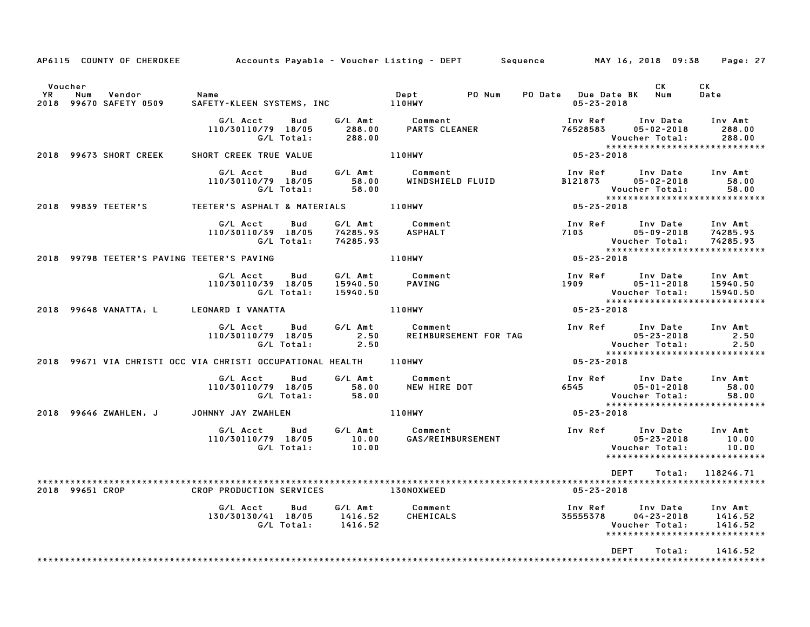| AP6115 COUNTY OF CHEROKEE                                         |                                                     |                                 |                                     | Accounts Payable – Voucher Listing – DEPT       Sequence         MAY 16, 2018  09:38                   | Page: 27                        |
|-------------------------------------------------------------------|-----------------------------------------------------|---------------------------------|-------------------------------------|--------------------------------------------------------------------------------------------------------|---------------------------------|
| Voucher<br><b>YR</b><br>Num<br>Vendor<br>2018 99670 SAFETY 0509   | Name<br>SAFETY-KLEEN SYSTEMS, INC 110HWY            |                                 | PO Num<br>Dept                      | CK<br>PO Date Due Date BK Num<br>$05 - 23 - 2018$                                                      | CK<br>Date                      |
|                                                                   | G/L Acct<br>Bud<br>110/30110/79 18/05<br>G/L Total: | G/L Amt<br>288.00<br>288.00     | Comment<br>PARTS CLEANER            | Inv Ref<br>Inv Date<br>76528583<br>$05 - 02 - 2018$<br>Voucher Total:<br>***************************** | Inv Amt<br>288.00<br>288.00     |
| 2018 99673 SHORT CREEK                                            | SHORT CREEK TRUE VALUE                              |                                 | 110HWY                              | 05-23-2018                                                                                             |                                 |
|                                                                   | G/L Acct<br>Bud<br>110/30110/79 18/05<br>G/L Total: | G/L Amt<br>58.00<br>58.00       | Comment<br>WINDSHIELD FLUID         | Inv Ref<br>Inv Date<br>B121873<br>$05 - 02 - 2018$<br>Voucher Total:<br>*****************************  | Inv Amt<br>58.00<br>58.00       |
| 2018 99839 TEETER'S                                               | TEETER'S ASPHALT & MATERIALS 110HWY                 |                                 |                                     | 05-23-2018                                                                                             |                                 |
|                                                                   | G/L Acct<br>Bud<br>110/30110/39 18/05<br>G/L Total: | G/L Amt<br>74285.93<br>74285.93 | Comment<br><b>ASPHALT</b>           | Inv Ref<br>Inv Date<br>7103 700<br>05-09-2018<br>Voucher Total:<br>*****************************       | Inv Amt<br>74285.93<br>74285.93 |
| 2018 99798 TEETER'S PAVING TEETER'S PAVING                        |                                                     |                                 | <b>110HWY</b>                       | $05 - 23 - 2018$                                                                                       |                                 |
|                                                                   | G/L Acct<br>Bud<br>110/30110/39 18/05<br>G/L Total: | G/L Amt<br>15940.50<br>15940.50 | Comment<br>PAVING                   | Inv Ref<br>Inv Date<br>1909<br>$05 - 11 - 2018$<br>Voucher Total:<br>*****************************     | Inv Amt<br>15940.50<br>15940.50 |
| 2018 99648 VANATTA, L                                             | LEONARD I VANATTA                                   |                                 | 110HWY                              | 05-23-2018                                                                                             |                                 |
|                                                                   | G/L Acct<br>Bud<br>110/30110/79 18/05<br>G/L Total: | G/L Amt<br>2.50<br>2.50         | Comment<br>REIMBURSEMENT FOR TAG    | Inv Ref<br>Inv Date<br>$05 - 23 - 2018$<br>Voucher Total:<br>*****************************             | Inv Amt<br>2.50<br>2.50         |
| 2018 99671 VIA CHRISTI OCC VIA CHRISTI OCCUPATIONAL HEALTH 110HWY |                                                     |                                 |                                     | $05 - 23 - 2018$                                                                                       |                                 |
|                                                                   | G/L Acct<br>Bud<br>110/30110/79 18/05<br>G/L Total: | G/L Amt<br>58.00<br>58.00       | Comment<br>NEW HIRE DOT             | Inv Ref<br>Inv Date<br>6545<br>$05 - 01 - 2018$<br>Voucher Total:<br>*****************************     | Inv Amt<br>58.00<br>58.00       |
| 2018 99646 ZWAHLEN, J                                             | JOHNNY JAY ZWAHLEN                                  |                                 | 110HWY                              | 05-23-2018                                                                                             |                                 |
|                                                                   | G/L Acct<br>Bud<br>110/30110/79 18/05<br>G/L Total: | G/L Amt<br>10.00<br>10.00       | <b>Comment</b><br>GAS/REIMBURSEMENT | Inv Ref<br>Inv Date<br>$05 - 23 - 2018$<br>Voucher Total:<br>*****************************             | Inv Amt<br>10.00<br>10.00       |
|                                                                   |                                                     |                                 |                                     | DEPT<br>Total:                                                                                         | 118246.71                       |
| 2018 99651 CROP                                                   | CROP PRODUCTION SERVICES                            |                                 | <b>130NOXWEED</b>                   | $05 - 23 - 2018$                                                                                       |                                 |
|                                                                   | G/L Acct<br>Bud<br>130/30130/41 18/05<br>G/L Total: | G/L Amt<br>1416.52<br>1416.52   | Comment<br>CHEMICALS                | Inv Ref<br>Inv Date<br>35555378 04-23-2018<br>Voucher Total:<br>******************************         | Inv Amt<br>1416.52<br>1416.52   |
|                                                                   |                                                     |                                 |                                     | <b>DEPT</b><br>Total:                                                                                  | 1416.52                         |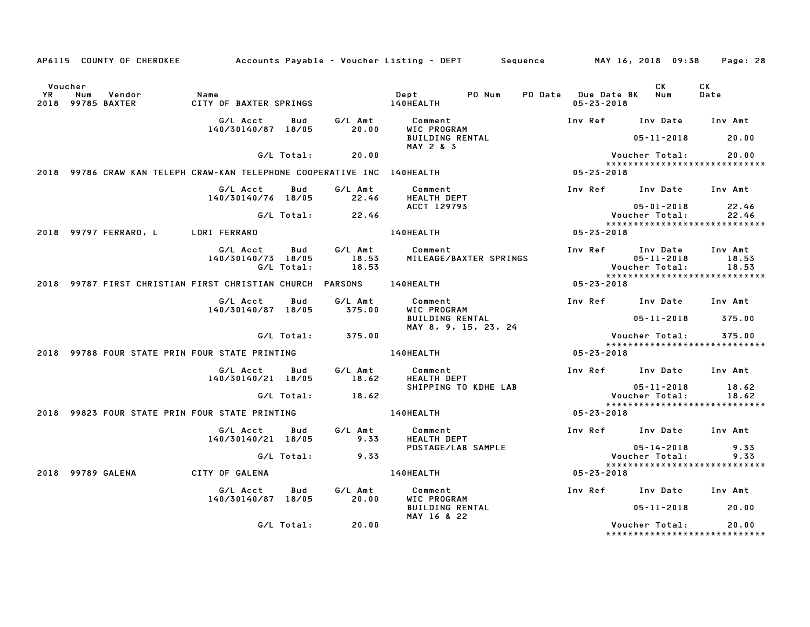|                |     | AP6115 COUNTY OF CHEROKEE   |                                                                         |                   |                           | Accounts Payable – Voucher Listing – DEPT         Sequence |                                                | MAY 16, 2018 09:38                             | Page: 28                               |
|----------------|-----|-----------------------------|-------------------------------------------------------------------------|-------------------|---------------------------|------------------------------------------------------------|------------------------------------------------|------------------------------------------------|----------------------------------------|
| Voucher<br>YR. | Num | Vendor<br>2018 99785 BAXTER | Name<br>CITY OF BAXTER SPRINGS                                          |                   |                           | PO Num<br>Dept<br>140HEALTH                                | <b>PO Date</b> Due Date BK<br>$05 - 23 - 2018$ | <b>CK</b><br>Num                               | <b>CK</b><br>Date                      |
|                |     |                             | G/L Acct<br>140/30140/87 18/05                                          | Bud               | G/L Amt<br>20.00          | Comment<br>WIC PROGRAM<br><b>BUILDING RENTAL</b>           | Inv Ref                                        | Inv Date<br>$05 - 11 - 2018$                   | Inv Amt<br>20.00                       |
|                |     |                             |                                                                         | G/L Total:        | 20.00                     | MAY 2 & 3                                                  |                                                | Voucher Total:                                 | 20.00                                  |
|                |     |                             |                                                                         |                   |                           |                                                            |                                                |                                                | *****************************          |
|                |     |                             | 2018 99786 CRAW KAN TELEPH CRAW-KAN TELEPHONE COOPERATIVE INC 140HEALTH |                   |                           |                                                            | $05 - 23 - 2018$                               |                                                |                                        |
|                |     |                             | G/L Acct<br>140/30140/76 18/05                                          | Bud               | G/L Amt<br>22.46          | Comment<br>HEALTH DEPT                                     | Inv Ref                                        | Inv Date                                       | Inv Amt                                |
|                |     |                             |                                                                         | G/L Total:        | 22.46                     | ACCT 129793                                                |                                                | $05 - 01 - 2018$<br>Voucher Total:             | 22.46<br>22.46                         |
|                |     | 2018 99797 FERRARO, L       | LORI FERRARO                                                            |                   |                           | 140HEALTH                                                  | 05-23-2018                                     |                                                | *****************************          |
|                |     |                             | G/L Acct<br>140/30140/73 18/05                                          | Bud<br>G/L Total: | G/L Amt<br>18.53<br>18.53 | Comment<br>MILEAGE/BAXTER SPRINGS                          | Inv Ref                                        | Inv Date<br>$05 - 11 - 2018$<br>Voucher Total: | Inv Amt<br>18.53<br>18.53              |
|                |     |                             | 2018 99787 FIRST CHRISTIAN FIRST CHRISTIAN CHURCH PARSONS               |                   |                           | 140HEALTH                                                  | 05-23-2018                                     |                                                | *****************************          |
|                |     |                             | G/L Acct<br>140/30140/87 18/05                                          | Bud               | G/L Amt<br>375.00         | Comment<br>WIC PROGRAM<br><b>BUILDING RENTAL</b>           | Inv Ref Inv Date                               | 05-11-2018                                     | Inv Amt<br>375.00                      |
|                |     |                             |                                                                         | G/L Total:        | 375.00                    | MAY 8, 9, 15, 23, 24                                       |                                                | Voucher Total:                                 | 375.00                                 |
|                |     |                             | 2018 99788 FOUR STATE PRIN FOUR STATE PRINTING                          |                   |                           | 140HEALTH                                                  | $05 - 23 - 2018$                               |                                                | ******************************         |
|                |     |                             |                                                                         |                   |                           |                                                            |                                                |                                                |                                        |
|                |     |                             | G/L Acct<br>140/30140/21 18/05                                          | Bud               | G/L Amt<br>18.62          | Comment<br>HEALTH DEPT                                     | Inv Ref                                        | Inv Date                                       | Inv Amt                                |
|                |     |                             |                                                                         | G/L Total:        | 18.62                     | SHIPPING TO KDHE LAB                                       |                                                | $05 - 11 - 2018$<br>Voucher Total:             | 18.62<br>18.62                         |
| 2018           |     |                             | 99823 FOUR STATE PRIN FOUR STATE PRINTING                               |                   |                           | 140HEALTH                                                  | 05-23-2018                                     |                                                | *****************************          |
|                |     |                             | G/L Acct<br>140/30140/21 18/05                                          | Bud               | G/L Amt<br>9.33           | Comment<br>HEALTH DEPT                                     | Inv Ref Inv Date                               |                                                | Inv Amt                                |
|                |     |                             |                                                                         |                   |                           | POSTAGE/LAB SAMPLE                                         |                                                | $05 - 14 - 2018$                               | 9.33                                   |
|                |     |                             |                                                                         | G/L Total:        | 9.33                      |                                                            |                                                | Voucher Total:                                 | 9.33<br>****************************** |
|                |     | 2018 99789 GALENA           | CITY OF GALENA                                                          |                   |                           | 140HEALTH                                                  | $05 - 23 - 2018$                               |                                                |                                        |
|                |     |                             | G/L Acct<br>140/30140/87 18/05                                          | Bud               | G/L Amt<br>20.00          | Comment<br>WIC PROGRAM                                     | Inv Ref Inv Date                               |                                                | Inv Amt                                |
|                |     |                             |                                                                         |                   |                           | <b>BUILDING RENTAL</b><br>MAY 16 & 22                      |                                                | $05 - 11 - 2018$                               | 20.00                                  |
|                |     |                             |                                                                         | G/L Total:        | 20.00                     |                                                            |                                                | Voucher Total:                                 | 20.00<br>***************************** |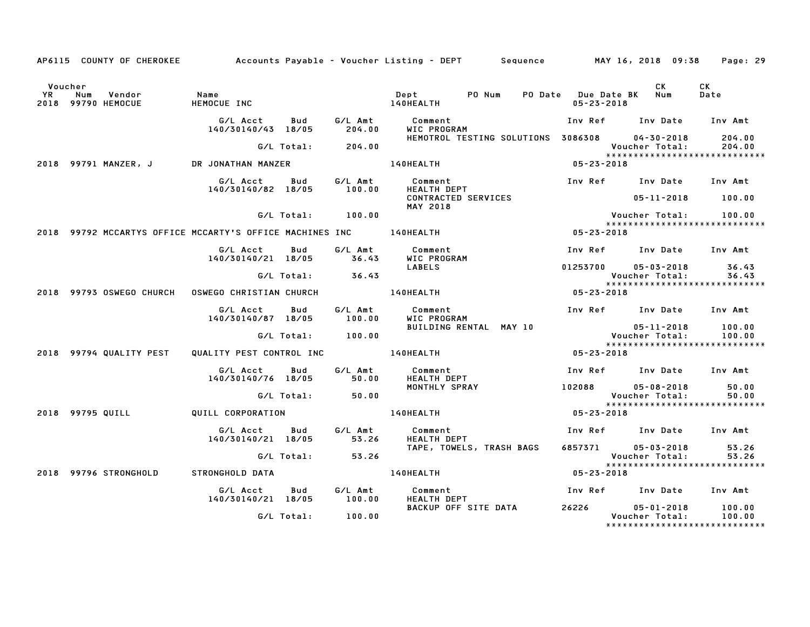|                      |                                                                                  |                                            |                      |         | AP6115 COUNTY OF CHEROKEE Accounts Payable – Voucher Listing – DEPT Sequence MAY 16, 2018 09:38 |                                             |                                                     | Page: 29                                |
|----------------------|----------------------------------------------------------------------------------|--------------------------------------------|----------------------|---------|-------------------------------------------------------------------------------------------------|---------------------------------------------|-----------------------------------------------------|-----------------------------------------|
| Voucher<br><b>YR</b> | Vendor<br>Name<br>Num<br>2018 99790 HEMOCUE                                      | HEMOCUE INC                                |                      |         | Dept PO Num<br><b>140HEALTH</b>                                                                 | PO Date Due Date BK Num<br>$05 - 23 - 2018$ | CK .                                                | CK<br>Date                              |
|                      |                                                                                  | G/L Acct<br>140/30140/43 18/05             | Bud                  | 204.00  | G/L Amt Comment<br>WIC PROGRAM                                                                  |                                             | Inv Ref Inv Date Inv Amt                            |                                         |
|                      |                                                                                  |                                            | G/L Total: 204.00    |         | HEMOTROL TESTING SOLUTIONS 3086308 04-30-2018 204.00<br>Voucher Total: 204.00                   |                                             |                                                     |                                         |
|                      | 2018 99791 MANZER, J DR JONATHAN MANZER 140HEALTH                                |                                            |                      |         |                                                                                                 | $05 - 23 - 2018$                            |                                                     |                                         |
|                      |                                                                                  | G/L Acct<br>140/30140/82 18/05             |                      | 100.00  | Bud G/L Amt Comment<br>HEALTH DEPT<br>CONTRACTED SERVICES                                       |                                             | Inv Ref Inv Date Inv Amt<br>$05 - 11 - 2018$ 100.00 |                                         |
|                      |                                                                                  |                                            | G/L Total: 100.00    |         | <b>MAY 2018</b>                                                                                 |                                             | Voucher Total:         100.00                       |                                         |
|                      | 2018 99792 MCCARTYS OFFICE MCCARTY'S OFFICE MACHINES INC _______________________ |                                            |                      |         |                                                                                                 | $05 - 23 - 2018$                            |                                                     |                                         |
|                      |                                                                                  | G/L Acct   Bud<br>140/30140/21 18/05 36.43 |                      | G/L Amt | Comment<br>WIC PROGRAM                                                                          |                                             | Inv Ref Inv Date Inv Amt                            |                                         |
|                      |                                                                                  |                                            | G/L Total: 36.43     |         | <b>LABELS</b>                                                                                   |                                             | 01253700   05-03-2018   36.43<br>Voucher Total:     | 36.43                                   |
|                      | 2018 99793 OSWEGO CHURCH OSWEGO CHRISTIAN CHURCH                                 |                                            |                      |         | 140HEALTH                                                                                       | $05 - 23 - 2018$                            |                                                     |                                         |
|                      |                                                                                  | G/L Acct Bud<br>140/30140/87 18/05         |                      | 100.00  | G/L Amt Comment<br>WIC PROGRAM                                                                  |                                             | Inv Ref Inv Date Inv Amt                            |                                         |
|                      |                                                                                  |                                            | G/L Total: 100.00    |         | BUILDING RENTAL MAY 10                                                                          |                                             |                                                     |                                         |
|                      | 2018 99794 QUALITY PEST                                                          | QUALITY PEST CONTROL INC <b>140HEALTH</b>  |                      |         |                                                                                                 | 05-23-2018                                  |                                                     |                                         |
|                      |                                                                                  | G/L Acct<br>140/30140/76 18/05             | Bud                  |         | G/L Amt Comment<br>50.00 HEALTH DEPT                                                            |                                             | Inv Ref Inv Date Inv Amt                            |                                         |
|                      |                                                                                  | G/L Total:                                 |                      | 50.00   | MONTHLY SPRAY                                                                                   |                                             | 102088 05-08-2018 50.00<br>Voucher Total:           | 50.00                                   |
|                      | 2018 99795 QUILL                                                                 | QUILL CORPORATION                          |                      |         | <b>140HEALTH</b>                                                                                | 05-23-2018                                  | *****************************                       |                                         |
|                      |                                                                                  | G/L Acct<br>140/30140/21 18/05             |                      | 53.26   | Inv Ref Inv Date Inv Amt<br>Bud G/L Amt Comment<br><b>HEALTH DEPT</b>                           |                                             |                                                     |                                         |
|                      |                                                                                  |                                            | $G/L$ Total: $53.26$ |         | TAPE, TOWELS, TRASH BAGS                                                                        |                                             | 6857371 05-03-2018<br>Voucher Total:                | 53.26<br>53.26                          |
|                      | 2018 99796 STRONGHOLD                                                            | STRONGHOLD DATA                            |                      |         | 140HEALTH                                                                                       | 05-23-2018                                  |                                                     |                                         |
|                      |                                                                                  | G/L Acct Bud<br>140/30140/21 18/05 100.00  |                      | G/L Amt | Comment<br><b>Comment</b><br>HEALTH DEPT<br>RAGUUS                                              |                                             | Inv Ref      Inv Date     Inv Amt                   |                                         |
|                      |                                                                                  |                                            | G/L Total: 100.00    |         | BACKUP OFF SITE DATA                                                                            |                                             | 26226 05-01-2018 100.00<br>Voucher Total:           | 100.00<br>***************************** |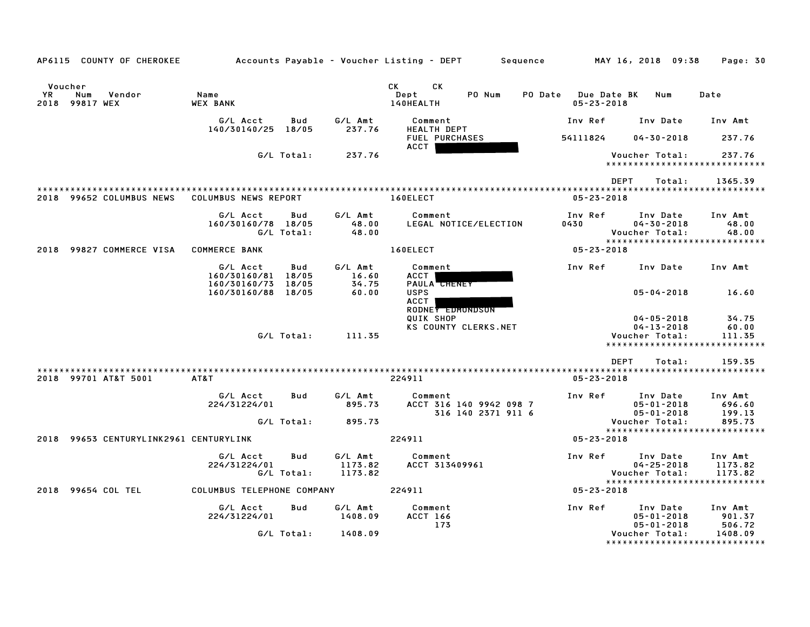| AP6115 COUNTY OF CHEROKEE                                  |                                                                      |                   |                                    | Accounts Payable – Voucher Listing – DEPT                                                | Sequence                    | MAY 16, 2018 09:38                                                                      | Page: 30                              |
|------------------------------------------------------------|----------------------------------------------------------------------|-------------------|------------------------------------|------------------------------------------------------------------------------------------|-----------------------------|-----------------------------------------------------------------------------------------|---------------------------------------|
| Voucher<br><b>YR</b><br>Num<br>Vendor<br>2018<br>99817 WEX | Name<br><b>WEX BANK</b>                                              |                   |                                    | CK<br><b>CK</b><br>Dept<br>PO Num<br>140HEALTH                                           | PO Date<br>$05 - 23 - 2018$ | <b>Due Date BK</b><br>Num                                                               | Date                                  |
|                                                            | G/L Acct<br>140/30140/25 18/05                                       | Bud               | G/L Amt<br>237.76                  | Comment<br><b>HEALTH DEPT</b>                                                            | Inv Ref                     | Inv Date                                                                                | Inv Amt                               |
|                                                            |                                                                      |                   |                                    | <b>FUEL PURCHASES</b><br><b>ACCT</b>                                                     | 54111824                    | $04 - 30 - 2018$                                                                        | 237.76                                |
|                                                            |                                                                      | G/L Total:        | 237.76                             |                                                                                          |                             | Voucher Total:<br>*****************************                                         | 237.76                                |
| 99652 COLUMBUS NEWS<br>2018                                | COLUMBUS NEWS REPORT                                                 |                   |                                    | 160ELECT                                                                                 | $05 - 23 - 2018$            | <b>DEPT</b><br>Total:                                                                   | 1365.39                               |
|                                                            | G/L Acct<br>160/30160/78 18/05                                       | Bud<br>G/L Total: | G/L Amt<br>48.00<br>48.00          | Comment<br>LEGAL NOTICE/ELECTION                                                         | Inv Ref<br>0430             | Inv Date<br>$04 - 30 - 2018$<br>Voucher Total:                                          | Inv Amt<br>48.00<br>48.00             |
| 2018 99827 COMMERCE VISA                                   | <b>COMMERCE BANK</b>                                                 |                   |                                    | 160ELECT                                                                                 | $05 - 23 - 2018$            | *****************************                                                           |                                       |
|                                                            | G/L Acct<br>160/30160/81 18/05<br>160/30160/73<br>160/30160/88 18/05 | Bud<br>18/05      | G/L Amt<br>16.60<br>34.75<br>60.00 | Comment<br>ACCT<br>PAULA <b>THENEY</b><br><b>USPS</b><br><b>ACCT</b><br>RODNEY EDMONDSON | Inv Ref                     | Inv Date<br>$05 - 04 - 2018$                                                            | Inv Amt<br>16.60                      |
|                                                            |                                                                      | G/L Total:        | 111.35                             | QUIK SHOP<br><b>KS COUNTY CLERKS.NET</b>                                                 |                             | $04 - 05 - 2018$<br>$04 - 13 - 2018$<br>Voucher Total:<br>***************************** | 34.75<br>60.00<br>111.35              |
| 2018 99701 AT&T 5001                                       | AT&T                                                                 |                   |                                    | 224911                                                                                   | $05 - 23 - 2018$            | <b>DEPT</b><br>Total:                                                                   | 159.35                                |
|                                                            | G/L Acct<br>224/31224/01                                             | Bud<br>G/L Total: | G/L Amt<br>895.73<br>895.73        | Comment<br>ACCT 316 140 9942 098 7<br>316 140 2371 911 6                                 | Inv Ref                     | Inv Date<br>$05 - 01 - 2018$<br>$05 - 01 - 2018$<br>Voucher Total:                      | Inv Amt<br>696.60<br>199.13<br>895.73 |
| 2018 99653 CENTURYLINK2961 CENTURYLINK                     |                                                                      |                   |                                    | 224911                                                                                   | $05 - 23 - 2018$            | *****************************                                                           |                                       |
|                                                            | G/L Acct<br>224/31224/01                                             | Bud<br>G/L Total: | G/L Amt<br>1173.82<br>1173.82      | Comment<br>ACCT 313409961                                                                | Inv Ref                     | Inv Date<br>$04 - 25 - 2018$<br>Voucher Total:<br>*****************************         | Inv Amt<br>1173.82<br>1173.82         |
| 2018<br>99654 COL TEL                                      | COLUMBUS TELEPHONE COMPANY                                           |                   |                                    | 224911                                                                                   | 05-23-2018                  |                                                                                         |                                       |
|                                                            | G/L Acct<br>224/31224/01                                             | Bud               | G/L Amt<br>1408.09                 | Comment<br><b>ACCT 166</b><br>173                                                        | Inv Ref                     | Inv Date<br>$05 - 01 - 2018$<br>$05 - 01 - 2018$                                        | Inv Amt<br>901.37<br>506.72           |
|                                                            |                                                                      | G/L Total:        | 1408.09                            |                                                                                          |                             | Voucher Total:<br>*****************************                                         | 1408.09                               |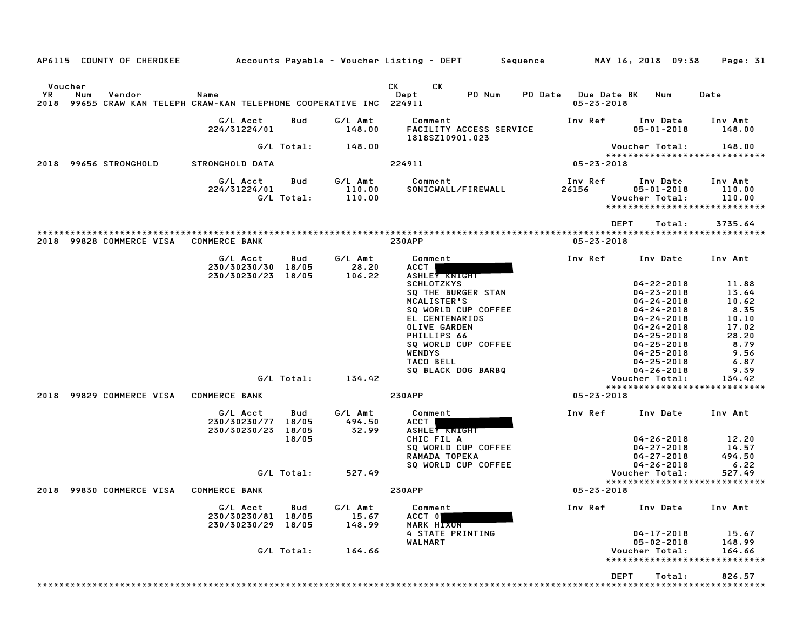| AP6115 COUNTY OF CHEROKEE                                                                                     |                                          |                                |                             | Accounts Payable – Voucher Listing – DEPT      Sequence      MAY 16, 2018 09:38                                                                                                                           |                                                   |                                                                                                                                                                                                                          | Page: 31                                                                                   |
|---------------------------------------------------------------------------------------------------------------|------------------------------------------|--------------------------------|-----------------------------|-----------------------------------------------------------------------------------------------------------------------------------------------------------------------------------------------------------|---------------------------------------------------|--------------------------------------------------------------------------------------------------------------------------------------------------------------------------------------------------------------------------|--------------------------------------------------------------------------------------------|
| Voucher<br><b>YR</b><br>Num<br>Vendor<br>2018 99655 CRAW KAN TELEPH CRAW-KAN TELEPHONE COOPERATIVE INC 224911 | Name                                     |                                |                             | <b>CK</b><br>CK<br>Dept<br>PO Num                                                                                                                                                                         | <b>PO Date</b><br>Due Date BK<br>$05 - 23 - 2018$ | Num                                                                                                                                                                                                                      | Date                                                                                       |
|                                                                                                               | G/L Acct<br>224/31224/01                 | Bud                            | G/L Amt<br>148.00           | Comment<br>FACILITY ACCESS SERVICE<br>1818SZ10901.023                                                                                                                                                     | Inv Ref                                           | Inv Date<br>$05 - 01 - 2018$                                                                                                                                                                                             | Inv Amt<br>148.00                                                                          |
|                                                                                                               |                                          | G/L Total:                     | 148.00                      |                                                                                                                                                                                                           |                                                   | Voucher Total:                                                                                                                                                                                                           | 148.00                                                                                     |
| 2018 99656 STRONGHOLD                                                                                         | STRONGHOLD DATA                          |                                |                             | 224911                                                                                                                                                                                                    | $05 - 23 - 2018$                                  | *****************************                                                                                                                                                                                            |                                                                                            |
|                                                                                                               | G/L Acct<br>224/31224/01                 | Bud<br>G/L Total:              | G/L Amt<br>110.00<br>110.00 | Comment<br>SONICWALL/FIREWALL                                                                                                                                                                             | Inv Ref<br>26156                                  | Inv Date<br>$05 - 01 - 2018$<br>Voucher Total:<br>*****************************                                                                                                                                          | Inv Amt<br>110.00<br>110.00                                                                |
| 99828 COMMERCE VISA<br>2018                                                                                   | <b>COMMERCE BANK</b>                     |                                |                             | <b>230APP</b>                                                                                                                                                                                             | $05 - 23 - 2018$                                  | <b>DEPT</b><br>Total:                                                                                                                                                                                                    | 3735.64                                                                                    |
|                                                                                                               | G/L Acct<br>230/30230/30<br>230/30230/23 | Bud<br>18/05<br>18/05          | G/L Amt<br>28.20<br>106.22  | Comment<br>ACCT  <br><b>ASHLEY KNIGHT</b>                                                                                                                                                                 | Inv Ref                                           | Inv Date                                                                                                                                                                                                                 | Inv Amt                                                                                    |
|                                                                                                               |                                          |                                |                             | <b>SCHLOTZKYS</b><br>SQ THE BURGER STAN<br>MCALISTER'S<br>SQ WORLD CUP COFFEE<br>EL CENTENARIOS<br>OLIVE GARDEN<br>PHILLIPS 66<br>SQ WORLD CUP COFFEE<br><b>WENDYS</b><br>TACO BELL<br>SQ BLACK DOG BARBQ |                                                   | $04 - 22 - 2018$<br>$04 - 23 - 2018$<br>$04 - 24 - 2018$<br>$04 - 24 - 2018$<br>$04 - 24 - 2018$<br>$04 - 24 - 2018$<br>$04 - 25 - 2018$<br>$04 - 25 - 2018$<br>$04 - 25 - 2018$<br>$04 - 25 - 2018$<br>$04 - 26 - 2018$ | 11.88<br>13.64<br>10.62<br>8.35<br>10.10<br>17.02<br>28.20<br>8.79<br>9.56<br>6.87<br>9.39 |
|                                                                                                               |                                          | G/L Total:                     | 134.42                      |                                                                                                                                                                                                           |                                                   | Voucher Total:<br>*****************************                                                                                                                                                                          | 134.42                                                                                     |
| 2018 99829 COMMERCE VISA                                                                                      | <b>COMMERCE BANK</b>                     |                                |                             | <b>230APP</b>                                                                                                                                                                                             | $05 - 23 - 2018$                                  |                                                                                                                                                                                                                          |                                                                                            |
|                                                                                                               | G/L Acct<br>230/30230/77<br>230/30230/23 | Bud<br>18/05<br>18/05<br>18/05 | G/L Amt<br>494.50<br>32.99  | Comment<br>ACCT  <br><b>ASHLEY KNIGHT</b><br>CHIC FIL A<br>SQ WORLD CUP COFFEE<br>RAMADA TOPEKA<br>SQ WORLD CUP COFFEE                                                                                    | Inv Ref                                           | Inv Date<br>$04 - 26 - 2018$<br>$04 - 27 - 2018$<br>$04 - 27 - 2018$<br>$04 - 26 - 2018$                                                                                                                                 | Inv Amt<br>12.20<br>14.57<br>494.50<br>6.22                                                |
|                                                                                                               |                                          | G/L Total:                     | 527.49                      |                                                                                                                                                                                                           |                                                   | Voucher Total:                                                                                                                                                                                                           | 527.49                                                                                     |
|                                                                                                               | <b>COMMERCE BANK</b>                     |                                |                             |                                                                                                                                                                                                           | $05 - 23 - 2018$                                  | ******************************                                                                                                                                                                                           |                                                                                            |
| 2018 99830 COMMERCE VISA                                                                                      |                                          |                                |                             | <b>230APP</b>                                                                                                                                                                                             |                                                   |                                                                                                                                                                                                                          |                                                                                            |
|                                                                                                               | G/L Acct<br>230/30230/81<br>230/30230/29 | Bud<br>18/05<br>18/05          | G/L Amt<br>15.67<br>148.99  | Comment<br>ACCT 0<br>MARK HIXON<br><b>4 STATE PRINTING</b><br>WALMART                                                                                                                                     | Inv Ref                                           | Inv Date<br>$04 - 17 - 2018$<br>$05 - 02 - 2018$                                                                                                                                                                         | Inv Amt<br>15.67<br>148.99                                                                 |
|                                                                                                               |                                          | G/L Total:                     | 164.66                      |                                                                                                                                                                                                           |                                                   | Voucher Total:<br>*****************************                                                                                                                                                                          | 164.66                                                                                     |
|                                                                                                               |                                          |                                |                             |                                                                                                                                                                                                           |                                                   |                                                                                                                                                                                                                          |                                                                                            |
|                                                                                                               |                                          |                                |                             |                                                                                                                                                                                                           |                                                   | DEPT<br>Total:                                                                                                                                                                                                           | 826.57                                                                                     |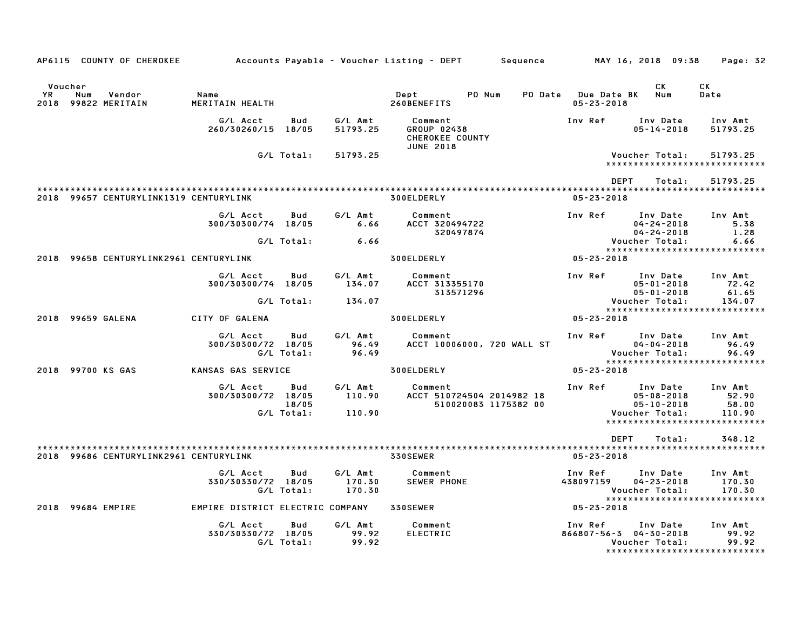|               | AP6115 COUNTY OF CHEROKEE              |                                  |                            |                             | Accounts Payable – Voucher Listing – DEPT                            | Sequence                                          |                                         | MAY 16, 2018 09:38                                                 | Page: 32                                                             |
|---------------|----------------------------------------|----------------------------------|----------------------------|-----------------------------|----------------------------------------------------------------------|---------------------------------------------------|-----------------------------------------|--------------------------------------------------------------------|----------------------------------------------------------------------|
| Voucher<br>YR | Num<br>Vendor<br>2018 99822 MERITAIN   | Name<br>MERITAIN HEALTH          |                            |                             | Dept<br>260BENEFITS                                                  | PO Num                                            | PO Date Due Date BK<br>$05 - 23 - 2018$ | CK.<br>Num                                                         | СK<br>Date                                                           |
|               |                                        | G/L Acct<br>260/30260/15 18/05   | Bud                        | G/L Amt<br>51793.25         | Comment<br>GROUP 02438<br><b>CHEROKEE COUNTY</b><br><b>JUNE 2018</b> |                                                   | Inv Ref                                 | Inv Date<br>$05 - 14 - 2018$                                       | Inv Amt<br>51793.25                                                  |
|               |                                        |                                  | G/L Total:                 | 51793.25                    |                                                                      |                                                   |                                         | Voucher Total:                                                     | 51793.25<br>******************************                           |
| 2018          | 99657 CENTURYLINK1319 CENTURYLINK      |                                  |                            |                             | 300ELDERLY                                                           |                                                   | <b>DEPT</b><br>$05 - 23 - 2018$         | Total:                                                             | 51793.25                                                             |
|               |                                        | G/L Acct<br>300/30300/74 18/05   | Bud                        | G/L Amt<br>6.66             | Comment<br>ACCT 320494722<br>320497874                               |                                                   | Inv Ref                                 | Inv Date<br>$04 - 24 - 2018$<br>$04 - 24 - 2018$                   | Inv Amt<br>5.38<br>1.28                                              |
|               |                                        |                                  | G/L Total:                 | 6.66                        |                                                                      |                                                   |                                         | Voucher Total:                                                     | 6.66<br>*****************************                                |
|               | 2018 99658 CENTURYLINK2961 CENTURYLINK |                                  |                            |                             | 300ELDERLY                                                           |                                                   | 05-23-2018                              |                                                                    |                                                                      |
|               |                                        | G/L Acct<br>300/30300/74 18/05   | Bud<br>G/L Total:          | G/L Amt<br>134.07<br>134.07 | Comment<br>ACCT 313355170<br>313571296                               |                                                   | Inv Ref                                 | Inv Date<br>$05 - 01 - 2018$<br>$05 - 01 - 2018$<br>Voucher Total: | Inv Amt<br>72.42<br>61.65<br>134.07                                  |
|               |                                        |                                  |                            |                             |                                                                      |                                                   |                                         |                                                                    | *****************************                                        |
|               | 2018 99659 GALENA                      | CITY OF GALENA                   |                            |                             | 300ELDERLY                                                           |                                                   | $05 - 23 - 2018$                        |                                                                    |                                                                      |
|               |                                        | G/L Acct<br>300/30300/72 18/05   | Bud<br>G/L Total:          | G/L Amt<br>96.49<br>96.49   | Comment                                                              | ACCT 10006000, 720 WALL ST                        | Inv Ref                                 | Inv Date<br>$04 - 04 - 2018$<br>Voucher Total:                     | Inv Amt<br>96.49<br>96.49<br>*****************************           |
|               | 2018 99700 KS GAS                      | KANSAS GAS SERVICE               |                            |                             | 300ELDERLY                                                           |                                                   | $05 - 23 - 2018$                        |                                                                    |                                                                      |
|               |                                        | G/L Acct<br>300/30300/72 18/05   | Bud<br>18/05<br>G/L Total: | G/L Amt<br>110.90<br>110.90 | Comment                                                              | ACCT 510724504 2014982 18<br>510020083 1175382 00 | Inv Ref                                 | Inv Date<br>$05 - 08 - 2018$<br>$05 - 10 - 2018$<br>Voucher Total: | Inv Amt<br>52.90<br>58.00<br>110.90<br>***************************** |
|               |                                        |                                  |                            |                             |                                                                      |                                                   | <b>DEPT</b>                             | Total:                                                             | 348.12                                                               |
|               | 2018 99686 CENTURYLINK2961 CENTURYLINK |                                  |                            |                             | 330SEWER                                                             |                                                   | $05 - 23 - 2018$                        |                                                                    |                                                                      |
|               |                                        | G/L Acct<br>330/30330/72 18/05   | Bud<br>G/L Total:          | G/L Amt<br>170.30<br>170.30 | Comment<br><b>SEWER PHONE</b>                                        |                                                   | Inv Ref<br>438097159                    | Inv Date<br>$04 - 23 - 2018$<br>Voucher Total:                     | Inv Amt<br>170.30<br>170.30                                          |
| 2018          | 99684 EMPIRE                           | EMPIRE DISTRICT ELECTRIC COMPANY |                            |                             | 330SEWER                                                             |                                                   | 05-23-2018                              |                                                                    | *****************************                                        |
|               |                                        | G/L Acct<br>330/30330/72 18/05   | Bud<br>G/L Total:          | G/L Amt<br>99.92<br>99.92   | Comment<br><b>ELECTRIC</b>                                           |                                                   | Inv Ref<br>866807-56-3 04-30-2018       | Inv Date<br>Voucher Total:                                         | Inv Amt<br>99.92<br>99.92<br>*****************************           |